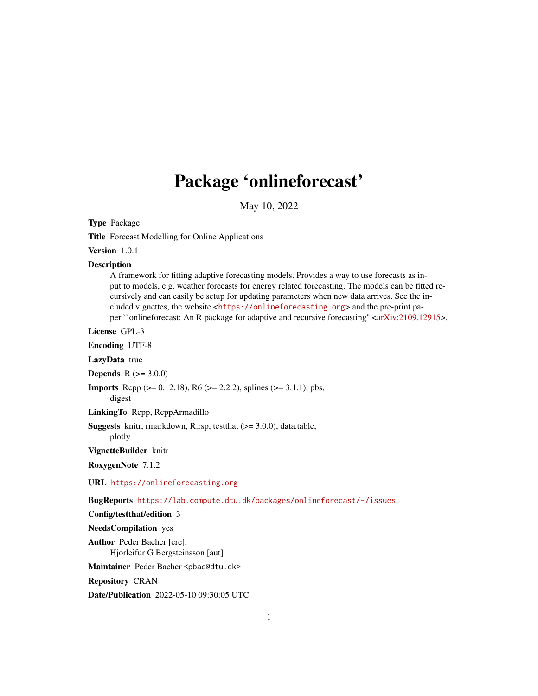# Package 'onlineforecast'

May 10, 2022

<span id="page-0-0"></span>Type Package

Title Forecast Modelling for Online Applications

Version 1.0.1

#### **Description**

A framework for fitting adaptive forecasting models. Provides a way to use forecasts as input to models, e.g. weather forecasts for energy related forecasting. The models can be fitted recursively and can easily be setup for updating parameters when new data arrives. See the included vignettes, the website <<https://onlineforecasting.org>> and the pre-print pa-per ``onlineforecast: An R package for adaptive and recursive forecasting" [<arXiv:2109.12915>](https://arxiv.org/abs/2109.12915).

License GPL-3

Encoding UTF-8

LazyData true

**Depends**  $R (= 3.0.0)$ 

**Imports** Rcpp ( $>= 0.12.18$ ), R6 ( $>= 2.2.2$ ), splines ( $>= 3.1.1$ ), pbs, digest

LinkingTo Rcpp, RcppArmadillo

Suggests knitr, rmarkdown, R.rsp, testthat (>= 3.0.0), data.table, plotly

VignetteBuilder knitr

RoxygenNote 7.1.2

URL <https://onlineforecasting.org>

BugReports <https://lab.compute.dtu.dk/packages/onlineforecast/-/issues>

Config/testthat/edition 3

NeedsCompilation yes

Author Peder Bacher [cre], Hjorleifur G Bergsteinsson [aut]

Maintainer Peder Bacher <pbac@dtu.dk>

Repository CRAN

Date/Publication 2022-05-10 09:30:05 UTC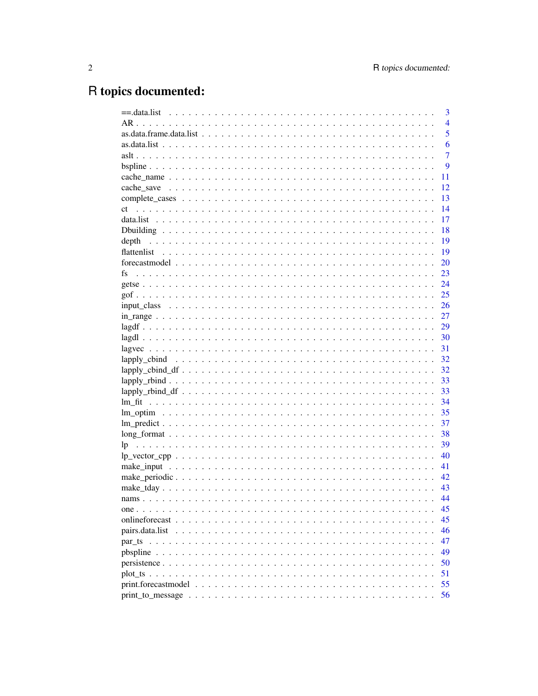# R topics documented:

|                                                                                                              | 3              |
|--------------------------------------------------------------------------------------------------------------|----------------|
|                                                                                                              | $\overline{4}$ |
|                                                                                                              | 5              |
|                                                                                                              | 6              |
|                                                                                                              | $\overline{7}$ |
|                                                                                                              | 9              |
|                                                                                                              | 11             |
|                                                                                                              | 12             |
|                                                                                                              | 13             |
| ct                                                                                                           | 14             |
|                                                                                                              | 17             |
|                                                                                                              | 18             |
| depth                                                                                                        | 19             |
| flattenlist                                                                                                  | 19             |
|                                                                                                              | 20             |
| fs                                                                                                           | 23             |
|                                                                                                              | 24             |
|                                                                                                              | 25             |
|                                                                                                              | 26             |
|                                                                                                              | 27             |
|                                                                                                              | 29             |
|                                                                                                              | 30             |
|                                                                                                              | 31             |
|                                                                                                              | 32             |
|                                                                                                              | 32             |
|                                                                                                              | 33             |
|                                                                                                              | 33             |
|                                                                                                              | 34             |
|                                                                                                              | 35             |
|                                                                                                              | 37             |
|                                                                                                              | 38             |
|                                                                                                              | 39             |
| $lp\_vector\_cpp \ldots \ldots \ldots \ldots \ldots \ldots \ldots \ldots \ldots \ldots \ldots \ldots \ldots$ | 40             |
|                                                                                                              | 41             |
|                                                                                                              | 42             |
|                                                                                                              | 43             |
|                                                                                                              | 44             |
|                                                                                                              | 45             |
|                                                                                                              | 45             |
|                                                                                                              | 46             |
|                                                                                                              | 47             |
|                                                                                                              | 49             |
|                                                                                                              | 50             |
|                                                                                                              | 51             |
|                                                                                                              | 55             |
|                                                                                                              | 56             |
|                                                                                                              |                |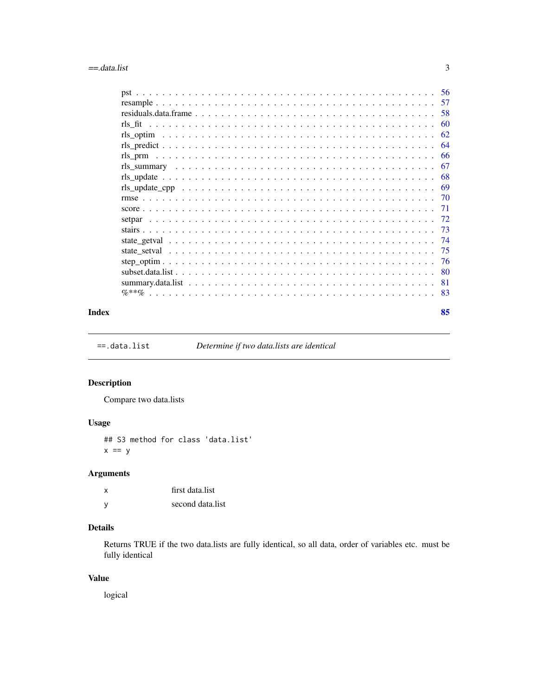<span id="page-2-0"></span>

| 57  |
|-----|
| 58  |
| 60  |
| 62  |
| 64  |
| 66  |
| 67  |
| -68 |
| -69 |
|     |
| -71 |
|     |
|     |
| -74 |
| -75 |
|     |
|     |
| -81 |
| -83 |
|     |

#### **Index [85](#page-84-0) and 2008 and 2008 and 2008 and 2008 and 2008 and 2008 and 2008 and 2008 and 2008 and 2008 and 2008 and 2008 and 2008 and 2008 and 2008 and 2008 and 2008 and 2008 and 2008 and 2008 and 2008 and 2008 and 2008 and 2**

==.data.list *Determine if two data.lists are identical*

# Description

Compare two data.lists

# Usage

## S3 method for class 'data.list'  $x == y$ 

# Arguments

| $\boldsymbol{\mathsf{x}}$ | first data.list  |
|---------------------------|------------------|
| <b>V</b>                  | second data.list |

# Details

Returns TRUE if the two data.lists are fully identical, so all data, order of variables etc. must be fully identical

### Value

logical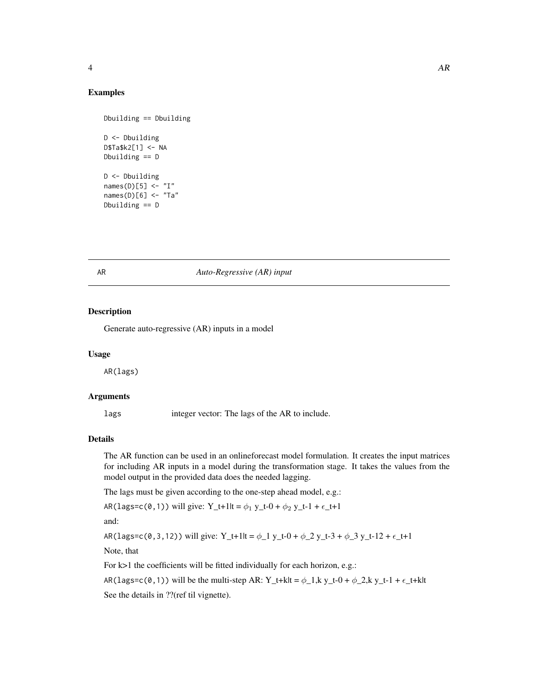#### <span id="page-3-0"></span>Examples

```
Dbuilding == Dbuilding
D <- Dbuilding
D$Ta$k2[1] <- NA
Dbuilding == D
D <- Dbuilding
names(D)[5] \leq "I"
names(D)[6] <- "Ta"
Dbuilding == D
```
#### AR *Auto-Regressive (AR) input*

# Description

Generate auto-regressive (AR) inputs in a model

#### Usage

AR(lags)

#### Arguments

lags integer vector: The lags of the AR to include.

#### Details

The AR function can be used in an onlineforecast model formulation. It creates the input matrices for including AR inputs in a model during the transformation stage. It takes the values from the model output in the provided data does the needed lagging.

The lags must be given according to the one-step ahead model, e.g.:

AR(lags=c(0,1)) will give: Y\_t+1|t =  $\phi_1$  y\_t-0 +  $\phi_2$  y\_t-1 +  $\epsilon$ \_t+1

and:

AR(lags=c(0,3,12)) will give: Y\_t+1lt =  $\phi$ \_1 y\_t-0 +  $\phi$ \_2 y\_t-3 +  $\phi$ \_3 y\_t-12 +  $\epsilon$ \_t+1

Note, that

For k>1 the coefficients will be fitted individually for each horizon, e.g.:

AR(lags=c(0,1)) will be the multi-step AR: Y\_t+k|t =  $\phi$ \_1,k y\_t-0 +  $\phi$ \_2,k y\_t-1 +  $\epsilon$ \_t+k|t

See the details in ??(ref til vignette).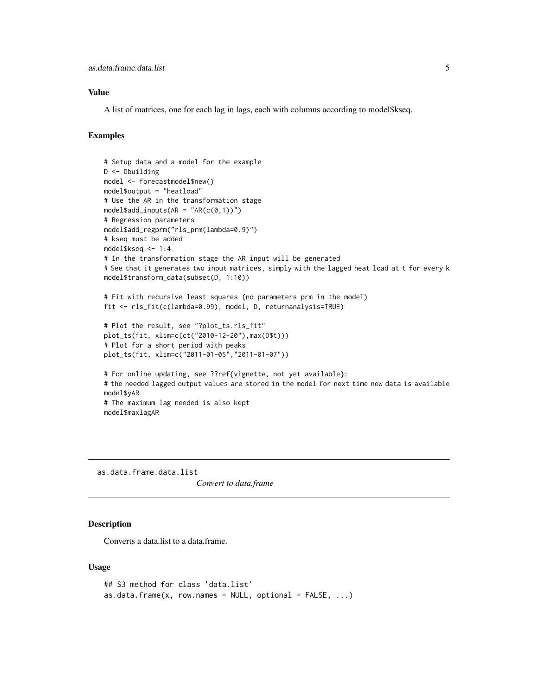# <span id="page-4-0"></span>Value

A list of matrices, one for each lag in lags, each with columns according to model\$kseq.

#### Examples

```
# Setup data and a model for the example
D <- Dbuilding
model <- forecastmodel$new()
model$output = "heatload"
# Use the AR in the transformation stage
model$add_inputs(AR = "AR(c(0,1))")
# Regression parameters
model$add_regprm("rls_prm(lambda=0.9)")
# kseq must be added
model$kseq <- 1:4
# In the transformation stage the AR input will be generated
# See that it generates two input matrices, simply with the lagged heat load at t for every k
model$transform_data(subset(D, 1:10))
# Fit with recursive least squares (no parameters prm in the model)
fit <- rls_fit(c(lambda=0.99), model, D, returnanalysis=TRUE)
# Plot the result, see "?plot_ts.rls_fit"
plot_ts(fit, xlim=c(ct("2010-12-20"),max(D$t)))
# Plot for a short period with peaks
plot_ts(fit, xlim=c("2011-01-05","2011-01-07"))
# For online updating, see ??ref{vignette, not yet available}:
# the needed lagged output values are stored in the model for next time new data is available
model$yAR
# The maximum lag needed is also kept
model$maxlagAR
```
as.data.frame.data.list

*Convert to data.frame*

### **Description**

Converts a data.list to a data.frame.

#### Usage

```
## S3 method for class 'data.list'
as.data.frame(x, row.name = NULL, optional = FALSE, ...)
```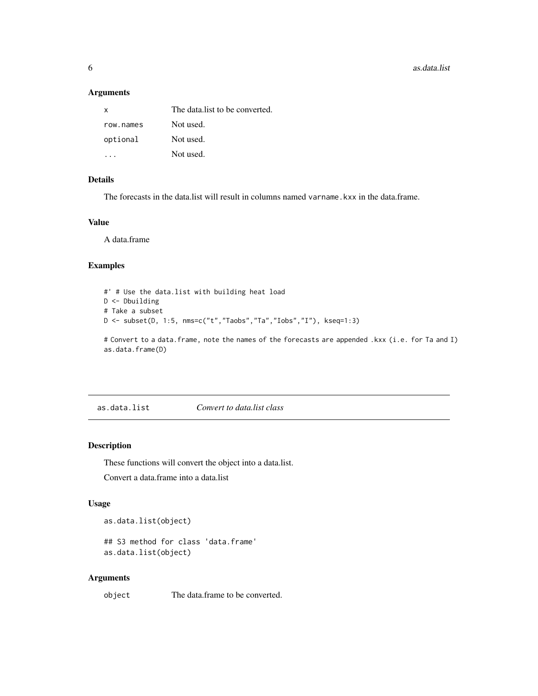<span id="page-5-0"></span>**6 b** as.data.list

# Arguments

| х         | The data list to be converted. |
|-----------|--------------------------------|
| row names | Not used.                      |
| optional  | Not used.                      |
|           | Not used.                      |

# Details

The forecasts in the data.list will result in columns named varname.kxx in the data.frame.

#### Value

A data.frame

# Examples

```
#' # Use the data.list with building heat load
D <- Dbuilding
# Take a subset
D \le - subset(D, 1:5, nms=c("t","Taobs","Ta","Iobs","I"), kseq=1:3)
```
# Convert to a data.frame, note the names of the forecasts are appended .kxx (i.e. for Ta and I) as.data.frame(D)

as.data.list *Convert to data.list class*

# <span id="page-5-1"></span>Description

These functions will convert the object into a data.list.

Convert a data.frame into a data.list

# Usage

as.data.list(object)

## S3 method for class 'data.frame' as.data.list(object)

# Arguments

object The data.frame to be converted.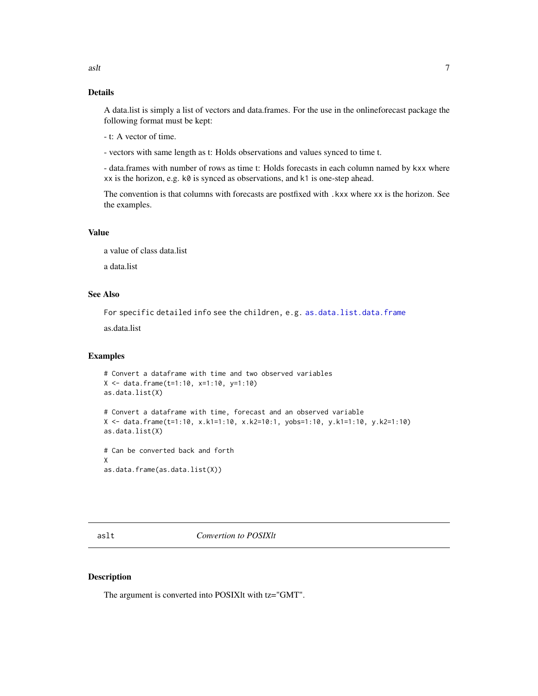# <span id="page-6-0"></span>Details

A data.list is simply a list of vectors and data.frames. For the use in the onlineforecast package the following format must be kept:

- t: A vector of time.

- vectors with same length as t: Holds observations and values synced to time t.

- data.frames with number of rows as time t: Holds forecasts in each column named by kxx where xx is the horizon, e.g. k0 is synced as observations, and k1 is one-step ahead.

The convention is that columns with forecasts are postfixed with .kxx where xx is the horizon. See the examples.

# Value

a value of class data.list

a data.list

# See Also

For specific detailed info see the children, e.g. [as.data.list.data.frame](#page-5-1)

as.data.list

#### Examples

```
# Convert a dataframe with time and two observed variables
X <- data.frame(t=1:10, x=1:10, y=1:10)
as.data.list(X)
# Convert a dataframe with time, forecast and an observed variable
X <- data.frame(t=1:10, x.k1=1:10, x.k2=10:1, yobs=1:10, y.k1=1:10, y.k2=1:10)
as.data.list(X)
# Can be converted back and forth
X
as.data.frame(as.data.list(X))
```
aslt *Convertion to POSIXlt*

#### Description

The argument is converted into POSIXlt with tz="GMT".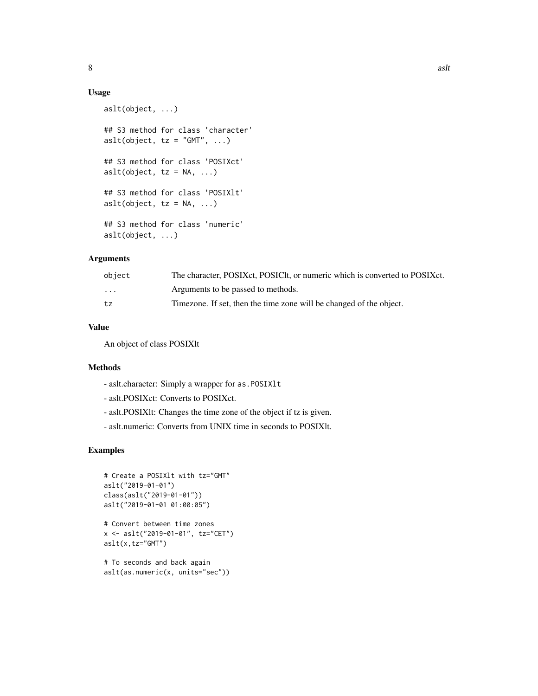# Usage

```
aslt(object, ...)
## S3 method for class 'character'
aslt(object, tz = "GMT", ...)## S3 method for class 'POSIXct'
aslt(object, tz = NA, ...)
## S3 method for class 'POSIXlt'
aslt(object, tz = NA, ...)
## S3 method for class 'numeric'
aslt(object, ...)
```
#### Arguments

| object   | The character, POSIXct, POSICIt, or numeric which is converted to POSIXct. |
|----------|----------------------------------------------------------------------------|
| $\cdots$ | Arguments to be passed to methods.                                         |
| tz       | Timezone. If set, then the time zone will be changed of the object.        |

#### Value

An object of class POSIXlt

# Methods

- aslt.character: Simply a wrapper for as.POSIXlt
- aslt.POSIXct: Converts to POSIXct.
- aslt.POSIXlt: Changes the time zone of the object if tz is given.
- aslt.numeric: Converts from UNIX time in seconds to POSIXlt.

```
# Create a POSIXlt with tz="GMT"
aslt("2019-01-01")
class(aslt("2019-01-01"))
aslt("2019-01-01 01:00:05")
# Convert between time zones
x <- aslt("2019-01-01", tz="CET")
aslt(x,tz="GMT")
# To seconds and back again
aslt(as.numeric(x, units="sec"))
```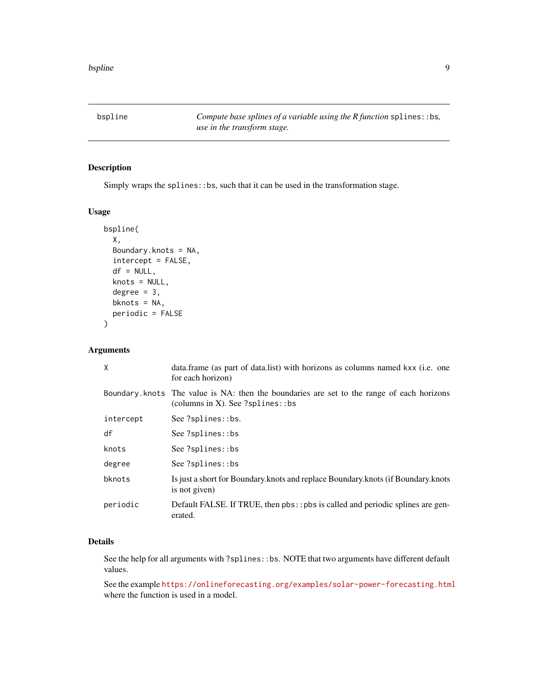<span id="page-8-0"></span>bspline *Compute base splines of a variable using the R function* splines::bs*, use in the transform stage.*

# Description

Simply wraps the splines::bs, such that it can be used in the transformation stage.

# Usage

```
bspline(
  X,
  Boundary.knots = NA,
  intercept = FALSE,
  df = NULL,knots = NULL,
  degree = 3,
  bknots = NA,
  periodic = FALSE
\mathcal{L}
```
#### Arguments

| X         | data.frame (as part of data.list) with horizons as columns named kxx (i.e. one<br>for each horizon)                             |
|-----------|---------------------------------------------------------------------------------------------------------------------------------|
|           | Boundary knots The value is NA: then the boundaries are set to the range of each horizons<br>(columns in X). See $?splines::bs$ |
| intercept | See ?splines::bs.                                                                                                               |
| df        | See ?splines::bs                                                                                                                |
| knots     | See ?splines::bs                                                                                                                |
| degree    | See ?splines::bs                                                                                                                |
| bknots    | Is just a short for Boundary.knots and replace Boundary.knots (if Boundary.knots<br>is not given)                               |
| periodic  | Default FALSE. If TRUE, then pbs:: pbs is called and periodic splines are gen-<br>erated.                                       |

# Details

See the help for all arguments with ?splines::bs. NOTE that two arguments have different default values.

See the example <https://onlineforecasting.org/examples/solar-power-forecasting.html> where the function is used in a model.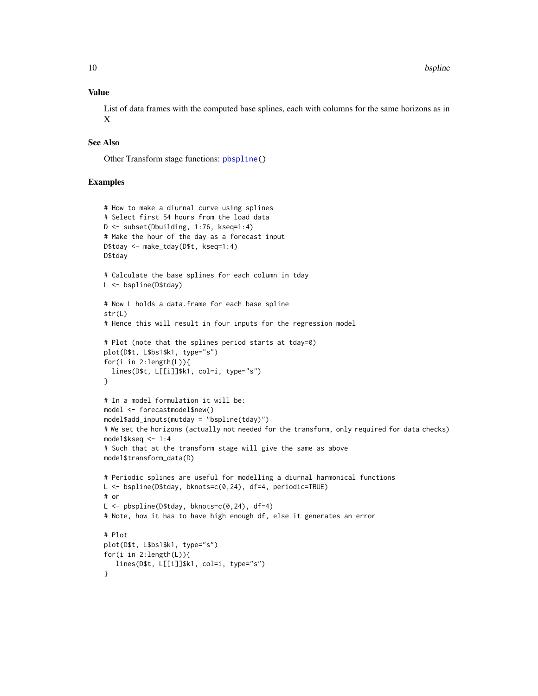#### Value

List of data frames with the computed base splines, each with columns for the same horizons as in X

#### See Also

Other Transform stage functions: [pbspline\(](#page-48-1))

```
# How to make a diurnal curve using splines
# Select first 54 hours from the load data
D <- subset(Dbuilding, 1:76, kseq=1:4)
# Make the hour of the day as a forecast input
D$tday <- make_tday(D$t, kseq=1:4)
D$tday
# Calculate the base splines for each column in tday
L <- bspline(D$tday)
# Now L holds a data.frame for each base spline
str(L)
# Hence this will result in four inputs for the regression model
# Plot (note that the splines period starts at tday=0)
plot(D$t, L$bs1$k1, type="s")
for(i in 2:length(L)){
  lines(D$t, L[[i]]$k1, col=i, type="s")
}
# In a model formulation it will be:
model <- forecastmodel$new()
model$add_inputs(mutday = "bspline(tday)")
# We set the horizons (actually not needed for the transform, only required for data checks)
model$kseq <- 1:4
# Such that at the transform stage will give the same as above
model$transform_data(D)
# Periodic splines are useful for modelling a diurnal harmonical functions
L <- bspline(D$tday, bknots=c(0,24), df=4, periodic=TRUE)
# or
L <- pbspline(D$tday, bknots=c(0,24), df=4)
# Note, how it has to have high enough df, else it generates an error
# Plot
plot(D$t, L$bs1$k1, type="s")
for(i in 2:length(L)){
   lines(D$t, L[[i]]$k1, col=i, type="s")
}
```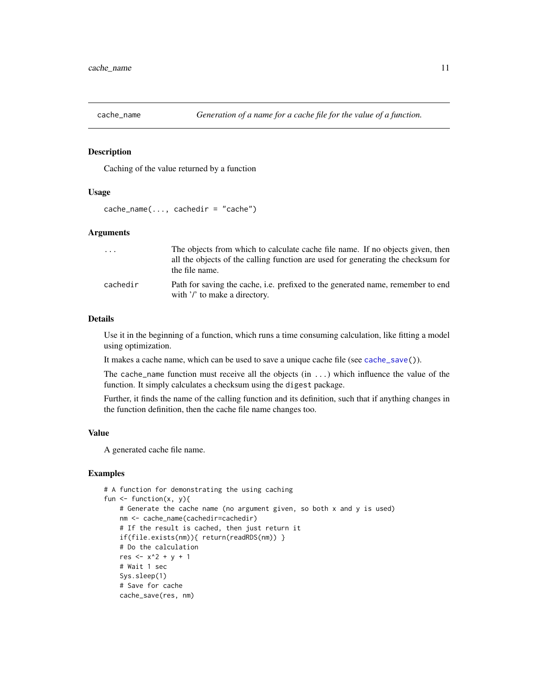<span id="page-10-1"></span><span id="page-10-0"></span>

Caching of the value returned by a function

#### Usage

```
cache_name(..., cachedir = "cache")
```
# Arguments

| $\cdot$ $\cdot$ $\cdot$ | The objects from which to calculate cache file name. If no objects given, then<br>all the objects of the calling function are used for generating the checksum for<br>the file name. |
|-------------------------|--------------------------------------------------------------------------------------------------------------------------------------------------------------------------------------|
| cachedir                | Path for saving the cache, i.e. prefixed to the generated name, remember to end<br>with '/' to make a directory.                                                                     |

# Details

Use it in the beginning of a function, which runs a time consuming calculation, like fitting a model using optimization.

It makes a cache name, which can be used to save a unique cache file (see [cache\\_save\(](#page-11-1))).

The cache\_name function must receive all the objects  $(in ...)$  which influence the value of the function. It simply calculates a checksum using the digest package.

Further, it finds the name of the calling function and its definition, such that if anything changes in the function definition, then the cache file name changes too.

# Value

A generated cache file name.

```
# A function for demonstrating the using caching
fun \leq function(x, y){
   # Generate the cache name (no argument given, so both x and y is used)
   nm <- cache_name(cachedir=cachedir)
    # If the result is cached, then just return it
    if(file.exists(nm)){ return(readRDS(nm)) }
    # Do the calculation
   res <-x^2 + y + 1# Wait 1 sec
   Sys.sleep(1)
    # Save for cache
   cache_save(res, nm)
```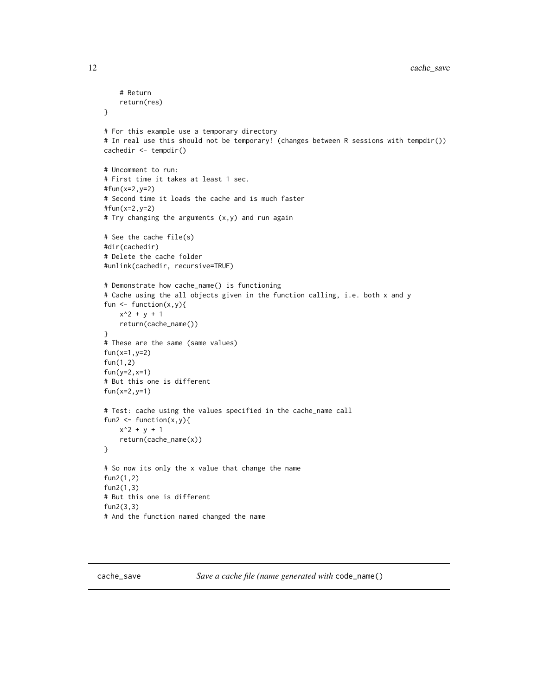```
# Return
    return(res)
}
# For this example use a temporary directory
# In real use this should not be temporary! (changes between R sessions with tempdir())
cachedir <- tempdir()
# Uncomment to run:
# First time it takes at least 1 sec.
#fun(x=2,y=2)
# Second time it loads the cache and is much faster
#fun(x=2,y=2)
# Try changing the arguments (x,y) and run again
# See the cache file(s)
#dir(cachedir)
# Delete the cache folder
#unlink(cachedir, recursive=TRUE)
# Demonstrate how cache_name() is functioning
# Cache using the all objects given in the function calling, i.e. both x and y
fun \leftarrow function(x,y){
   x^2 + y + 1return(cache_name())
}
# These are the same (same values)
fun(x=1,y=2)
fun(1,2)
fun(y=2,x=1)
# But this one is different
fun(x=2,y=1)
# Test: cache using the values specified in the cache_name call
fun2 \leftarrow function(x,y){
    x^2 + y + 1return(cache_name(x))
}
# So now its only the x value that change the name
fun2(1,2)
fun2(1,3)
# But this one is different
fun2(3,3)
# And the function named changed the name
```
<span id="page-11-1"></span>cache\_save *Save a cache file (name generated with* code\_name()

<span id="page-11-0"></span>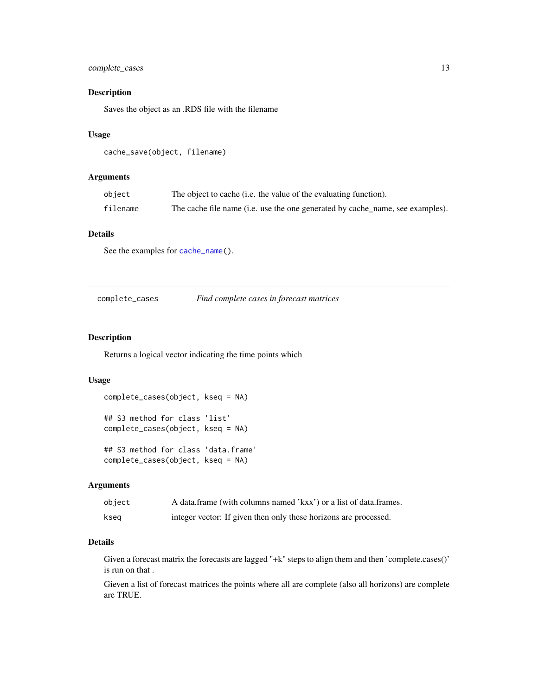# <span id="page-12-0"></span>complete\_cases 13

# Description

Saves the object as an .RDS file with the filename

# Usage

```
cache_save(object, filename)
```
# Arguments

| object   | The object to cache (i.e. the value of the evaluating function).              |
|----------|-------------------------------------------------------------------------------|
| filename | The cache file name (i.e. use the one generated by cache_name, see examples). |

#### Details

See the examples for [cache\\_name\(](#page-10-1)).

#### complete\_cases *Find complete cases in forecast matrices*

# Description

Returns a logical vector indicating the time points which

#### Usage

```
complete_cases(object, kseq = NA)
## S3 method for class 'list'
complete_cases(object, kseq = NA)
## S3 method for class 'data.frame'
complete_cases(object, kseq = NA)
```
# Arguments

| object | A data.frame (with columns named 'kxx') or a list of data.frames. |
|--------|-------------------------------------------------------------------|
| kseg   | integer vector: If given then only these horizons are processed.  |

# Details

Given a forecast matrix the forecasts are lagged "+k" steps to align them and then 'complete.cases()' is run on that .

Gieven a list of forecast matrices the points where all are complete (also all horizons) are complete are TRUE.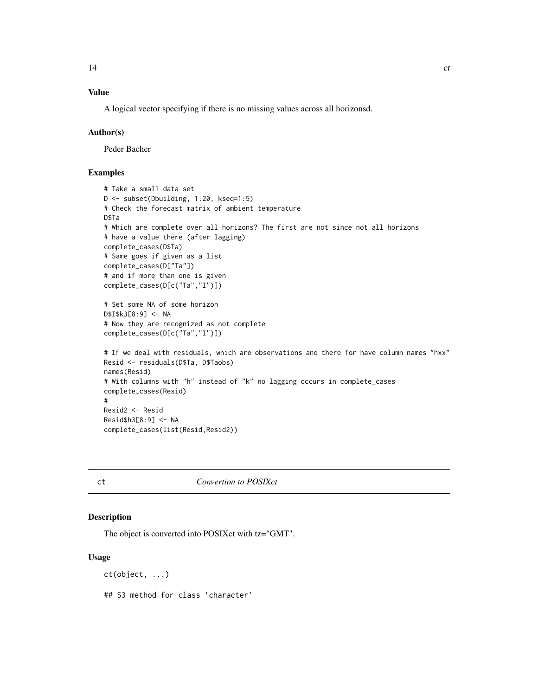# <span id="page-13-0"></span>Value

A logical vector specifying if there is no missing values across all horizonsd.

#### Author(s)

Peder Bacher

# Examples

```
# Take a small data set
D <- subset(Dbuilding, 1:20, kseq=1:5)
# Check the forecast matrix of ambient temperature
D$Ta
# Which are complete over all horizons? The first are not since not all horizons
# have a value there (after lagging)
complete_cases(D$Ta)
# Same goes if given as a list
complete_cases(D["Ta"])
# and if more than one is given
complete_cases(D[c("Ta","I")])
# Set some NA of some horizon
D$I$k3[8:9] <- NA
# Now they are recognized as not complete
complete_cases(D[c("Ta","I")])
# If we deal with residuals, which are observations and there for have column names "hxx"
Resid <- residuals(D$Ta, D$Taobs)
names(Resid)
# With columns with "h" instead of "k" no lagging occurs in complete_cases
complete_cases(Resid)
#
Resid2 <- Resid
Resid$h3[8:9] <- NA
complete_cases(list(Resid,Resid2))
```
ct *Convertion to POSIXct*

# Description

The object is converted into POSIXct with tz="GMT".

#### Usage

```
ct(object, ...)
## S3 method for class 'character'
```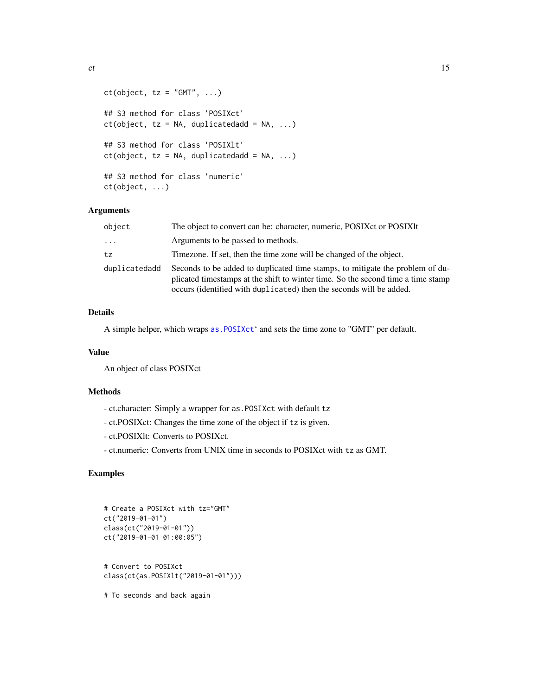```
ct(object, tz = "GMT", ...)## S3 method for class 'POSIXct'
ct(object, tz = NA, duplicatedadd = NA, ...)## S3 method for class 'POSIXlt'
ct(object, tz = NA, duplicatedadd = NA, ...)## S3 method for class 'numeric'
ct(object, ...)
```
# Arguments

| object                  | The object to convert can be: character, numeric, POSIX et or POSIX lt                                                                                                                                                                   |
|-------------------------|------------------------------------------------------------------------------------------------------------------------------------------------------------------------------------------------------------------------------------------|
| $\cdot$ $\cdot$ $\cdot$ | Arguments to be passed to methods.                                                                                                                                                                                                       |
| tz                      | Timezone. If set, then the time zone will be changed of the object.                                                                                                                                                                      |
| duplicatedadd           | Seconds to be added to duplicated time stamps, to mitigate the problem of du-<br>plicated timestamps at the shift to winter time. So the second time a time stamp<br>occurs (identified with duplicated) then the seconds will be added. |

#### Details

A simple helper, which wraps [as.POSIXct](#page-0-0)' and sets the time zone to "GMT" per default.

# Value

An object of class POSIXct

# Methods

- ct.character: Simply a wrapper for as.POSIXct with default tz
- ct.POSIXct: Changes the time zone of the object if tz is given.
- ct.POSIXlt: Converts to POSIXct.
- ct.numeric: Converts from UNIX time in seconds to POSIXct with tz as GMT.

```
# Create a POSIXct with tz="GMT"
ct("2019-01-01")
class(ct("2019-01-01"))
ct("2019-01-01 01:00:05")
# Convert to POSIXct
class(ct(as.POSIXlt("2019-01-01")))
# To seconds and back again
```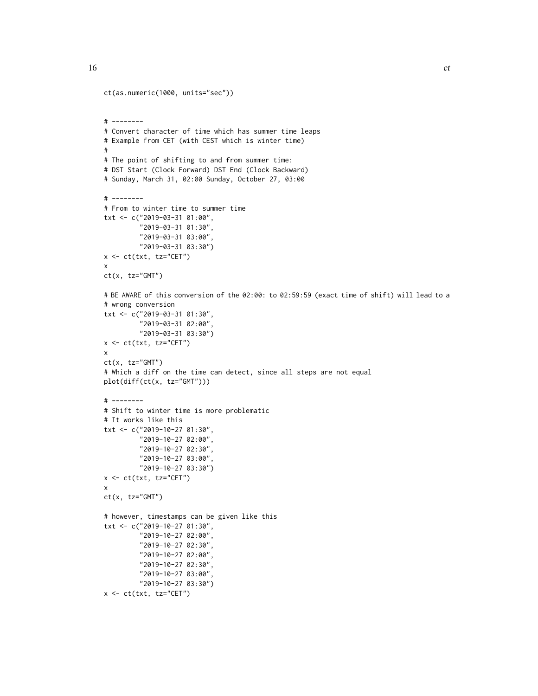#

x

x

x

```
ct(as.numeric(1000, units="sec"))
# --------
# Convert character of time which has summer time leaps
# Example from CET (with CEST which is winter time)
# The point of shifting to and from summer time:
# DST Start (Clock Forward) DST End (Clock Backward)
# Sunday, March 31, 02:00 Sunday, October 27, 03:00
# --------
# From to winter time to summer time
txt <- c("2019-03-31 01:00",
         "2019-03-31 01:30",
         "2019-03-31 03:00",
         "2019-03-31 03:30")
x \leftarrow ct(txt, tz="CET")ct(x, tz="GMT")# BE AWARE of this conversion of the 02:00: to 02:59:59 (exact time of shift) will lead to a
# wrong conversion
txt <- c("2019-03-31 01:30",
         "2019-03-31 02:00",
         "2019-03-31 03:30")
x \leftarrow ct(txt, tz="CET")ct(x, tz="GMT")
# Which a diff on the time can detect, since all steps are not equal
plot(diff(ct(x, tz="GMT")))
# --------
# Shift to winter time is more problematic
# It works like this
txt <- c("2019-10-27 01:30",
         "2019-10-27 02:00",
         "2019-10-27 02:30",
         "2019-10-27 03:00",
         "2019-10-27 03:30")
x \leftarrow ct(txt, tz="CET")ct(x, tz="GMT")
```

```
# however, timestamps can be given like this
txt <- c("2019-10-27 01:30",
         "2019-10-27 02:00",
        "2019-10-27 02:30",
        "2019-10-27 02:00",
        "2019-10-27 02:30",
         "2019-10-27 03:00",
         "2019-10-27 03:30")
```
 $x \leftarrow ct(txt, tz="CET")$ 

```
16 ct
```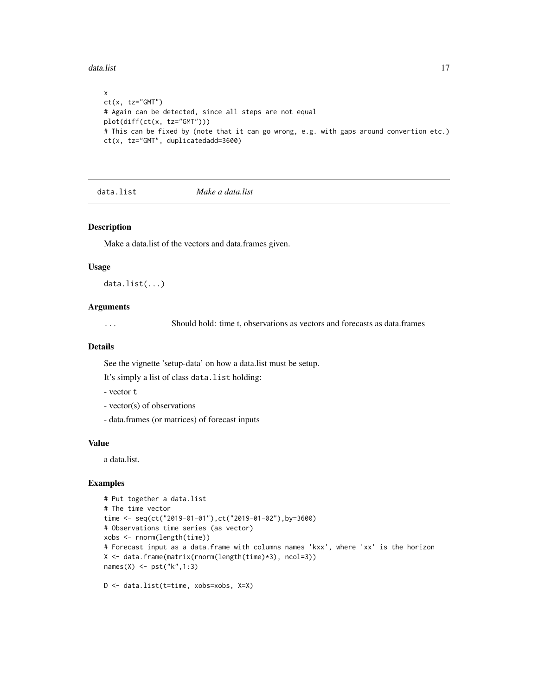#### <span id="page-16-0"></span>data.list 17

```
x
ct(x, tz="GMT")# Again can be detected, since all steps are not equal
plot(diff(ct(x, tz="GMT")))
# This can be fixed by (note that it can go wrong, e.g. with gaps around convertion etc.)
ct(x, tz="GMT", duplicatedadd=3600)
```
data.list *Make a data.list*

#### Description

Make a data.list of the vectors and data.frames given.

#### Usage

data.list(...)

#### Arguments

... Should hold: time t, observations as vectors and forecasts as data.frames

#### Details

See the vignette 'setup-data' on how a data.list must be setup.

It's simply a list of class data.list holding:

- vector t

- vector(s) of observations
- data.frames (or matrices) of forecast inputs

#### Value

a data.list.

# Examples

```
# Put together a data.list
# The time vector
time <- seq(ct("2019-01-01"),ct("2019-01-02"),by=3600)
# Observations time series (as vector)
xobs <- rnorm(length(time))
# Forecast input as a data.frame with columns names 'kxx', where 'xx' is the horizon
X <- data.frame(matrix(rnorm(length(time)*3), ncol=3))
names(X) <- pst("k",1:3)
```
D <- data.list(t=time, xobs=xobs, X=X)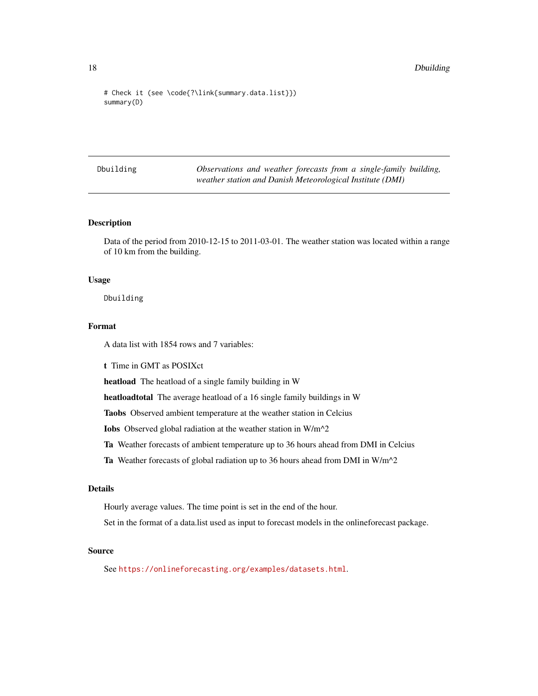```
# Check it (see \code{?\link{summary.data.list}})
summary(D)
```
Dbuilding *Observations and weather forecasts from a single-family building, weather station and Danish Meteorological Institute (DMI)*

# Description

Data of the period from 2010-12-15 to 2011-03-01. The weather station was located within a range of 10 km from the building.

#### Usage

Dbuilding

#### Format

A data list with 1854 rows and 7 variables:

t Time in GMT as POSIXct

heatload The heatload of a single family building in W

heatloadtotal The average heatload of a 16 single family buildings in W

Taobs Observed ambient temperature at the weather station in Celcius

Iobs Observed global radiation at the weather station in W/m^2

Ta Weather forecasts of ambient temperature up to 36 hours ahead from DMI in Celcius

Ta Weather forecasts of global radiation up to 36 hours ahead from DMI in W/m^2

# Details

Hourly average values. The time point is set in the end of the hour.

Set in the format of a data.list used as input to forecast models in the onlineforecast package.

# Source

See <https://onlineforecasting.org/examples/datasets.html>.

<span id="page-17-0"></span>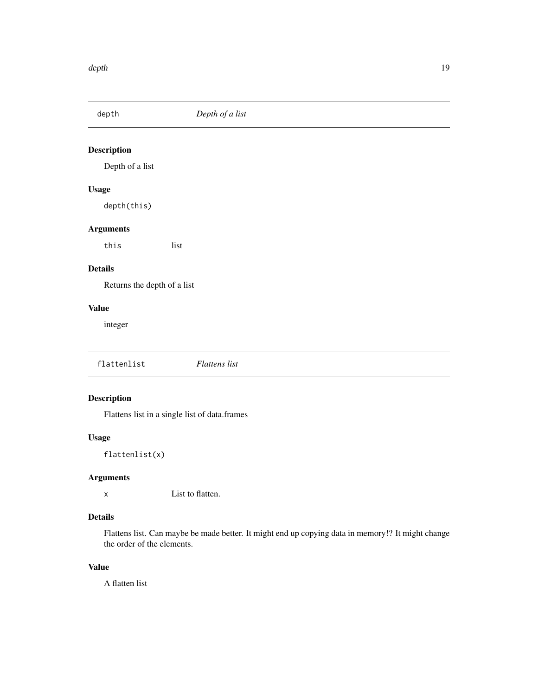<span id="page-18-0"></span>

Depth of a list

# Usage

depth(this)

# Arguments

this list

# Details

Returns the depth of a list

# Value

integer

flattenlist *Flattens list*

# Description

Flattens list in a single list of data.frames

# Usage

flattenlist(x)

# Arguments

x List to flatten.

# Details

Flattens list. Can maybe be made better. It might end up copying data in memory!? It might change the order of the elements.

# Value

A flatten list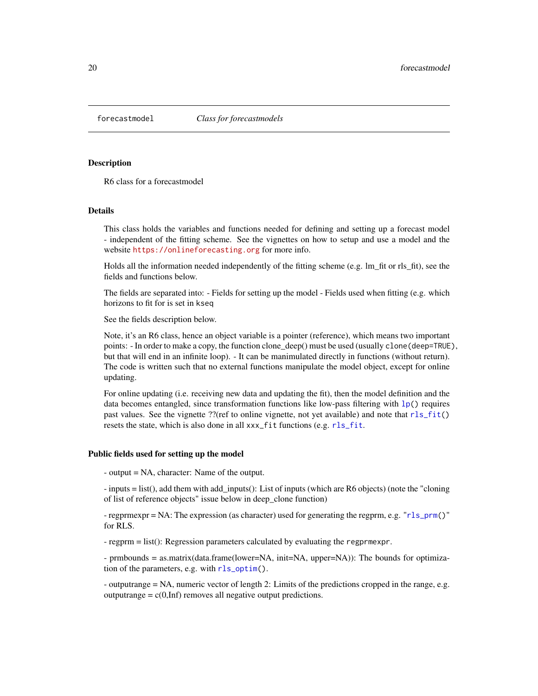<span id="page-19-1"></span><span id="page-19-0"></span>

R6 class for a forecastmodel

#### Details

This class holds the variables and functions needed for defining and setting up a forecast model - independent of the fitting scheme. See the vignettes on how to setup and use a model and the website <https://onlineforecasting.org> for more info.

Holds all the information needed independently of the fitting scheme (e.g. lm\_fit or rls\_fit), see the fields and functions below.

The fields are separated into: - Fields for setting up the model - Fields used when fitting (e.g. which horizons to fit for is set in kseq

See the fields description below.

Note, it's an R6 class, hence an object variable is a pointer (reference), which means two important points: - In order to make a copy, the function clone\_deep() must be used (usually clone(deep=TRUE), but that will end in an infinite loop). - It can be manimulated directly in functions (without return). The code is written such that no external functions manipulate the model object, except for online updating.

For online updating (i.e. receiving new data and updating the fit), then the model definition and the data becomes entangled, since transformation functions like low-pass filtering with  $1p()$  requires past values. See the vignette ??(ref to online vignette, not yet available) and note that  $rls_fit()$  $rls_fit()$ resets the state, which is also done in all xxx\_fit functions (e.g. [rls\\_fit](#page-59-1).

#### Public fields used for setting up the model

- output = NA, character: Name of the output.

- inputs = list(), add them with add\_inputs(): List of inputs (which are R6 objects) (note the "cloning of list of reference objects" issue below in deep\_clone function)

- regprmexpr = NA: The expression (as character) used for generating the regprm, e.g. "[rls\\_prm\(](#page-65-1))" for RLS.

- regprm = list(): Regression parameters calculated by evaluating the regprmexpr.

- prmbounds = as.matrix(data.frame(lower=NA, init=NA, upper=NA)): The bounds for optimization of the parameters, e.g. with [rls\\_optim\(](#page-61-1)).

- outputrange = NA, numeric vector of length 2: Limits of the predictions cropped in the range, e.g. outputrange =  $c(0, \text{Inf})$  removes all negative output predictions.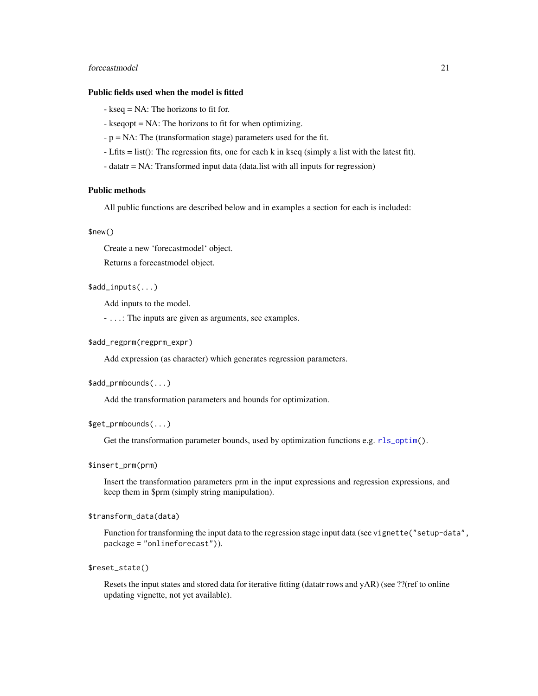# forecastmodel 21 and 22 and 22 and 22 and 22 and 22 and 22 and 22 and 22 and 22 and 22 and 22 and 22 and 22 and 22 and 22 and 22 and 22 and 22 and 22 and 22 and 22 and 22 and 22 and 22 and 22 and 22 and 22 and 22 and 22 an

#### Public fields used when the model is fitted

- kseq = NA: The horizons to fit for.
- kseqopt = NA: The horizons to fit for when optimizing.
- p = NA: The (transformation stage) parameters used for the fit.
- Lfits = list(): The regression fits, one for each k in kseq (simply a list with the latest fit).
- datatr = NA: Transformed input data (data.list with all inputs for regression)

# Public methods

All public functions are described below and in examples a section for each is included:

#### \$new()

Create a new 'forecastmodel' object.

Returns a forecastmodel object.

# \$add\_inputs(...)

Add inputs to the model.

- ...: The inputs are given as arguments, see examples.

#### \$add\_regprm(regprm\_expr)

Add expression (as character) which generates regression parameters.

#### \$add\_prmbounds(...)

Add the transformation parameters and bounds for optimization.

#### \$get\_prmbounds(...)

Get the transformation parameter bounds, used by optimization functions e.g.  $rls\_optim()$ .

#### \$insert\_prm(prm)

Insert the transformation parameters prm in the input expressions and regression expressions, and keep them in \$prm (simply string manipulation).

#### \$transform\_data(data)

Function for transforming the input data to the regression stage input data (see vignette("setup-data", package = "onlineforecast")).

#### \$reset\_state()

Resets the input states and stored data for iterative fitting (datatr rows and yAR) (see ??(ref to online updating vignette, not yet available).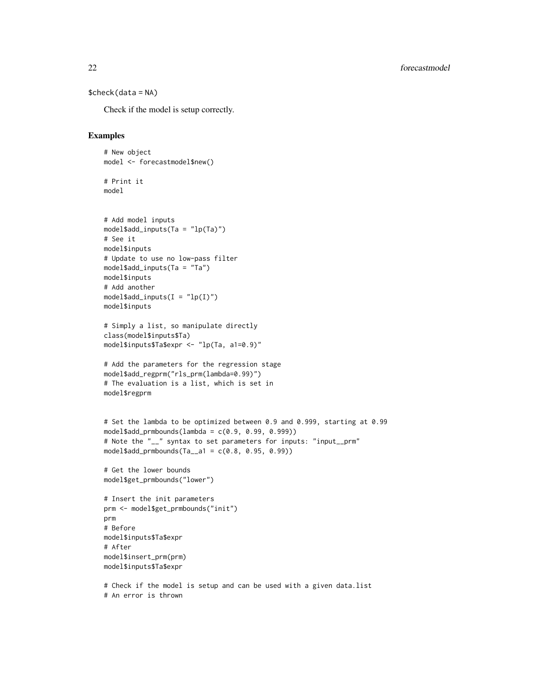```
$check(data = NA)
```
# An error is thrown

Check if the model is setup correctly.

```
# New object
model <- forecastmodel$new()
# Print it
model
# Add model inputs
model$add_inputs(Ta = "lp(Ta)")
# See it
model$inputs
# Update to use no low-pass filter
model$add_inputs(Ta = "Ta")
model$inputs
# Add another
model$add_inputs(I = "lp(I)")
model$inputs
# Simply a list, so manipulate directly
class(model$inputs$Ta)
model$inputs$Ta$expr <- "lp(Ta, a1=0.9)"
# Add the parameters for the regression stage
model$add_regprm("rls_prm(lambda=0.99)")
# The evaluation is a list, which is set in
model$regprm
# Set the lambda to be optimized between 0.9 and 0.999, starting at 0.99
model$add_prmbounds(lambda = c(0.9, 0.99, 0.999))
# Note the "__" syntax to set parameters for inputs: "input__prm"
model$add_prmbounds(Ta__a1 = c(0.8, 0.95, 0.99))
# Get the lower bounds
model$get_prmbounds("lower")
# Insert the init parameters
prm <- model$get_prmbounds("init")
prm
# Before
model$inputs$Ta$expr
# After
model$insert_prm(prm)
model$inputs$Ta$expr
# Check if the model is setup and can be used with a given data.list
```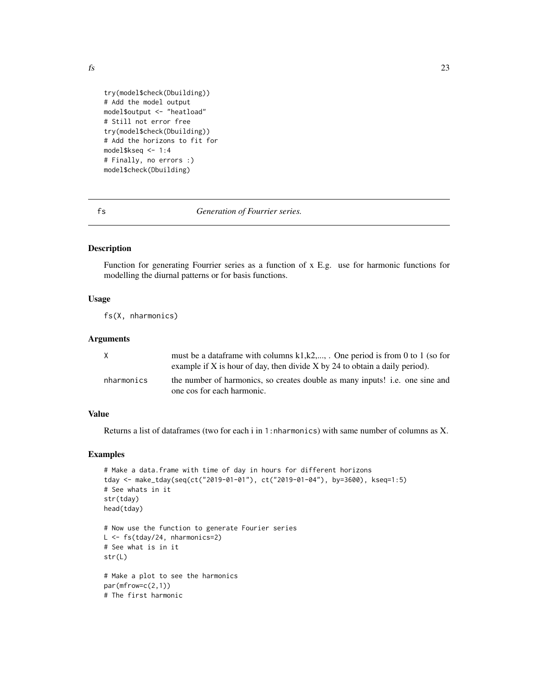```
try(model$check(Dbuilding))
# Add the model output
model$output <- "heatload"
# Still not error free
try(model$check(Dbuilding))
# Add the horizons to fit for
model$kseq <- 1:4
# Finally, no errors :)
model$check(Dbuilding)
```
fs *Generation of Fourrier series.*

#### Description

Function for generating Fourrier series as a function of x E.g. use for harmonic functions for modelling the diurnal patterns or for basis functions.

#### Usage

fs(X, nharmonics)

# Arguments

| X          | must be a data frame with columns $k1, k2, \ldots$ . One period is from 0 to 1 (so for<br>example if X is hour of day, then divide X by 24 to obtain a daily period). |
|------------|-----------------------------------------------------------------------------------------------------------------------------------------------------------------------|
| nharmonics | the number of harmonics, so creates double as many inputs! i.e. one sine and<br>one cos for each harmonic.                                                            |

# Value

Returns a list of dataframes (two for each i in 1:nharmonics) with same number of columns as X.

```
# Make a data.frame with time of day in hours for different horizons
tday <- make_tday(seq(ct("2019-01-01"), ct("2019-01-04"), by=3600), kseq=1:5)
# See whats in it
str(tday)
head(tday)
# Now use the function to generate Fourier series
L <- fs(tday/24, nharmonics=2)
# See what is in it
str(L)
# Make a plot to see the harmonics
par(mfrow=c(2,1))
# The first harmonic
```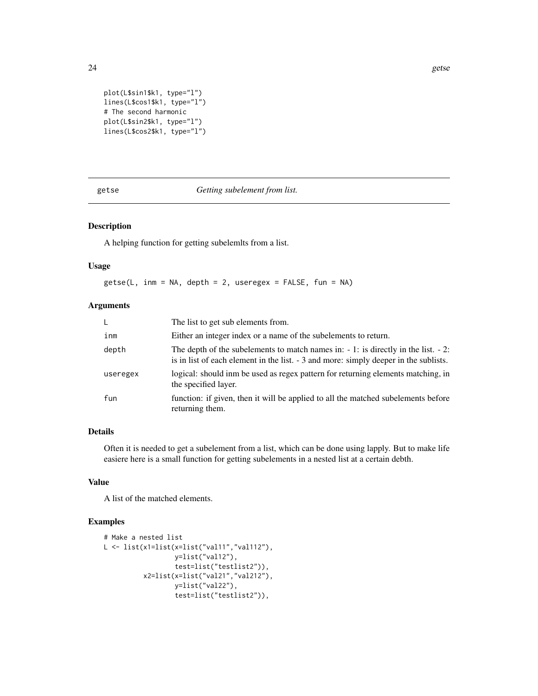```
plot(L$sin1$k1, type="l")
lines(L$cos1$k1, type="l")
# The second harmonic
plot(L$sin2$k1, type="l")
lines(L$cos2$k1, type="l")
```
getse *Getting subelement from list.*

# Description

A helping function for getting subelemlts from a list.

# Usage

getse(L, inm = NA, depth = 2, useregex = FALSE, fun = NA)

# Arguments

| L.       | The list to get sub elements from.                                                                                                                                             |
|----------|--------------------------------------------------------------------------------------------------------------------------------------------------------------------------------|
| inm      | Either an integer index or a name of the subelements to return.                                                                                                                |
| depth    | The depth of the subelements to match names in: $-1$ : is directly in the list. $-2$ :<br>is in list of each element in the list. - 3 and more: simply deeper in the sublists. |
| useregex | logical: should inm be used as regex pattern for returning elements matching, in<br>the specified layer.                                                                       |
| fun      | function: if given, then it will be applied to all the matched subelements before<br>returning them.                                                                           |

# Details

Often it is needed to get a subelement from a list, which can be done using lapply. But to make life easiere here is a small function for getting subelements in a nested list at a certain debth.

#### Value

A list of the matched elements.

```
# Make a nested list
L <- list(x1=list(x=list("val11","val112"),
                  y=list("val12"),
                  test=list("testlist2")),
          x2=list(x=list("val21","val212"),
                  y=list("val22"),
                  test=list("testlist2")),
```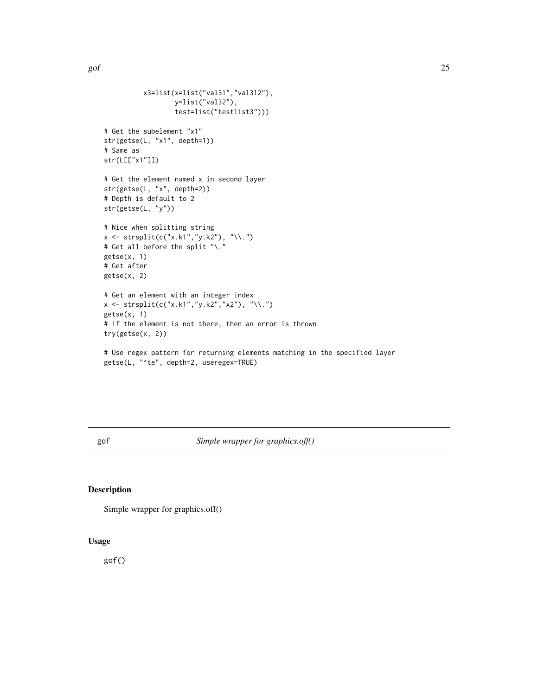<span id="page-24-0"></span>gof  $25$ 

```
x3=list(x=list("val31","val312"),
                    y=list("val32"),
                    test=list("testlist3")))
# Get the subelement "x1"
str(getse(L, "x1", depth=1))
# Same as
str(L[["x1"]])
# Get the element named x in second layer
str(getse(L, "x", depth=2))
# Depth is default to 2
str(getse(L, "y"))
# Nice when splitting string
x \leftarrow \text{strsplit}(c("x.k1", "y.k2"), " \langle \cdot, \cdot \rangle)# Get all before the split "\."
getse(x, 1)
# Get after
getse(x, 2)
# Get an element with an integer index
x \leftarrow \text{strsplit}(c("x.k1", "y.k2", "x2"), "\\ \langle \cdot \rangle)getse(x, 1)
# if the element is not there, then an error is thrown
try(getse(x, 2))
# Use regex pattern for returning elements matching in the specified layer
getse(L, "^te", depth=2, useregex=TRUE)
```
gof *Simple wrapper for graphics.off()*

#### Description

Simple wrapper for graphics.off()

# Usage

gof()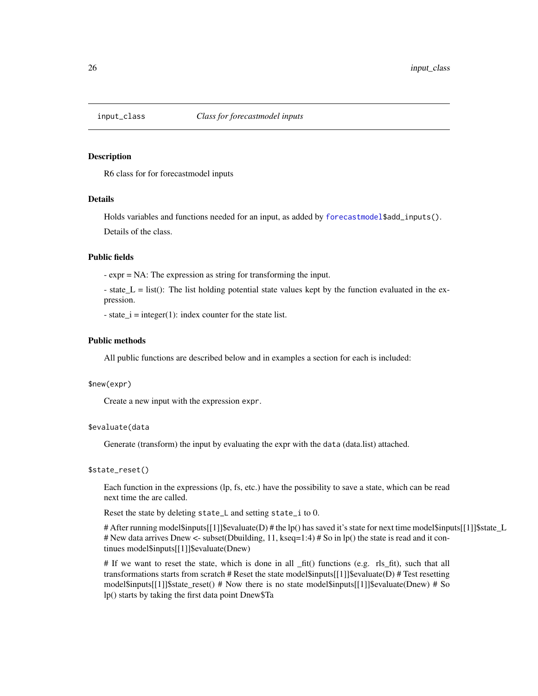<span id="page-25-0"></span>

R6 class for for forecastmodel inputs

#### Details

Holds variables and functions needed for an input, as added by [forecastmodel\\$](#page-19-1)add\_inputs(). Details of the class.

#### Public fields

- expr = NA: The expression as string for transforming the input.

- state  $L =$  list(): The list holding potential state values kept by the function evaluated in the expression.

- state\_ $i =$  integer(1): index counter for the state list.

#### Public methods

All public functions are described below and in examples a section for each is included:

#### \$new(expr)

Create a new input with the expression expr.

#### \$evaluate(data

Generate (transform) the input by evaluating the expr with the data (data.list) attached.

## \$state\_reset()

Each function in the expressions (lp, fs, etc.) have the possibility to save a state, which can be read next time the are called.

Reset the state by deleting state\_L and setting state\_i to 0.

# After running model\$inputs[[1]]\$evaluate(D) # the lp() has saved it's state for next time model\$inputs[[1]]\$state\_L # New data arrives Dnew <- subset(Dbuilding, 11, kseq=1:4) # So in lp() the state is read and it continues model\$inputs[[1]]\$evaluate(Dnew)

# If we want to reset the state, which is done in all \_fit() functions (e.g. rls\_fit), such that all transformations starts from scratch # Reset the state model\$inputs[[1]]\$evaluate(D) # Test resetting model\$inputs[[1]]\$state\_reset() # Now there is no state model\$inputs[[1]]\$evaluate(Dnew) # So lp() starts by taking the first data point Dnew\$Ta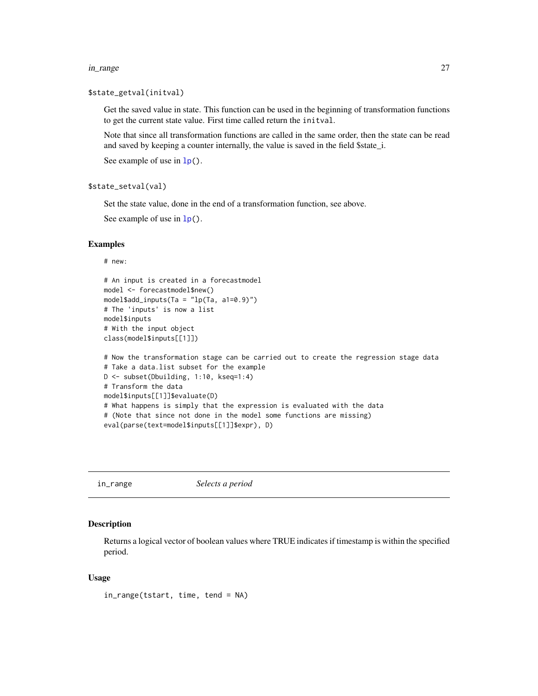#### <span id="page-26-0"></span>in\_range 27

#### \$state\_getval(initval)

Get the saved value in state. This function can be used in the beginning of transformation functions to get the current state value. First time called return the initval.

Note that since all transformation functions are called in the same order, then the state can be read and saved by keeping a counter internally, the value is saved in the field \$state\_i.

See example of use in  $lp()$  $lp()$ .

### \$state\_setval(val)

Set the state value, done in the end of a transformation function, see above.

See example of use in  $lp()$  $lp()$ .

#### Examples

```
# new:
```

```
# An input is created in a forecastmodel
model <- forecastmodel$new()
model$add_inputs(Ta = "lp(Ta, a1=0.9)")
# The 'inputs' is now a list
model$inputs
# With the input object
class(model$inputs[[1]])
```

```
# Now the transformation stage can be carried out to create the regression stage data
# Take a data.list subset for the example
D <- subset(Dbuilding, 1:10, kseq=1:4)
# Transform the data
model$inputs[[1]]$evaluate(D)
# What happens is simply that the expression is evaluated with the data
# (Note that since not done in the model some functions are missing)
eval(parse(text=model$inputs[[1]]$expr), D)
```
in\_range *Selects a period*

#### Description

Returns a logical vector of boolean values where TRUE indicates if timestamp is within the specified period.

#### Usage

in\_range(tstart, time, tend = NA)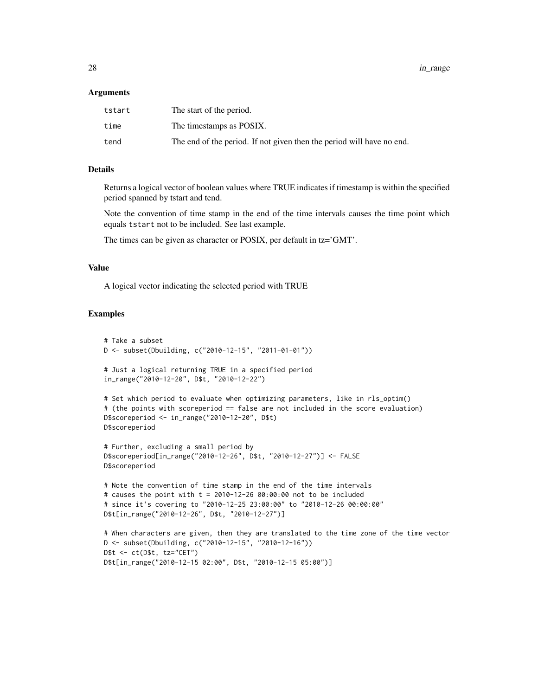#### Arguments

| tstart | The start of the period.                                              |
|--------|-----------------------------------------------------------------------|
| time   | The timestamps as POSIX.                                              |
| tend   | The end of the period. If not given then the period will have no end. |

# Details

Returns a logical vector of boolean values where TRUE indicates if timestamp is within the specified period spanned by tstart and tend.

Note the convention of time stamp in the end of the time intervals causes the time point which equals tstart not to be included. See last example.

The times can be given as character or POSIX, per default in tz='GMT'.

# Value

A logical vector indicating the selected period with TRUE

```
# Take a subset
D <- subset(Dbuilding, c("2010-12-15", "2011-01-01"))
# Just a logical returning TRUE in a specified period
in_range("2010-12-20", D$t, "2010-12-22")
# Set which period to evaluate when optimizing parameters, like in rls_optim()
# (the points with scoreperiod == false are not included in the score evaluation)
D$scoreperiod <- in_range("2010-12-20", D$t)
D$scoreperiod
# Further, excluding a small period by
D$scoreperiod[in_range("2010-12-26", D$t, "2010-12-27")] <- FALSE
D$scoreperiod
# Note the convention of time stamp in the end of the time intervals
# causes the point with t = 2010-12-2600:00:00 not to be included
# since it's covering to "2010-12-25 23:00:00" to "2010-12-26 00:00:00"
D$t[in_range("2010-12-26", D$t, "2010-12-27")]
# When characters are given, then they are translated to the time zone of the time vector
D <- subset(Dbuilding, c("2010-12-15", "2010-12-16"))
D$t <- ct(D$t, tz="CET")
D$t[in_range("2010-12-15 02:00", D$t, "2010-12-15 05:00")]
```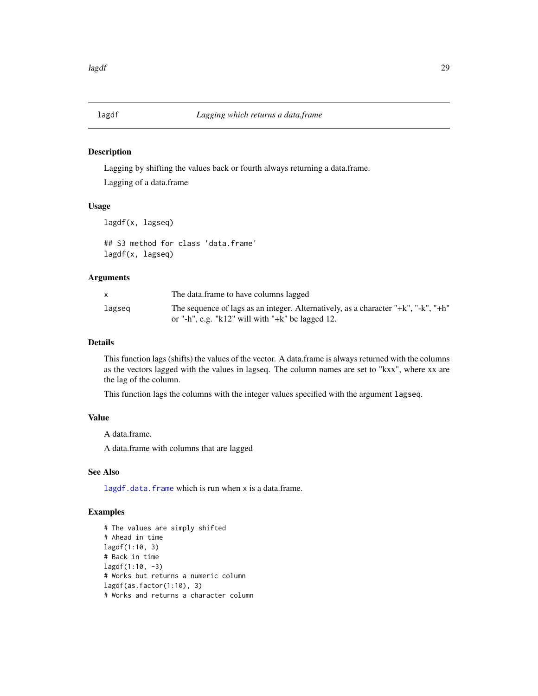<span id="page-28-1"></span><span id="page-28-0"></span>

Lagging by shifting the values back or fourth always returning a data.frame.

Lagging of a data.frame

# Usage

lagdf(x, lagseq)

## S3 method for class 'data.frame' lagdf(x, lagseq)

#### Arguments

|        | The data frame to have columns lagged                                              |
|--------|------------------------------------------------------------------------------------|
| lagseg | The sequence of lags as an integer. Alternatively, as a character "+k", "-k", "+h" |
|        | or "-h", e.g. "k12" will with "+k" be lagged 12.                                   |

# Details

This function lags (shifts) the values of the vector. A data.frame is always returned with the columns as the vectors lagged with the values in lagseq. The column names are set to "kxx", where xx are the lag of the column.

This function lags the columns with the integer values specified with the argument lagseq.

#### Value

A data.frame.

A data.frame with columns that are lagged

# See Also

[lagdf.data.frame](#page-28-1) which is run when x is a data.frame.

```
# The values are simply shifted
# Ahead in time
lagdf(1:10, 3)
# Back in time
lagdf(1:10, -3)# Works but returns a numeric column
lagdf(as.factor(1:10), 3)# Works and returns a character column
```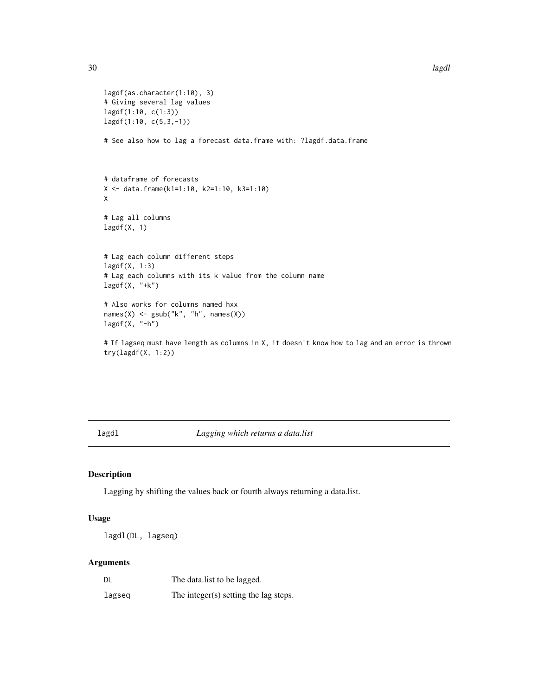```
lagdf(as.character(1:10), 3)
# Giving several lag values
lagdf(1:10, c(1:3))
lagdf(1:10, c(5,3,-1))
# See also how to lag a forecast data.frame with: ?lagdf.data.frame
# dataframe of forecasts
X <- data.frame(k1=1:10, k2=1:10, k3=1:10)
X
# Lag all columns
lagdf(X, 1)# Lag each column different steps
lagdf(X, 1:3)
# Lag each columns with its k value from the column name
lagdf(X, "+k")# Also works for columns named hxx
names(X) <- gsub("k", "h", names(X))
lagdf(X, "h")
```
# If lagseq must have length as columns in X, it doesn't know how to lag and an error is thrown try(lagdf(X, 1:2))

lagdl *Lagging which returns a data.list*

# Description

Lagging by shifting the values back or fourth always returning a data.list.

# Usage

```
lagdl(DL, lagseq)
```
# Arguments

| DL     | The datalist to be lagged.            |
|--------|---------------------------------------|
| lagseq | The integer(s) setting the lag steps. |

<span id="page-29-0"></span>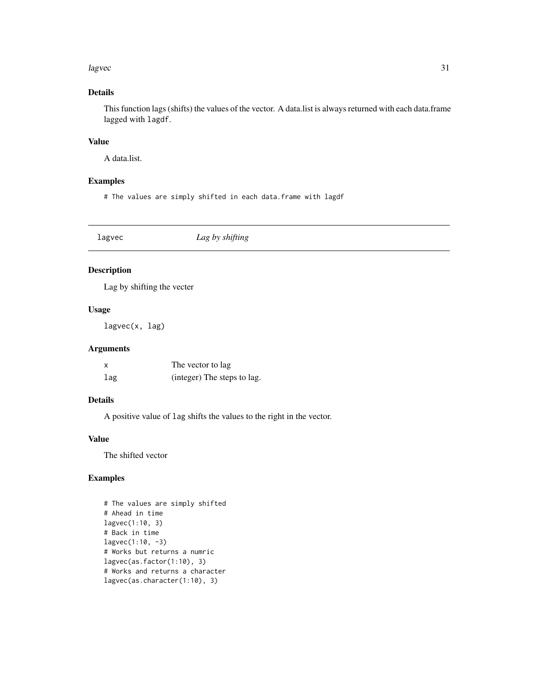#### <span id="page-30-0"></span>lagvec 31

# Details

This function lags (shifts) the values of the vector. A data.list is always returned with each data.frame lagged with lagdf.

# Value

A data.list.

### Examples

# The values are simply shifted in each data.frame with lagdf

| lagvec | Lag by shifting |  |
|--------|-----------------|--|
|        |                 |  |

# Description

Lag by shifting the vecter

# Usage

lagvec(x, lag)

# Arguments

| X   | The vector to lag           |
|-----|-----------------------------|
| lag | (integer) The steps to lag. |

# Details

A positive value of lag shifts the values to the right in the vector.

# Value

The shifted vector

```
# The values are simply shifted
# Ahead in time
lagvec(1:10, 3)
# Back in time
lagvec(1:10, -3)# Works but returns a numric
lagvec(as.factor(1:10), 3)
# Works and returns a character
lagvec(as.character(1:10), 3)
```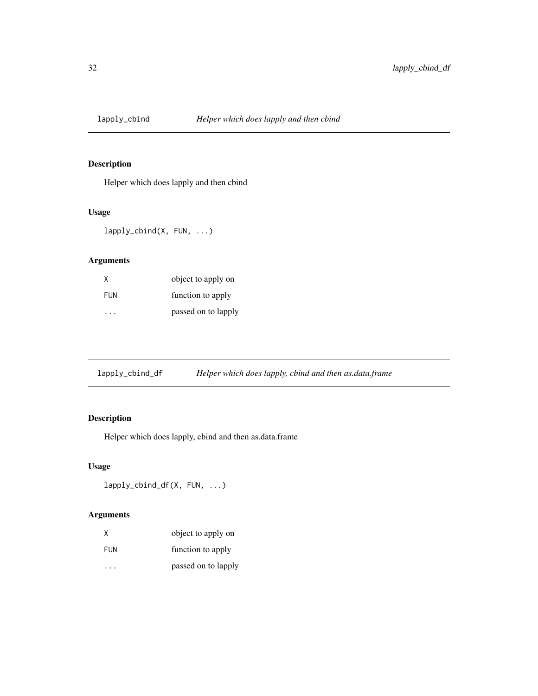<span id="page-31-0"></span>

Helper which does lapply and then cbind

# Usage

lapply\_cbind(X, FUN, ...)

# Arguments

| X          | object to apply on  |
|------------|---------------------|
| <b>FUN</b> | function to apply   |
|            | passed on to lapply |

lapply\_cbind\_df *Helper which does lapply, cbind and then as.data.frame*

# Description

Helper which does lapply, cbind and then as.data.frame

# Usage

```
lapply_cbind_df(X, FUN, ...)
```
# Arguments

| X          | object to apply on  |
|------------|---------------------|
| <b>FUN</b> | function to apply   |
|            | passed on to lapply |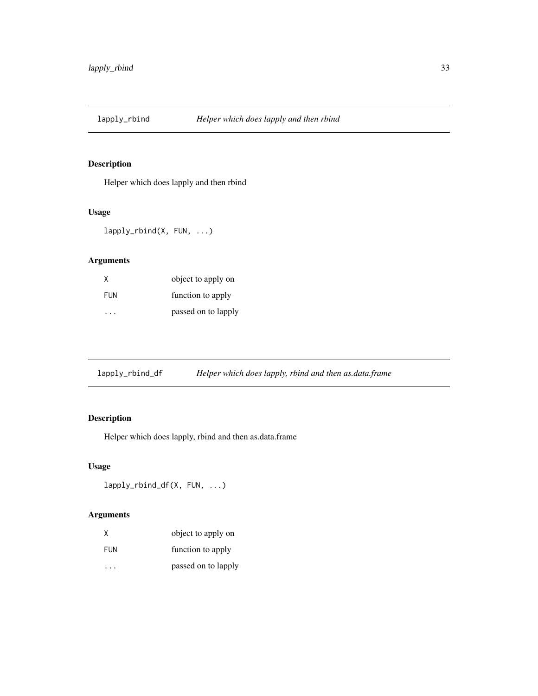<span id="page-32-0"></span>

Helper which does lapply and then rbind

# Usage

lapply\_rbind(X, FUN, ...)

# Arguments

| X          | object to apply on  |
|------------|---------------------|
| <b>FUN</b> | function to apply   |
|            | passed on to lapply |

lapply\_rbind\_df *Helper which does lapply, rbind and then as.data.frame*

# Description

Helper which does lapply, rbind and then as.data.frame

# Usage

```
lapply_rbind_df(X, FUN, ...)
```
# Arguments

| X          | object to apply on  |
|------------|---------------------|
| <b>FUN</b> | function to apply   |
|            | passed on to lapply |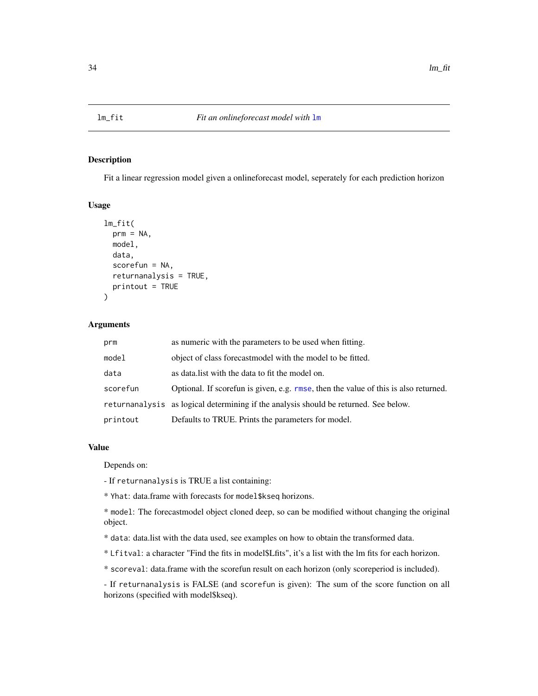<span id="page-33-0"></span>

Fit a linear regression model given a onlineforecast model, seperately for each prediction horizon

#### Usage

```
lm_fit(
  prm = NA,
 model,
  data,
  scorefun = NA,
  returnanalysis = TRUE,
  printout = TRUE
)
```
# Arguments

| prm      | as numeric with the parameters to be used when fitting.                              |
|----------|--------------------------------------------------------------------------------------|
| model    | object of class forecast model with the model to be fitted.                          |
| data     | as data. I ist with the data to fit the model on.                                    |
| scorefun | Optional. If scorefun is given, e.g. rmse, then the value of this is also returned.  |
|          | returnanalysis as logical determining if the analysis should be returned. See below. |
| printout | Defaults to TRUE. Prints the parameters for model.                                   |

#### Value

Depends on:

- If returnanalysis is TRUE a list containing:

\* Yhat: data.frame with forecasts for model\$kseq horizons.

\* model: The forecastmodel object cloned deep, so can be modified without changing the original object.

- \* data: data.list with the data used, see examples on how to obtain the transformed data.
- \* Lfitval: a character "Find the fits in model\$Lfits", it's a list with the lm fits for each horizon.

\* scoreval: data.frame with the scorefun result on each horizon (only scoreperiod is included).

- If returnanalysis is FALSE (and scorefun is given): The sum of the score function on all horizons (specified with model\$kseq).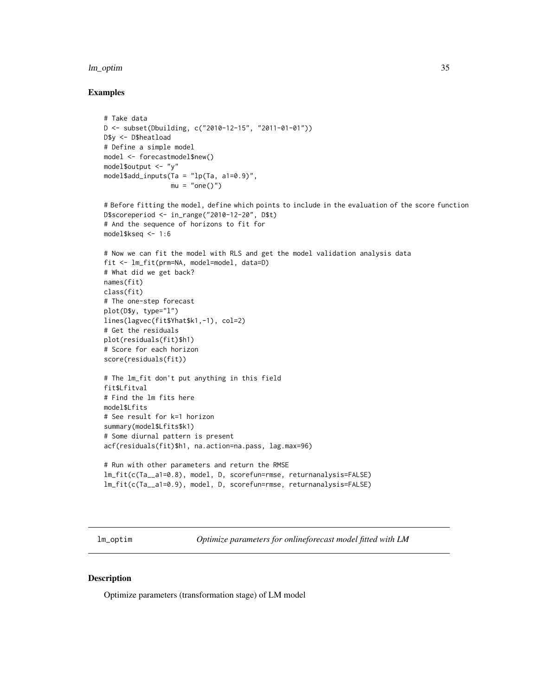#### <span id="page-34-0"></span>lm\_optim 35

#### Examples

```
# Take data
D <- subset(Dbuilding, c("2010-12-15", "2011-01-01"))
D$y <- D$heatload
# Define a simple model
model <- forecastmodel$new()
model$output <- "y"
model$add_inputs(Ta = "lp(Ta, a1=0.9)",
                 mu = "one()")# Before fitting the model, define which points to include in the evaluation of the score function
D$scoreperiod <- in_range("2010-12-20", D$t)
# And the sequence of horizons to fit for
model$kseq <- 1:6
# Now we can fit the model with RLS and get the model validation analysis data
fit <- lm_fit(prm=NA, model=model, data=D)
# What did we get back?
names(fit)
class(fit)
# The one-step forecast
plot(D$y, type="l")
lines(lagvec(fit$Yhat$k1,-1), col=2)
# Get the residuals
plot(residuals(fit)$h1)
# Score for each horizon
score(residuals(fit))
# The lm_fit don't put anything in this field
fit$Lfitval
# Find the lm fits here
model$Lfits
# See result for k=1 horizon
summary(model$Lfits$k1)
# Some diurnal pattern is present
acf(residuals(fit)$h1, na.action=na.pass, lag.max=96)
# Run with other parameters and return the RMSE
lm_fit(c(Ta__a1=0.8), model, D, scorefun=rmse, returnanalysis=FALSE)
lm_fit(c(Ta__a1=0.9), model, D, scorefun=rmse, returnanalysis=FALSE)
```
lm\_optim *Optimize parameters for onlineforecast model fitted with LM*

#### Description

Optimize parameters (transformation stage) of LM model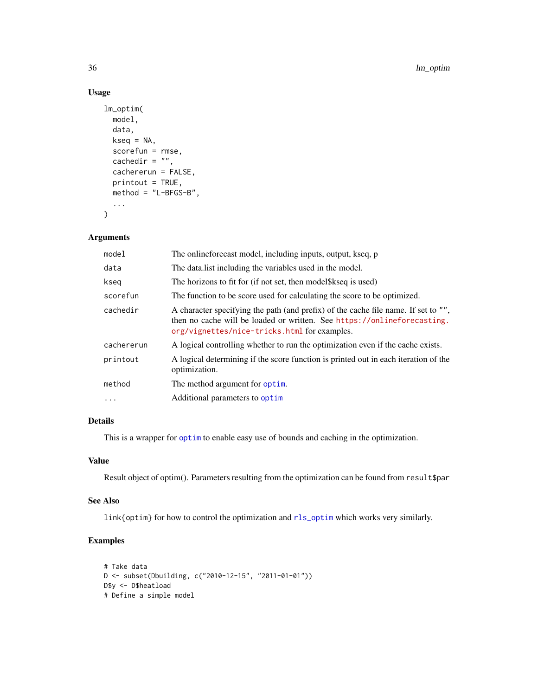# Usage

```
lm_optim(
  model,
  data,
  kseq = NA,
  scorefun = rmse,
  cachedir = ",
  cachererun = FALSE,
  printout = TRUE,
  method = "L-BFGS-B",
  ...
\mathcal{L}
```
# Arguments

| The onlineforecast model, including inputs, output, kseq, p                                                                                                                                                   |
|---------------------------------------------------------------------------------------------------------------------------------------------------------------------------------------------------------------|
| The data list including the variables used in the model.                                                                                                                                                      |
| The horizons to fit for (if not set, then model \\$kseq is used)                                                                                                                                              |
| The function to be score used for calculating the score to be optimized.                                                                                                                                      |
| A character specifying the path (and prefix) of the cache file name. If set to "",<br>then no cache will be loaded or written. See https://onlineforecasting.<br>org/vignettes/nice-tricks.html for examples. |
| A logical controlling whether to run the optimization even if the cache exists.                                                                                                                               |
| A logical determining if the score function is printed out in each iteration of the<br>optimization.                                                                                                          |
| The method argument for optim.                                                                                                                                                                                |
| Additional parameters to optim                                                                                                                                                                                |
|                                                                                                                                                                                                               |

# Details

This is a wrapper for [optim](#page-0-0) to enable easy use of bounds and caching in the optimization.

# Value

Result object of optim(). Parameters resulting from the optimization can be found from result\$par

#### See Also

link{optim} for how to control the optimization and [rls\\_optim](#page-61-1) which works very similarly.

```
# Take data
D <- subset(Dbuilding, c("2010-12-15", "2011-01-01"))
D$y <- D$heatload
# Define a simple model
```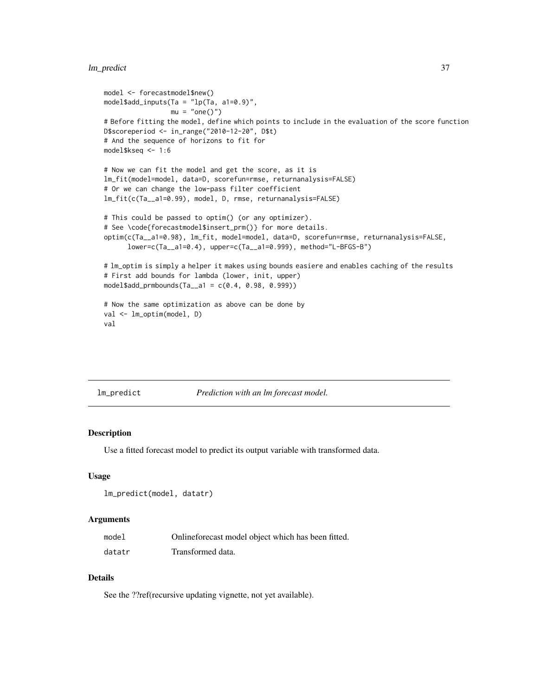# lm\_predict 37

```
model <- forecastmodel$new()
model$add_inputs(Ta = "lp(Ta, a1=0.9)",
                 mu = "one()")# Before fitting the model, define which points to include in the evaluation of the score function
D$scoreperiod <- in_range("2010-12-20", D$t)
# And the sequence of horizons to fit for
model$kseq <- 1:6
# Now we can fit the model and get the score, as it is
lm_fit(model=model, data=D, scorefun=rmse, returnanalysis=FALSE)
# Or we can change the low-pass filter coefficient
lm_fit(c(Ta__a1=0.99), model, D, rmse, returnanalysis=FALSE)
# This could be passed to optim() (or any optimizer).
# See \code{forecastmodel$insert_prm()} for more details.
optim(c(Ta__a1=0.98), lm_fit, model=model, data=D, scorefun=rmse, returnanalysis=FALSE,
      lower=c(Ta__a1=0.4), upper=c(Ta__a1=0.999), method="L-BFGS-B")
# lm_optim is simply a helper it makes using bounds easiere and enables caching of the results
# First add bounds for lambda (lower, init, upper)
model$add_prmbounds(Ta__a1 = c(0.4, 0.98, 0.999))
# Now the same optimization as above can be done by
val <- lm_optim(model, D)
val
```
lm\_predict *Prediction with an lm forecast model.*

#### **Description**

Use a fitted forecast model to predict its output variable with transformed data.

## Usage

```
lm_predict(model, datatr)
```
#### Arguments

| model  | Onlineforecast model object which has been fitted. |
|--------|----------------------------------------------------|
| datatr | Transformed data.                                  |

## Details

See the ??ref(recursive updating vignette, not yet available).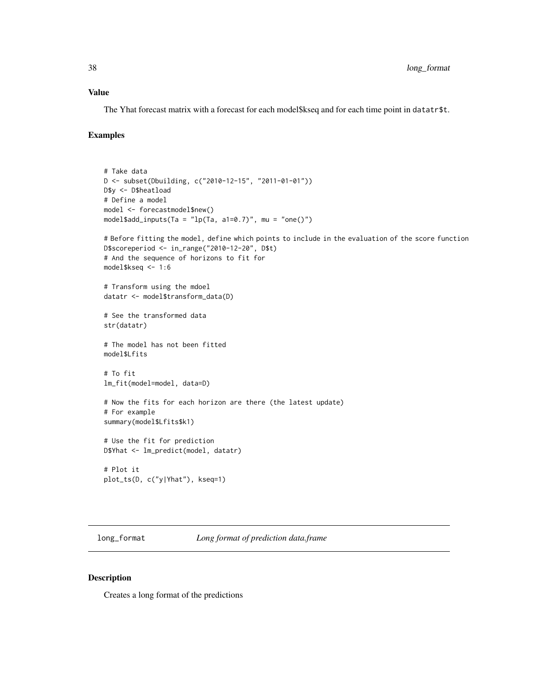## Value

The Yhat forecast matrix with a forecast for each model\$kseq and for each time point in datatr\$t.

# Examples

```
# Take data
D <- subset(Dbuilding, c("2010-12-15", "2011-01-01"))
D$y <- D$heatload
# Define a model
model <- forecastmodel$new()
model$add_inputs(Ta = "lp(Ta, a1=0.7)", mu = "one()")
# Before fitting the model, define which points to include in the evaluation of the score function
D$scoreperiod <- in_range("2010-12-20", D$t)
# And the sequence of horizons to fit for
model$kseq <- 1:6
# Transform using the mdoel
datatr <- model$transform_data(D)
# See the transformed data
str(datatr)
# The model has not been fitted
model$Lfits
# To fit
lm_fit(model=model, data=D)
# Now the fits for each horizon are there (the latest update)
# For example
summary(model$Lfits$k1)
# Use the fit for prediction
D$Yhat <- lm_predict(model, datatr)
# Plot it
plot_ts(D, c("y|Yhat"), kseq=1)
```
long\_format *Long format of prediction data.frame*

#### Description

Creates a long format of the predictions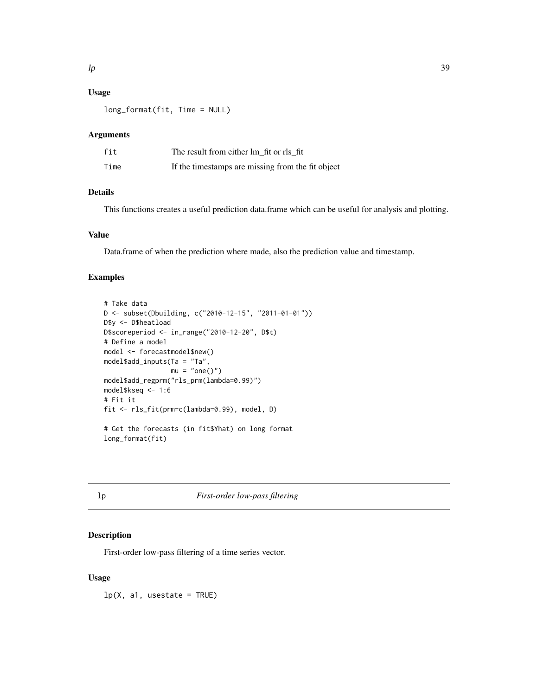# Usage

long\_format(fit, Time = NULL)

# Arguments

| fit  | The result from either lm fit or rls fit          |
|------|---------------------------------------------------|
| Time | If the timestamps are missing from the fit object |

# Details

This functions creates a useful prediction data.frame which can be useful for analysis and plotting.

#### Value

Data.frame of when the prediction where made, also the prediction value and timestamp.

# Examples

```
# Take data
D <- subset(Dbuilding, c("2010-12-15", "2011-01-01"))
D$y <- D$heatload
D$scoreperiod <- in_range("2010-12-20", D$t)
# Define a model
model <- forecastmodel$new()
model$add_inputs(Ta = "Ta",
                mu = "one()")model$add_regprm("rls_prm(lambda=0.99)")
model$kseq <- 1:6
# Fit it
fit <- rls_fit(prm=c(lambda=0.99), model, D)
# Get the forecasts (in fit$Yhat) on long format
long_format(fit)
```
# lp *First-order low-pass filtering*

## Description

First-order low-pass filtering of a time series vector.

#### Usage

 $lp(X, a1, use state = TRUE)$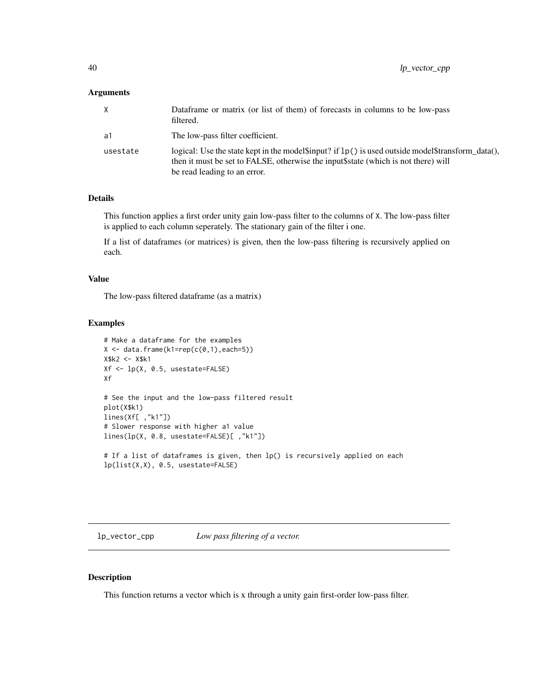## Arguments

| X        | Dataframe or matrix (or list of them) of forecasts in columns to be low-pass<br>filtered.                                                                                                                                   |
|----------|-----------------------------------------------------------------------------------------------------------------------------------------------------------------------------------------------------------------------------|
| a1       | The low-pass filter coefficient.                                                                                                                                                                                            |
| usestate | logical: Use the state kept in the model sinput? if $lp()$ is used outside model stransform_data(),<br>then it must be set to FALSE, otherwise the input \$ state (which is not there) will<br>be read leading to an error. |

# Details

This function applies a first order unity gain low-pass filter to the columns of X. The low-pass filter is applied to each column seperately. The stationary gain of the filter i one.

If a list of dataframes (or matrices) is given, then the low-pass filtering is recursively applied on each.

#### Value

The low-pass filtered dataframe (as a matrix)

# Examples

```
# Make a dataframe for the examples
X \leftarrow data . frame(k1=rep(c(0,1), each=5))X$k2 <- X$k1
Xf <- lp(X, 0.5, usestate=FALSE)
Xf
# See the input and the low-pass filtered result
plot(X$k1)
lines(Xf[ ,"k1"])
# Slower response with higher a1 value
lines(lp(X, 0.8, usestate=FALSE)[ ,"k1"])
# If a list of dataframes is given, then lp() is recursively applied on each
lp(list(X,X), 0.5, usestate=FALSE)
```
lp\_vector\_cpp *Low pass filtering of a vector.*

#### Description

This function returns a vector which is x through a unity gain first-order low-pass filter.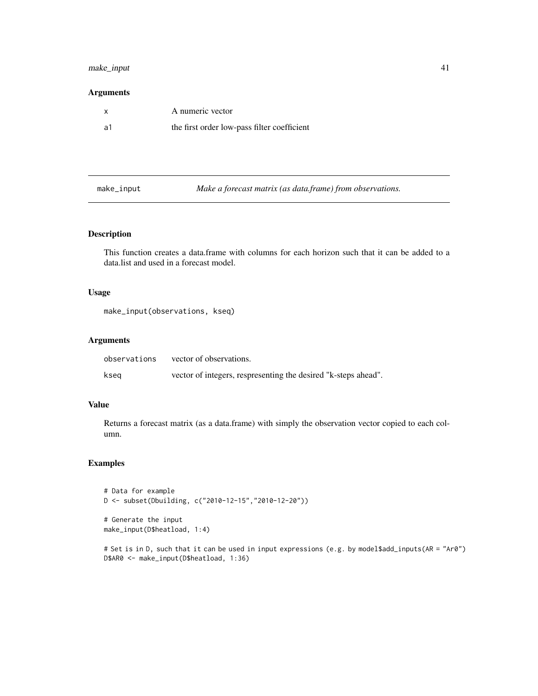# make\_input 41

# Arguments

|     | A numeric vector                            |
|-----|---------------------------------------------|
| -a1 | the first order low-pass filter coefficient |

make\_input *Make a forecast matrix (as data.frame) from observations.*

# Description

This function creates a data.frame with columns for each horizon such that it can be added to a data.list and used in a forecast model.

#### Usage

make\_input(observations, kseq)

## Arguments

| observations | vector of observations.                                        |
|--------------|----------------------------------------------------------------|
| kseg         | vector of integers, respresenting the desired "k-steps ahead". |

# Value

Returns a forecast matrix (as a data.frame) with simply the observation vector copied to each column.

# Examples

```
# Data for example
D <- subset(Dbuilding, c("2010-12-15","2010-12-20"))
# Generate the input
make_input(D$heatload, 1:4)
```
# Set is in D, such that it can be used in input expressions (e.g. by model\$add\_inputs(AR = "Ar0") D\$AR0 <- make\_input(D\$heatload, 1:36)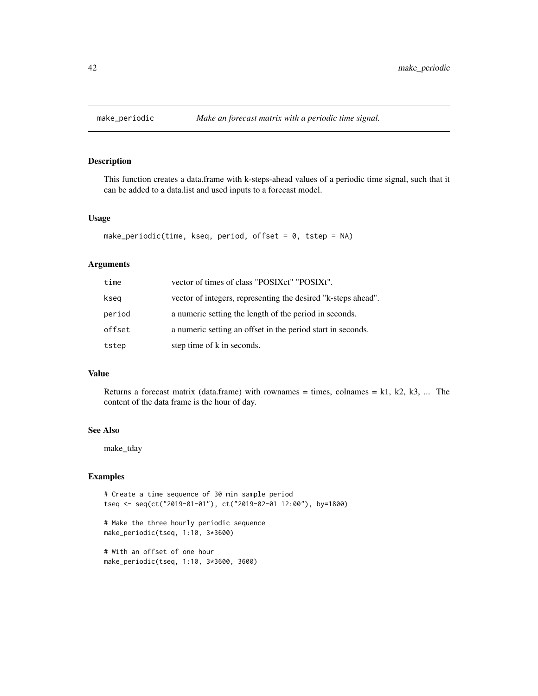This function creates a data.frame with k-steps-ahead values of a periodic time signal, such that it can be added to a data.list and used inputs to a forecast model.

#### Usage

```
make_periodic(time, kseq, period, offset = 0, tstep = NA)
```
#### Arguments

| time   | vector of times of class "POSIXct" "POSIXt".                  |
|--------|---------------------------------------------------------------|
| kseg   | vector of integers, representing the desired "k-steps ahead". |
| period | a numeric setting the length of the period in seconds.        |
| offset | a numeric setting an offset in the period start in seconds.   |
| tstep  | step time of k in seconds.                                    |

## Value

Returns a forecast matrix (data.frame) with rownames = times, colnames = k1, k2, k3, ... The content of the data frame is the hour of day.

# See Also

make\_tday

#### Examples

```
# Create a time sequence of 30 min sample period
tseq <- seq(ct("2019-01-01"), ct("2019-02-01 12:00"), by=1800)
```
# Make the three hourly periodic sequence make\_periodic(tseq, 1:10, 3\*3600)

# With an offset of one hour make\_periodic(tseq, 1:10, 3\*3600, 3600)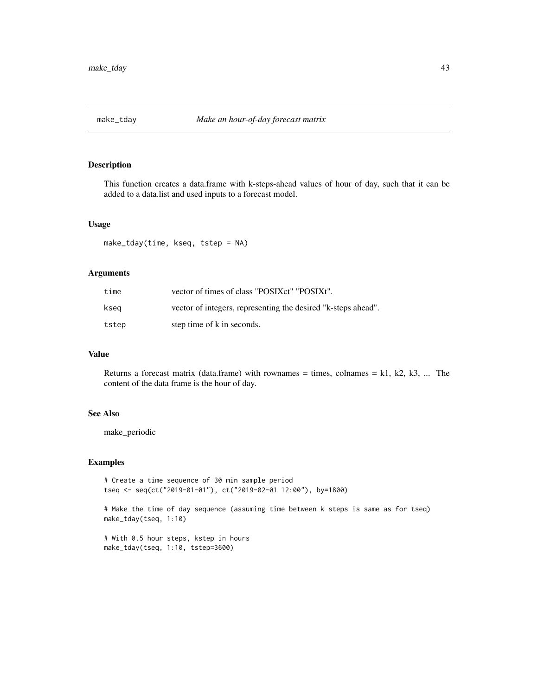This function creates a data.frame with k-steps-ahead values of hour of day, such that it can be added to a data.list and used inputs to a forecast model.

#### Usage

```
make_tday(time, kseq, tstep = NA)
```
## Arguments

| time  | vector of times of class "POSIXct" "POSIXt".                  |
|-------|---------------------------------------------------------------|
| ksea  | vector of integers, representing the desired "k-steps ahead". |
| tstep | step time of k in seconds.                                    |

# Value

Returns a forecast matrix (data.frame) with rownames = times, colnames =  $k1$ ,  $k2$ ,  $k3$ , ... The content of the data frame is the hour of day.

## See Also

make\_periodic

#### Examples

```
# Create a time sequence of 30 min sample period
tseq <- seq(ct("2019-01-01"), ct("2019-02-01 12:00"), by=1800)
# Make the time of day sequence (assuming time between k steps is same as for tseq)
make_tday(tseq, 1:10)
# With 0.5 hour steps, kstep in hours
make_tday(tseq, 1:10, tstep=3600)
```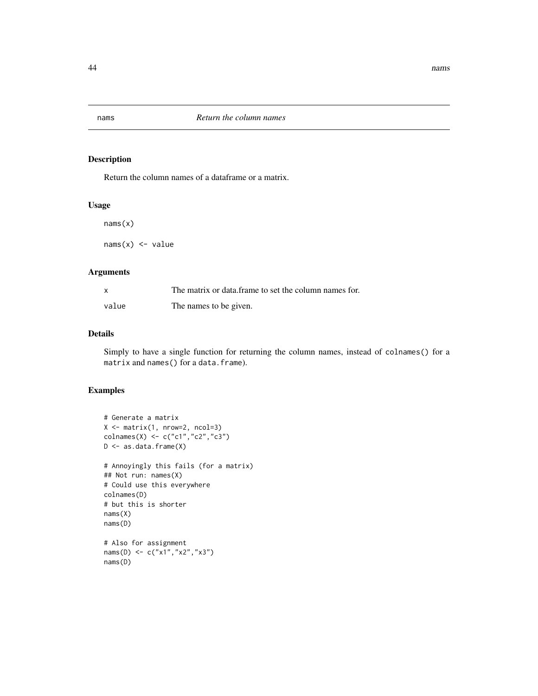Return the column names of a dataframe or a matrix.

## Usage

nams(x)

 $nams(x) < - value$ 

## Arguments

| X     | The matrix or data frame to set the column names for. |
|-------|-------------------------------------------------------|
| value | The names to be given.                                |

# Details

Simply to have a single function for returning the column names, instead of colnames() for a matrix and names() for a data.frame).

# Examples

```
# Generate a matrix
X \leftarrow matrix(1, nrow=2, ncol=3)colnames(X) <- c("c1","c2","c3")
D <- as.data.frame(X)
# Annoyingly this fails (for a matrix)
## Not run: names(X)
# Could use this everywhere
colnames(D)
# but this is shorter
nams(X)
nams(D)
# Also for assignment
nams(D) <- c("x1","x2","x3")
nams(D)
```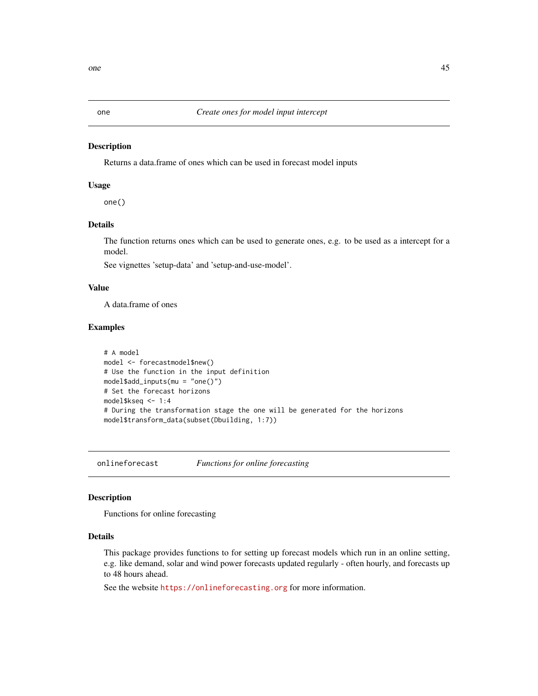Returns a data.frame of ones which can be used in forecast model inputs

#### Usage

one()

#### Details

The function returns ones which can be used to generate ones, e.g. to be used as a intercept for a model.

See vignettes 'setup-data' and 'setup-and-use-model'.

#### Value

A data.frame of ones

#### Examples

```
# A model
model <- forecastmodel$new()
# Use the function in the input definition
model$add_inputs(mu = "one()")
# Set the forecast horizons
model$kseq <- 1:4
# During the transformation stage the one will be generated for the horizons
model$transform_data(subset(Dbuilding, 1:7))
```
onlineforecast *Functions for online forecasting*

# Description

Functions for online forecasting

## Details

This package provides functions to for setting up forecast models which run in an online setting, e.g. like demand, solar and wind power forecasts updated regularly - often hourly, and forecasts up to 48 hours ahead.

See the website <https://onlineforecasting.org> for more information.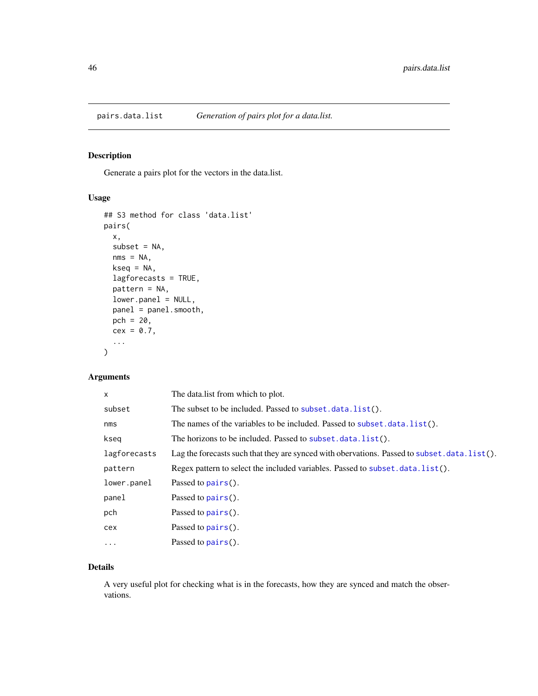Generate a pairs plot for the vectors in the data.list.

# Usage

```
## S3 method for class 'data.list'
pairs(
 x,
 subset = NA,
 nms = NA,
 kseq = NA,
  lagforecasts = TRUE,
 pattern = NA,
  lower.panel = NULL,
 panel = panel.smooth,
 pch = 20,
  cex = 0.7,
  ...
)
```
# Arguments

| x            | The datalist from which to plot.                                                            |
|--------------|---------------------------------------------------------------------------------------------|
| subset       | The subset to be included. Passed to subset. data. list().                                  |
| nms          | The names of the variables to be included. Passed to subset.data.list().                    |
| kseq         | The horizons to be included. Passed to subset. data. list().                                |
| lagforecasts | Lag the forecasts such that they are synced with obervations. Passed to subset.data.list(). |
| pattern      | Regex pattern to select the included variables. Passed to subset. data. list().             |
| lower.panel  | Passed to $pairs()$ .                                                                       |
| panel        | Passed to $pairs()$ .                                                                       |
| pch          | Passed to $pairs()$ .                                                                       |
| cex          | Passed to pairs().                                                                          |
| $\cdots$     | Passed to $pairs()$ .                                                                       |

## Details

A very useful plot for checking what is in the forecasts, how they are synced and match the observations.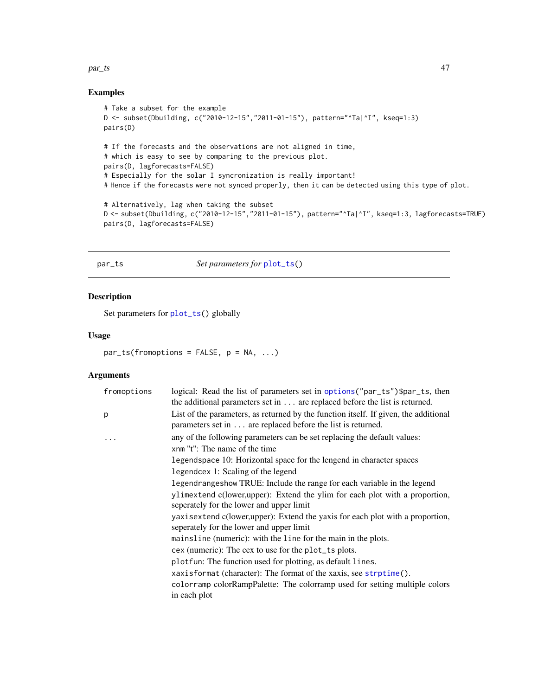#### $par\_ts$  and  $47$

# Examples

```
# Take a subset for the example
D <- subset(Dbuilding, c("2010-12-15","2011-01-15"), pattern="^Ta|^I", kseq=1:3)
pairs(D)
# If the forecasts and the observations are not aligned in time,
# which is easy to see by comparing to the previous plot.
pairs(D, lagforecasts=FALSE)
# Especially for the solar I syncronization is really important!
# Hence if the forecasts were not synced properly, then it can be detected using this type of plot.
# Alternatively, lag when taking the subset
D <- subset(Dbuilding, c("2010-12-15","2011-01-15"), pattern="^Ta|^I", kseq=1:3, lagforecasts=TRUE)
pairs(D, lagforecasts=FALSE)
```
<span id="page-46-0"></span>par\_ts *Set parameters for* [plot\\_ts\(](#page-50-0))

# Description

Set parameters for [plot\\_ts\(](#page-50-0)) globally

## Usage

par\_ts(fromoptions = FALSE, p = NA, ...)

# Arguments

| fromoptions | logical: Read the list of parameters set in options ("par_ts")\$par_ts, then<br>the additional parameters set in $\dots$ are replaced before the list is returned. |
|-------------|--------------------------------------------------------------------------------------------------------------------------------------------------------------------|
| p           | List of the parameters, as returned by the function itself. If given, the additional<br>parameters set in are replaced before the list is returned.                |
| .           | any of the following parameters can be set replacing the default values:                                                                                           |
|             | xnm "t": The name of the time                                                                                                                                      |
|             | legendspace 10: Horizontal space for the lengend in character spaces                                                                                               |
|             | legendcex 1: Scaling of the legend                                                                                                                                 |
|             | legendrangeshow TRUE: Include the range for each variable in the legend                                                                                            |
|             | ylimextend c(lower,upper): Extend the ylim for each plot with a proportion,<br>seperately for the lower and upper limit                                            |
|             | yaxisextend c(lower, upper): Extend the yaxis for each plot with a proportion,<br>seperately for the lower and upper limit                                         |
|             | mainsline (numeric): with the line for the main in the plots.                                                                                                      |
|             | cex (numeric): The cex to use for the plot_ts plots.                                                                                                               |
|             | plotfun: The function used for plotting, as default lines.                                                                                                         |
|             | xaxisformat (character): The format of the xaxis, see strptime().                                                                                                  |
|             | colorramp colorRampPalette: The colorramp used for setting multiple colors                                                                                         |
|             | in each plot                                                                                                                                                       |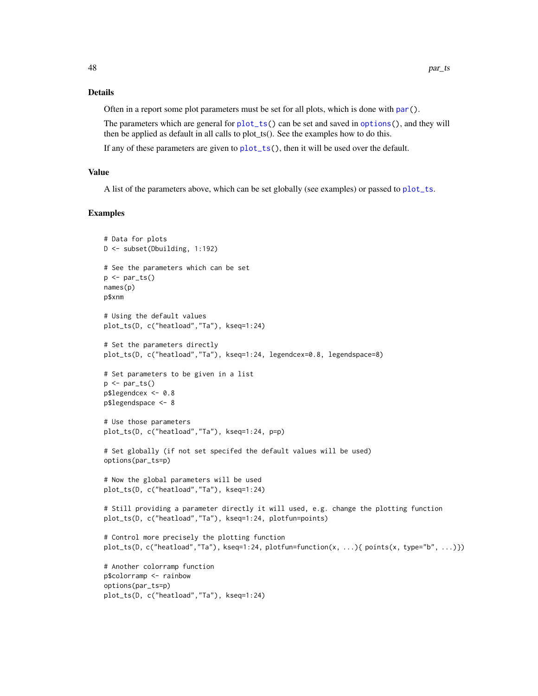# Details

Often in a report some plot parameters must be set for all plots, which is done with [par\(](#page-0-0)).

The parameters which are general for [plot\\_ts\(](#page-50-0)) can be set and saved in [options\(](#page-0-0)), and they will then be applied as default in all calls to plot\_ts(). See the examples how to do this.

If any of these parameters are given to [plot\\_ts\(](#page-50-0)), then it will be used over the default.

## Value

A list of the parameters above, which can be set globally (see examples) or passed to [plot\\_ts](#page-50-0).

## Examples

```
# Data for plots
D <- subset(Dbuilding, 1:192)
# See the parameters which can be set
p \leftarrow par\_ts()names(p)
p$xnm
# Using the default values
plot_ts(D, c("heatload","Ta"), kseq=1:24)
# Set the parameters directly
plot_ts(D, c("heatload","Ta"), kseq=1:24, legendcex=0.8, legendspace=8)
# Set parameters to be given in a list
p \leftarrow par\_ts()p$legendcex <- 0.8
p$legendspace <- 8
# Use those parameters
plot_ts(D, c("heatload","Ta"), kseq=1:24, p=p)
# Set globally (if not set specifed the default values will be used)
options(par_ts=p)
# Now the global parameters will be used
plot_ts(D, c("heatload","Ta"), kseq=1:24)
# Still providing a parameter directly it will used, e.g. change the plotting function
plot_ts(D, c("heatload","Ta"), kseq=1:24, plotfun=points)
# Control more precisely the plotting function
plot_ts(D, c("heatload","Ta"), kseq=1:24, plotfun=function(x, ...){ points(x, type="b", ...)})
# Another colorramp function
p$colorramp <- rainbow
options(par_ts=p)
plot_ts(D, c("heatload","Ta"), kseq=1:24)
```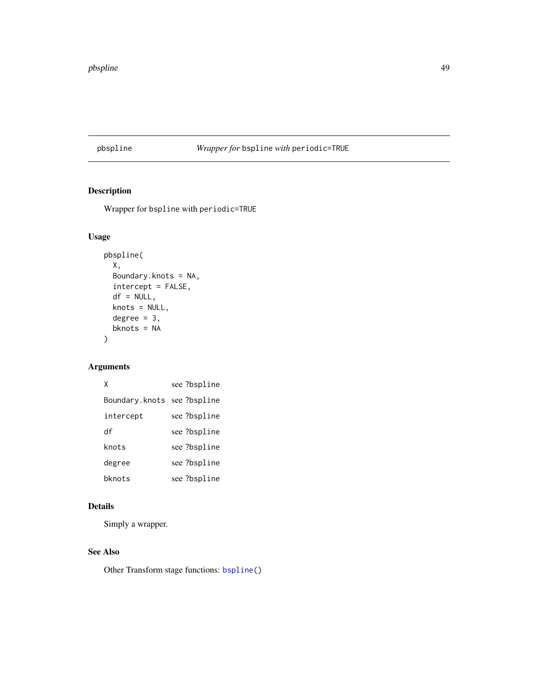# pbspline *Wrapper for* bspline *with* periodic=TRUE

# Description

Wrapper for bspline with periodic=TRUE

# Usage

```
pbspline(
  X,
  Boundary.knots = NA,
  intercept = FALSE,
  df = NULL,knots = NULL,
  degree = 3,
  bknots = NA
\mathcal{L}
```
# Arguments

| χ                          | see ?bspline |
|----------------------------|--------------|
| Boundary.knots see?bspline |              |
| intercept                  | see ?bspline |
| df                         | see ?bspline |
| knots                      | see ?bspline |
| degree                     | see ?bspline |
| bknots                     | see ?bspline |

# Details

Simply a wrapper.

# See Also

Other Transform stage functions: [bspline\(](#page-8-0))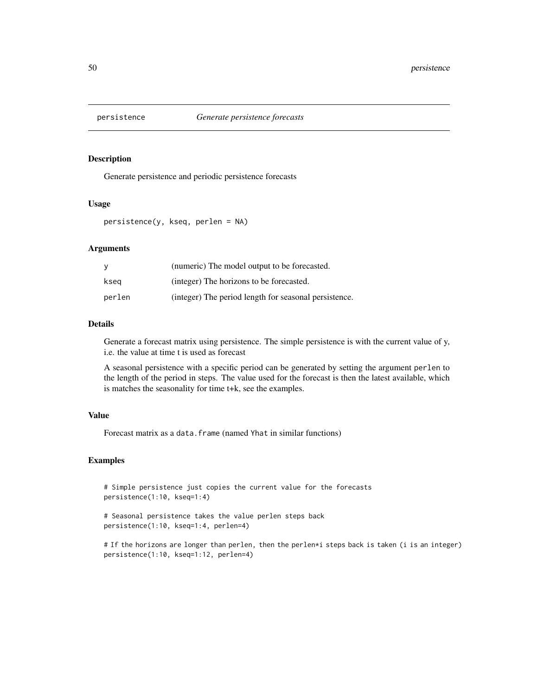Generate persistence and periodic persistence forecasts

#### Usage

persistence(y, kseq, perlen = NA)

#### Arguments

|        | (numeric) The model output to be forecasted.          |
|--------|-------------------------------------------------------|
| ksea   | (integer) The horizons to be forecasted.              |
| perlen | (integer) The period length for seasonal persistence. |

# Details

Generate a forecast matrix using persistence. The simple persistence is with the current value of y, i.e. the value at time t is used as forecast

A seasonal persistence with a specific period can be generated by setting the argument perlen to the length of the period in steps. The value used for the forecast is then the latest available, which is matches the seasonality for time t+k, see the examples.

## Value

Forecast matrix as a data.frame (named Yhat in similar functions)

## Examples

# Simple persistence just copies the current value for the forecasts persistence(1:10, kseq=1:4)

# Seasonal persistence takes the value perlen steps back persistence(1:10, kseq=1:4, perlen=4)

# If the horizons are longer than perlen, then the perlen\*i steps back is taken (i is an integer) persistence(1:10, kseq=1:12, perlen=4)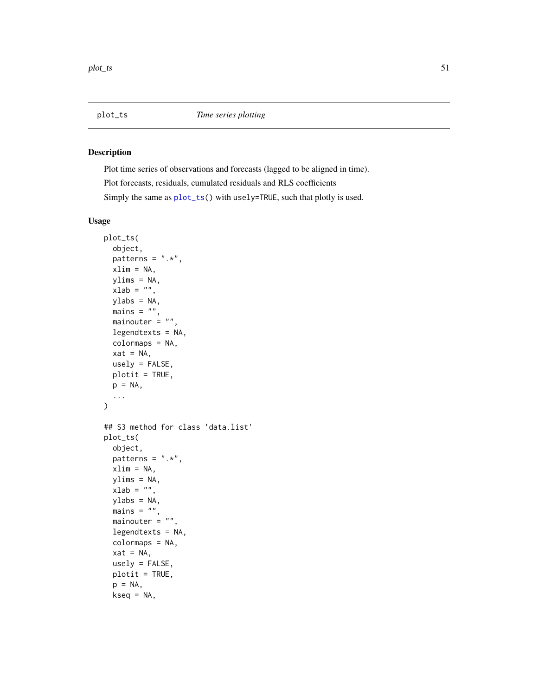<span id="page-50-1"></span><span id="page-50-0"></span>

Plot time series of observations and forecasts (lagged to be aligned in time). Plot forecasts, residuals, cumulated residuals and RLS coefficients Simply the same as [plot\\_ts\(](#page-50-0)) with usely=TRUE, such that plotly is used.

# Usage

```
plot_ts(
 object,
  patterns = ".**",
  xlim = NA,
 ylims = NA,
 xlab = ",
 ylabs = NA,
 mains = "",mainouter = ",
  legendtexts = NA,
  colormaps = NA,
  xat = NA,
 usely = FALSE,
 plotit = TRUE,
 p = NA,
  ...
\mathcal{L}## S3 method for class 'data.list'
plot_ts(
  object,
  patterns = ".**",
 xlim = NA,
 ylims = NA,
 xlab = ",
  ylabs = NA,
 mains = "",mainouter = ",
  legendtexts = NA,
  colormaps = NA,
  xat = NA,
  usely = FALSE,
 plotit = TRUE,
  p = NA,
  kseq = NA,
```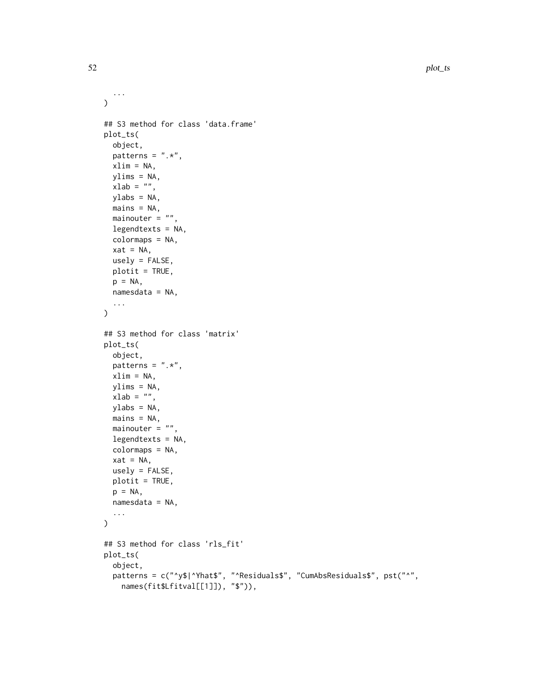```
...
\lambda## S3 method for class 'data.frame'
plot_ts(
 object,
 patterns = ".**",
 xlim = NA,
 ylims = NA,
 xlab = ",
 ylabs = NA,
 mains = NA,
 mainouter = ",
 legendtexts = NA,
 colormaps = NA,
  xat = NA,
 usely = FALSE,
 plotit = TRUE,
 p = NA,
 namesdata = NA,
  ...
\mathcal{L}## S3 method for class 'matrix'
plot_ts(
 object,
 patterns = ".**",
 xlim = NA,
 ylims = NA,
 xlab = "",
 ylabs = NA,
 mains = NA,
 mainouter = ",
 legendtexts = NA,
 colormaps = NA,
 xat = NA,
 usely = FALSE,
 plotit = TRUE,
 p = NA,
 namesdata = NA,
  ...
\mathcal{L}## S3 method for class 'rls_fit'
plot_ts(
 object,
 patterns = c("^y$|^Yhat$", "^Residuals$", "CumAbsResiduals$", pst("^",
    names(fit$Lfitval[[1]]), "$")),
```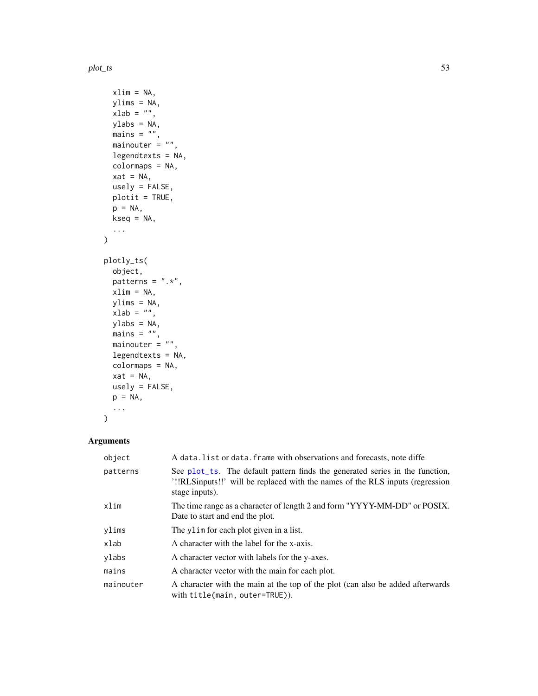plot\_ts 53

```
xlim = NA,
 ylims = NA,
 xlab = "",
 ylabs = NA,
 mains = ",
 mainouter = ",
 legendtexts = NA,
 colormaps = NA,
 xat = NA,
 usely = FALSE,
 plotit = TRUE,
 p = NA,
 kseq = NA,
  ...
\mathcal{L}plotly_ts(
 object,
 patterns = ".*",xlim = NA,
 ylims = NA,
  xlab = "",
 ylabs = NA,
 mains = ",
 mainouter = ",
 legendtexts = NA,
  colormaps = NA,
 xat = NA,usely = FALSE,
 p = NA,
  ...
\mathcal{L}
```
# Arguments

| object    | A data. list or data. frame with observations and forecasts, note diffe                                                                                                          |
|-----------|----------------------------------------------------------------------------------------------------------------------------------------------------------------------------------|
| patterns  | See plot_ts. The default pattern finds the generated series in the function,<br>'!!RLSinputs!!' will be replaced with the names of the RLS inputs (regression)<br>stage inputs). |
| xlim      | The time range as a character of length 2 and form "YYYY-MM-DD" or POSIX.<br>Date to start and end the plot.                                                                     |
| ylims     | The ylim for each plot given in a list.                                                                                                                                          |
| xlab      | A character with the label for the x-axis.                                                                                                                                       |
| ylabs     | A character vector with labels for the y-axes.                                                                                                                                   |
| mains     | A character vector with the main for each plot.                                                                                                                                  |
| mainouter | A character with the main at the top of the plot (can also be added afterwards)<br>with title(main, outer=TRUE)).                                                                |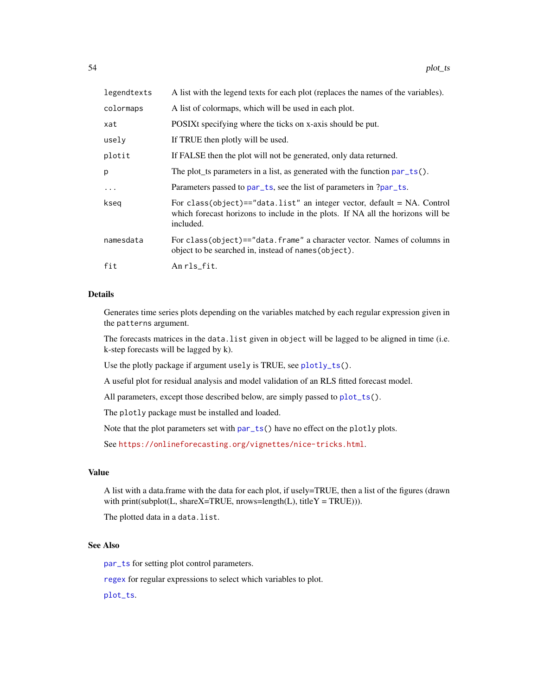| legendtexts | A list with the legend texts for each plot (replaces the names of the variables).                                                                                          |
|-------------|----------------------------------------------------------------------------------------------------------------------------------------------------------------------------|
| colormaps   | A list of colormaps, which will be used in each plot.                                                                                                                      |
| xat         | POSIXt specifying where the ticks on x-axis should be put.                                                                                                                 |
| usely       | If TRUE then plotly will be used.                                                                                                                                          |
| plotit      | If FALSE then the plot will not be generated, only data returned.                                                                                                          |
| p           | The plot_ts parameters in a list, as generated with the function $par\_ts()$ .                                                                                             |
| $\ddots$    | Parameters passed to par_ts, see the list of parameters in ?par_ts.                                                                                                        |
| kseq        | For class(object)=="data.list" an integer vector, default = $NA$ . Control<br>which forecast horizons to include in the plots. If NA all the horizons will be<br>included. |
| namesdata   | For class(object)=="data.frame" a character vector. Names of columns in<br>object to be searched in, instead of names (object).                                            |
| fit         | An rls_fit.                                                                                                                                                                |

# Details

Generates time series plots depending on the variables matched by each regular expression given in the patterns argument.

The forecasts matrices in the data.list given in object will be lagged to be aligned in time (i.e. k-step forecasts will be lagged by k).

Use the plotly package if argument usely is TRUE, see [plotly\\_ts\(](#page-50-1)).

A useful plot for residual analysis and model validation of an RLS fitted forecast model.

All parameters, except those described below, are simply passed to [plot\\_ts\(](#page-50-0)).

The plotly package must be installed and loaded.

Note that the plot parameters set with [par\\_ts\(](#page-46-0)) have no effect on the plotly plots.

See <https://onlineforecasting.org/vignettes/nice-tricks.html>.

# Value

A list with a data.frame with the data for each plot, if usely=TRUE, then a list of the figures (drawn with print(subplot(L, shareX=TRUE, nrows=length(L), titleY = TRUE))).

The plotted data in a data.list.

## See Also

[par\\_ts](#page-46-0) for setting plot control parameters.

[regex](#page-0-0) for regular expressions to select which variables to plot.

[plot\\_ts](#page-50-0).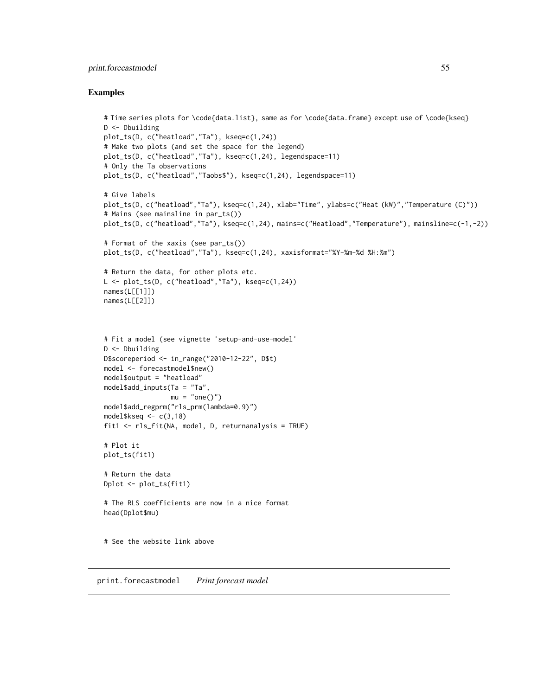# print.forecastmodel 55

#### Examples

```
# Time series plots for \code{data.list}, same as for \code{data.frame} except use of \code{kseq}
D <- Dbuilding
plot_ts(D, c("heatload","Ta"), kseq=c(1,24))
# Make two plots (and set the space for the legend)
plot_ts(D, c("heatload","Ta"), kseq=c(1,24), legendspace=11)
# Only the Ta observations
plot_ts(D, c("heatload","Taobs$"), kseq=c(1,24), legendspace=11)
# Give labels
plot_ts(D, c("heatload","Ta"), kseq=c(1,24), xlab="Time", ylabs=c("Heat (kW)","Temperature (C)"))
# Mains (see mainsline in par_ts())
plot_ts(D, c("heatload","Ta"), kseq=c(1,24), mains=c("Heatload","Temperature"), mainsline=c(-1,-2))
# Format of the xaxis (see par_ts())
plot_ts(D, c("heatload","Ta"), kseq=c(1,24), xaxisformat="%Y-%m-%d %H:%m")
# Return the data, for other plots etc.
L \leq plot_{ts}(D, c("heatload", "Ta"), kseq=c(1, 24))names(L[[1]])
names(L[[2]])
# Fit a model (see vignette 'setup-and-use-model'
D <- Dbuilding
D$scoreperiod <- in_range("2010-12-22", D$t)
model <- forecastmodel$new()
model$output = "heatload"
model$add_inputs(Ta = "Ta",
                 mu = "one()")model$add_regprm("rls_prm(lambda=0.9)")
model$kseq < -c(3,18)$fit1 <- rls_fit(NA, model, D, returnanalysis = TRUE)
# Plot it
plot_ts(fit1)
# Return the data
Dplot <- plot_ts(fit1)
# The RLS coefficients are now in a nice format
head(Dplot$mu)
# See the website link above
```
print.forecastmodel *Print forecast model*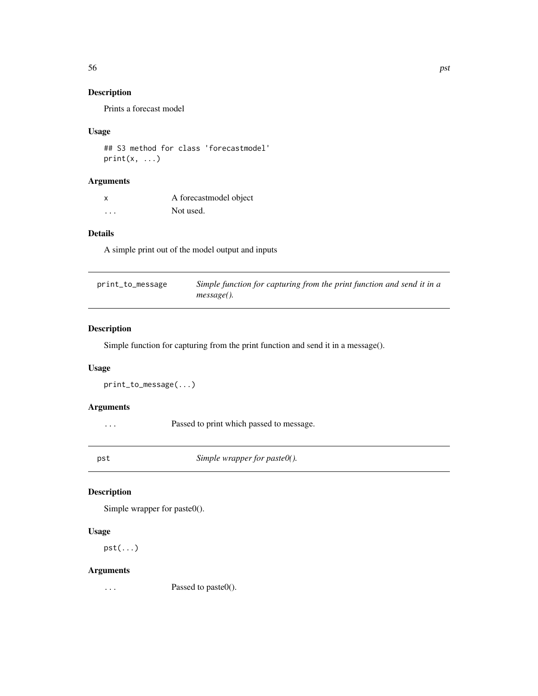Prints a forecast model

# Usage

```
## S3 method for class 'forecastmodel'
print(x, \ldots)
```
# Arguments

| X | A forecast model object |
|---|-------------------------|
| . | Not used.               |

# Details

A simple print out of the model output and inputs

| print_to_message | Simple function for capturing from the print function and send it in a |
|------------------|------------------------------------------------------------------------|
|                  | message().                                                             |

# Description

Simple function for capturing from the print function and send it in a message().

# Usage

```
print_to_message(...)
```
# Arguments

... Passed to print which passed to message.

pst *Simple wrapper for paste0().*

# Description

Simple wrapper for paste0().

## Usage

pst(...)

# Arguments

... Passed to paste0().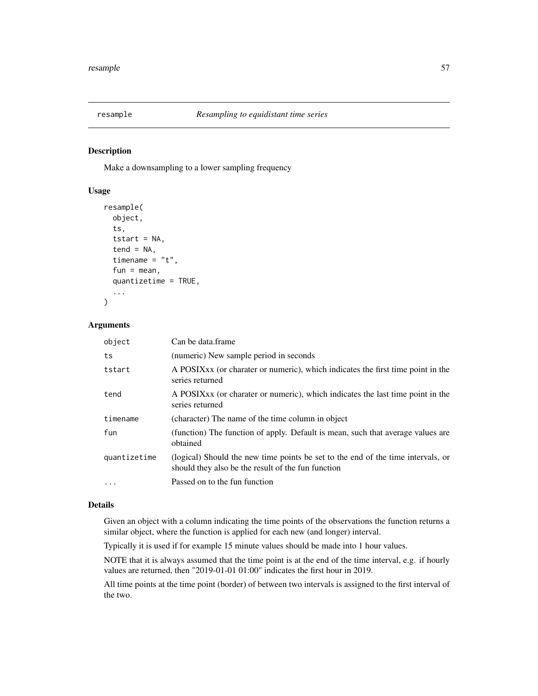Make a downsampling to a lower sampling frequency

#### Usage

```
resample(
  object,
  ts,
  tstart = NA,
  tend = NA,
  timename = "t",fun = mean,quantizetime = TRUE,
  ...
)
```
# Arguments

| object       | Can be data frame                                                                                                                      |
|--------------|----------------------------------------------------------------------------------------------------------------------------------------|
| ts           | (numeric) New sample period in seconds                                                                                                 |
| tstart       | A POSIX xx (or charater or numeric), which indicates the first time point in the<br>series returned                                    |
| tend         | A POSIX <sub>xx</sub> (or charater or numeric), which indicates the last time point in the<br>series returned                          |
| timename     | (character) The name of the time column in object                                                                                      |
| fun          | (function) The function of apply. Default is mean, such that average values are<br>obtained                                            |
| quantizetime | (logical) Should the new time points be set to the end of the time intervals, or<br>should they also be the result of the fun function |
| $\ddotsc$    | Passed on to the fun function                                                                                                          |

#### Details

Given an object with a column indicating the time points of the observations the function returns a similar object, where the function is applied for each new (and longer) interval.

Typically it is used if for example 15 minute values should be made into 1 hour values.

NOTE that it is always assumed that the time point is at the end of the time interval, e.g. if hourly values are returned, then "2019-01-01 01:00" indicates the first hour in 2019.

All time points at the time point (border) of between two intervals is assigned to the first interval of the two.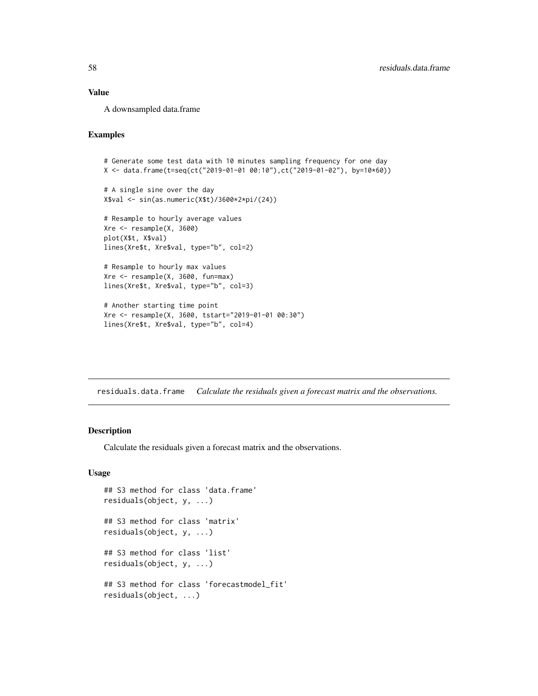# Value

A downsampled data.frame

# Examples

```
# Generate some test data with 10 minutes sampling frequency for one day
X <- data.frame(t=seq(ct("2019-01-01 00:10"),ct("2019-01-02"), by=10*60))
# A single sine over the day
X$val <- sin(as.numeric(X$t)/3600*2*pi/(24))
# Resample to hourly average values
Xre < -resample(X, 3600)plot(X$t, X$val)
lines(Xre$t, Xre$val, type="b", col=2)
# Resample to hourly max values
Xre <- resample(X, 3600, fun=max)
lines(Xre$t, Xre$val, type="b", col=3)
# Another starting time point
Xre <- resample(X, 3600, tstart="2019-01-01 00:30")
lines(Xre$t, Xre$val, type="b", col=4)
```
residuals.data.frame *Calculate the residuals given a forecast matrix and the observations.*

# Description

Calculate the residuals given a forecast matrix and the observations.

# Usage

```
## S3 method for class 'data.frame'
residuals(object, y, ...)
## S3 method for class 'matrix'
residuals(object, y, ...)
## S3 method for class 'list'
residuals(object, y, ...)
## S3 method for class 'forecastmodel_fit'
residuals(object, ...)
```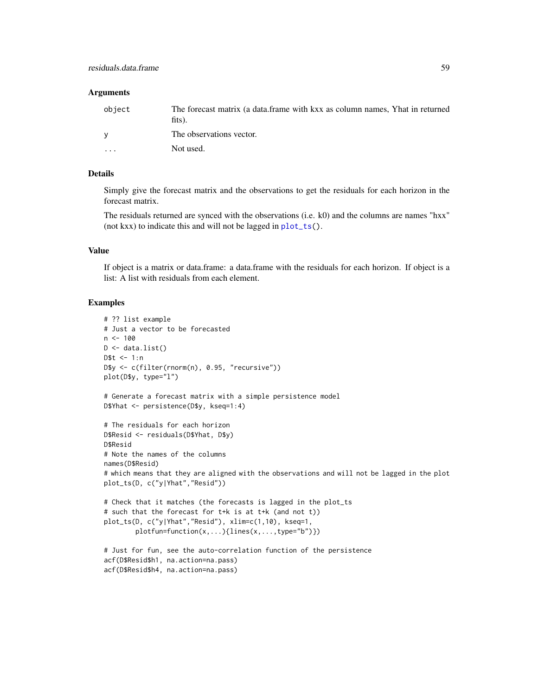#### Arguments

| object   | The forecast matrix (a data frame with kxx as column names, Yhat in returned |
|----------|------------------------------------------------------------------------------|
|          | fits).                                                                       |
|          | The observations vector.                                                     |
| $\cdots$ | Not used.                                                                    |

# Details

Simply give the forecast matrix and the observations to get the residuals for each horizon in the forecast matrix.

The residuals returned are synced with the observations (i.e. k0) and the columns are names "hxx" (not kxx) to indicate this and will not be lagged in [plot\\_ts\(](#page-50-0)).

# Value

If object is a matrix or data.frame: a data.frame with the residuals for each horizon. If object is a list: A list with residuals from each element.

#### Examples

```
# ?? list example
# Just a vector to be forecasted
n < - 100D \leftarrow data,D$t <- 1:n
D$y <- c(filter(rnorm(n), 0.95, "recursive"))
plot(D$y, type="l")
# Generate a forecast matrix with a simple persistence model
D$Yhat <- persistence(D$y, kseq=1:4)
# The residuals for each horizon
D$Resid <- residuals(D$Yhat, D$y)
D$Resid
# Note the names of the columns
names(D$Resid)
# which means that they are aligned with the observations and will not be lagged in the plot
plot_ts(D, c("y|Yhat","Resid"))
# Check that it matches (the forecasts is lagged in the plot_ts
# such that the forecast for t+k is at t+k (and not t))
plot_ts(D, c("y|Yhat","Resid"), xlim=c(1,10), kseq=1,
        plotfun=function(x,...){lines(x,...,type="b")})
# Just for fun, see the auto-correlation function of the persistence
acf(D$Resid$h1, na.action=na.pass)
acf(D$Resid$h4, na.action=na.pass)
```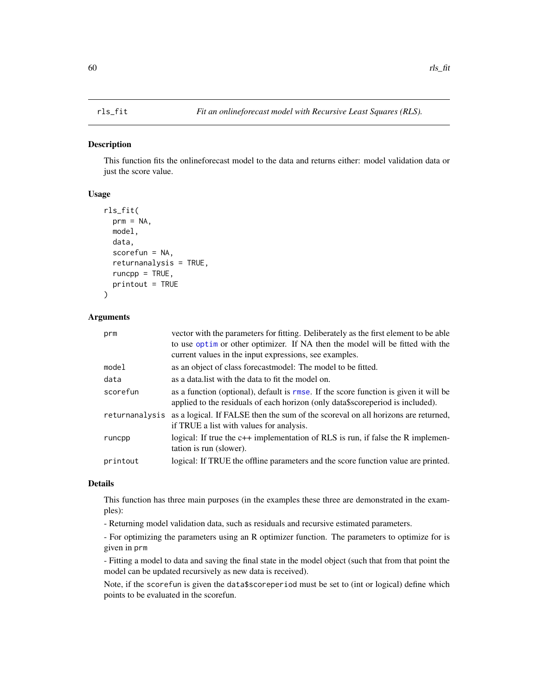<span id="page-59-0"></span>This function fits the onlineforecast model to the data and returns either: model validation data or just the score value.

# Usage

```
rls_fit(
 prm = NA,
 model,
  data,
  scorefun = NA,
  returnanalysis = TRUE,
  runcpp = TRUE,
  printout = TRUE
\lambda
```
#### Arguments

| prm            | vector with the parameters for fitting. Deliberately as the first element to be able<br>to use optim or other optimizer. If NA then the model will be fitted with the  |
|----------------|------------------------------------------------------------------------------------------------------------------------------------------------------------------------|
|                | current values in the input expressions, see examples.                                                                                                                 |
| model          | as an object of class forecast model: The model to be fitted.                                                                                                          |
| data           | as a data list with the data to fit the model on.                                                                                                                      |
| scorefun       | as a function (optional), default is rmse. If the score function is given it will be<br>applied to the residuals of each horizon (only data\$scoreperiod is included). |
| returnanalysis | as a logical. If FALSE then the sum of the scoreval on all horizons are returned,<br>if TRUE a list with values for analysis.                                          |
| runcpp         | logical: If true the $c++$ implementation of RLS is run, if false the R implemen-<br>tation is run (slower).                                                           |
| printout       | logical: If TRUE the offline parameters and the score function value are printed.                                                                                      |

# Details

This function has three main purposes (in the examples these three are demonstrated in the examples):

- Returning model validation data, such as residuals and recursive estimated parameters.

- For optimizing the parameters using an R optimizer function. The parameters to optimize for is given in prm

- Fitting a model to data and saving the final state in the model object (such that from that point the model can be updated recursively as new data is received).

Note, if the scorefun is given the data\$scoreperiod must be set to (int or logical) define which points to be evaluated in the scorefun.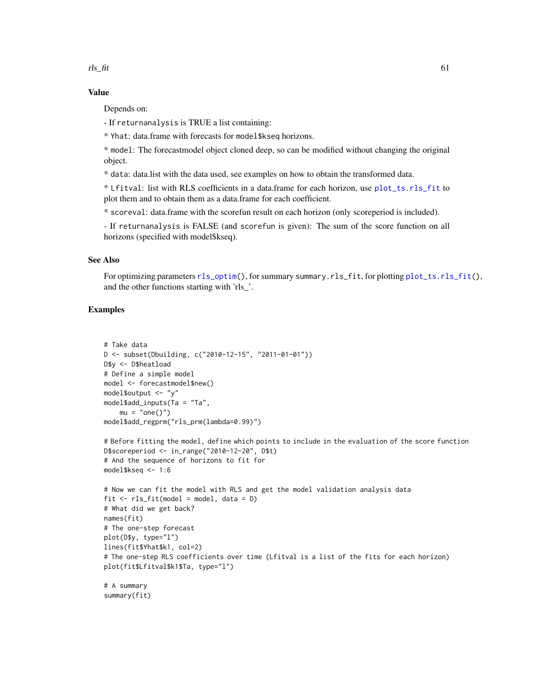$rls\_fit$  61

# Value

Depends on:

- If returnanalysis is TRUE a list containing:

\* Yhat: data.frame with forecasts for model\$kseq horizons.

\* model: The forecastmodel object cloned deep, so can be modified without changing the original object.

\* data: data.list with the data used, see examples on how to obtain the transformed data.

\* Lfitval: list with RLS coefficients in a data.frame for each horizon, use [plot\\_ts.rls\\_fit](#page-50-1) to plot them and to obtain them as a data.frame for each coefficient.

\* scoreval: data.frame with the scorefun result on each horizon (only scoreperiod is included).

- If returnanalysis is FALSE (and scorefun is given): The sum of the score function on all horizons (specified with model\$kseq).

## See Also

For optimizing parameters [rls\\_optim\(](#page-61-0)), for summary summary.rls\_fit, for plotting [plot\\_ts.rls\\_fit\(](#page-50-1)), and the other functions starting with 'rls\_'.

# Examples

```
# Take data
D <- subset(Dbuilding, c("2010-12-15", "2011-01-01"))
D$y <- D$heatload
# Define a simple model
model <- forecastmodel$new()
model$output <- "y"
model$add_inputs(Ta = "Ta",
   mu = "one()")model$add_regprm("rls_prm(lambda=0.99)")
```

```
# Before fitting the model, define which points to include in the evaluation of the score function
D$scoreperiod <- in_range("2010-12-20", D$t)
# And the sequence of horizons to fit for
model$kseq <- 1:6
```

```
# Now we can fit the model with RLS and get the model validation analysis data
fit \leq rls_fit(model = model, data = D)
# What did we get back?
names(fit)
# The one-step forecast
plot(D$y, type="l")
lines(fit$Yhat$k1, col=2)
# The one-step RLS coefficients over time (Lfitval is a list of the fits for each horizon)
plot(fit$Lfitval$k1$Ta, type="l")
```
# A summary summary(fit)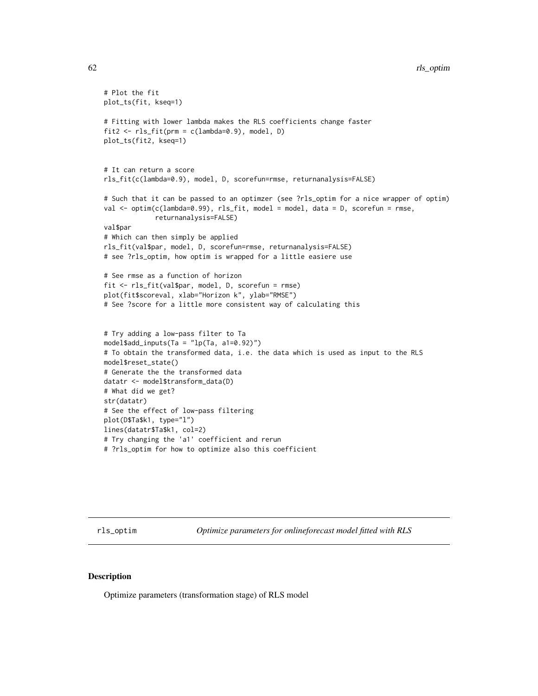```
# Plot the fit
plot_ts(fit, kseq=1)
# Fitting with lower lambda makes the RLS coefficients change faster
fit2 <- rls_fit(prm = c(lambda=0.9), model, D)plot_ts(fit2, kseq=1)
# It can return a score
rls_fit(c(lambda=0.9), model, D, scorefun=rmse, returnanalysis=FALSE)
# Such that it can be passed to an optimzer (see ?rls_optim for a nice wrapper of optim)
val <- optim(c(lambda=0.99), rls_fit, model = model, data = D, scorefun = rmse,
             returnanalysis=FALSE)
val$par
# Which can then simply be applied
rls_fit(val$par, model, D, scorefun=rmse, returnanalysis=FALSE)
# see ?rls_optim, how optim is wrapped for a little easiere use
# See rmse as a function of horizon
fit <- rls_fit(val$par, model, D, scorefun = rmse)
plot(fit$scoreval, xlab="Horizon k", ylab="RMSE")
# See ?score for a little more consistent way of calculating this
# Try adding a low-pass filter to Ta
model$add_inputs(Ta = "lp(Ta, a1=0.92)")
# To obtain the transformed data, i.e. the data which is used as input to the RLS
model$reset_state()
# Generate the the transformed data
datatr <- model$transform_data(D)
# What did we get?
str(datatr)
# See the effect of low-pass filtering
plot(D$Ta$k1, type="l")
lines(datatr$Ta$k1, col=2)
# Try changing the 'a1' coefficient and rerun
# ?rls_optim for how to optimize also this coefficient
```
<span id="page-61-0"></span>rls\_optim *Optimize parameters for onlineforecast model fitted with RLS*

#### **Description**

Optimize parameters (transformation stage) of RLS model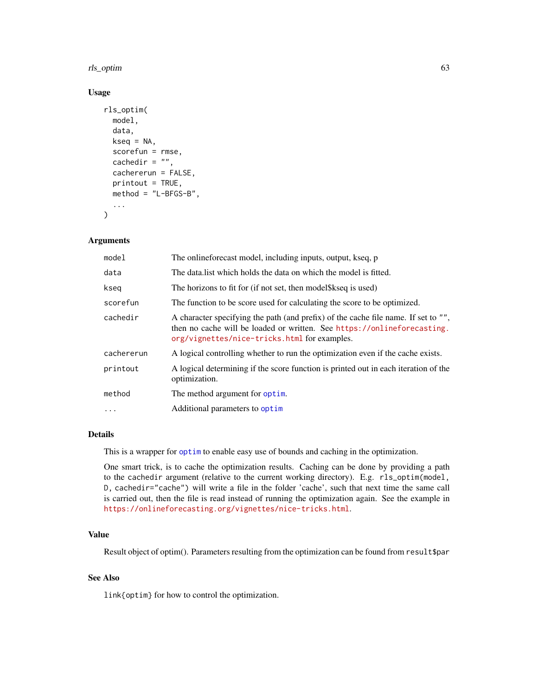#### rls\_optim 63

#### Usage

```
rls_optim(
 model,
  data,
 kseq = NA,
  scorefun = rmse,
  cachedir = ",
  cachererun = FALSE,
 printout = TRUE,
 method = "L-BFGS-B",
  ...
)
```
#### Arguments

| model      | The onlineforecast model, including inputs, output, kseq, p                                                                                                                                                   |
|------------|---------------------------------------------------------------------------------------------------------------------------------------------------------------------------------------------------------------|
| data       | The data list which holds the data on which the model is fitted.                                                                                                                                              |
| kseg       | The horizons to fit for (if not set, then model \$kseq is used)                                                                                                                                               |
| scorefun   | The function to be score used for calculating the score to be optimized.                                                                                                                                      |
| cachedir   | A character specifying the path (and prefix) of the cache file name. If set to "",<br>then no cache will be loaded or written. See https://onlineforecasting.<br>org/vignettes/nice-tricks.html for examples. |
| cachererun | A logical controlling whether to run the optimization even if the cache exists.                                                                                                                               |
| printout   | A logical determining if the score function is printed out in each iteration of the<br>optimization.                                                                                                          |
| method     | The method argument for optim.                                                                                                                                                                                |
| $\cdot$    | Additional parameters to optim                                                                                                                                                                                |

# Details

This is a wrapper for [optim](#page-0-0) to enable easy use of bounds and caching in the optimization.

One smart trick, is to cache the optimization results. Caching can be done by providing a path to the cachedir argument (relative to the current working directory). E.g. rls\_optim(model, D, cachedir="cache") will write a file in the folder 'cache', such that next time the same call is carried out, then the file is read instead of running the optimization again. See the example in <https://onlineforecasting.org/vignettes/nice-tricks.html>.

# Value

Result object of optim(). Parameters resulting from the optimization can be found from result\$par

## See Also

link{optim} for how to control the optimization.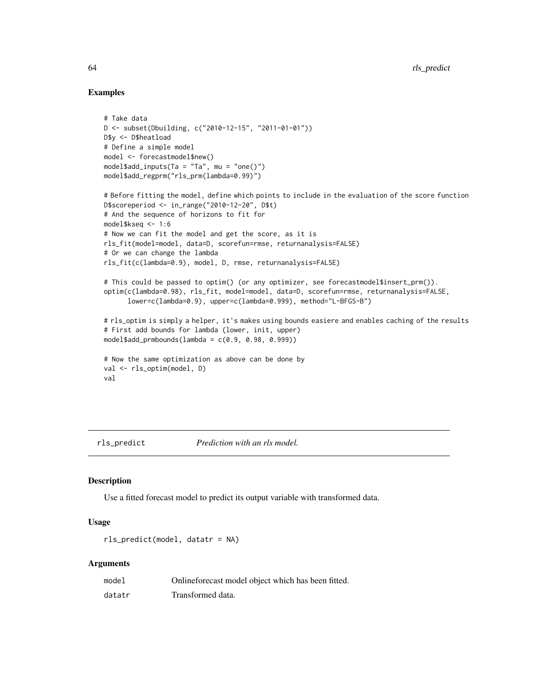## Examples

```
# Take data
D <- subset(Dbuilding, c("2010-12-15", "2011-01-01"))
D$y <- D$heatload
# Define a simple model
model <- forecastmodel$new()
model$add_inputs(Ta = "Ta", mu = "one()")
model$add_regprm("rls_prm(lambda=0.99)")
# Before fitting the model, define which points to include in the evaluation of the score function
D$scoreperiod <- in_range("2010-12-20", D$t)
# And the sequence of horizons to fit for
model$kseq <- 1:6
# Now we can fit the model and get the score, as it is
rls_fit(model=model, data=D, scorefun=rmse, returnanalysis=FALSE)
# Or we can change the lambda
rls_fit(c(lambda=0.9), model, D, rmse, returnanalysis=FALSE)
# This could be passed to optim() (or any optimizer, see forecastmodel$insert_prm()).
optim(c(lambda=0.98), rls_fit, model=model, data=D, scorefun=rmse, returnanalysis=FALSE,
      lower=c(lambda=0.9), upper=c(lambda=0.999), method="L-BFGS-B")
# rls_optim is simply a helper, it's makes using bounds easiere and enables caching of the results
# First add bounds for lambda (lower, init, upper)
model$add_prmbounds(lambda = c(0.9, 0.98, 0.999))
# Now the same optimization as above can be done by
val <- rls_optim(model, D)
val
```
<span id="page-63-0"></span>rls\_predict *Prediction with an rls model.*

#### **Description**

Use a fitted forecast model to predict its output variable with transformed data.

# Usage

```
rls_predict(model, datatr = NA)
```
#### Arguments

| model  | Onlineforecast model object which has been fitted. |
|--------|----------------------------------------------------|
| datatr | Transformed data.                                  |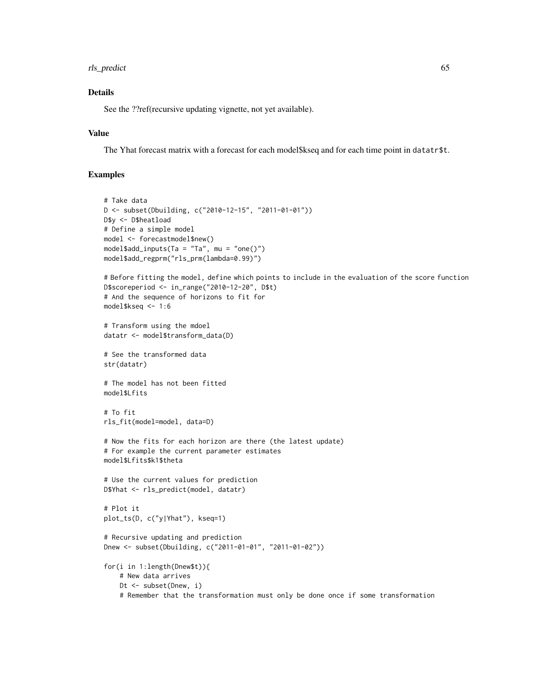# rls\_predict 65

# Details

See the ??ref(recursive updating vignette, not yet available).

## Value

The Yhat forecast matrix with a forecast for each model\$kseq and for each time point in datatr\$t.

# Examples

```
# Take data
D <- subset(Dbuilding, c("2010-12-15", "2011-01-01"))
D$y <- D$heatload
# Define a simple model
model <- forecastmodel$new()
model$add_inputs(Ta = "Ta", mu = "one()")model$add_regprm("rls_prm(lambda=0.99)")
# Before fitting the model, define which points to include in the evaluation of the score function
D$scoreperiod <- in_range("2010-12-20", D$t)
# And the sequence of horizons to fit for
model$kseq <- 1:6
# Transform using the mdoel
datatr <- model$transform_data(D)
# See the transformed data
str(datatr)
# The model has not been fitted
model$Lfits
# To fit
rls_fit(model=model, data=D)
# Now the fits for each horizon are there (the latest update)
# For example the current parameter estimates
model$Lfits$k1$theta
# Use the current values for prediction
D$Yhat <- rls_predict(model, datatr)
# Plot it
plot_ts(D, c("y|Yhat"), kseq=1)
# Recursive updating and prediction
Dnew <- subset(Dbuilding, c("2011-01-01", "2011-01-02"))
for(i in 1:length(Dnew$t)){
    # New data arrives
   Dt <- subset(Dnew, i)
    # Remember that the transformation must only be done once if some transformation
```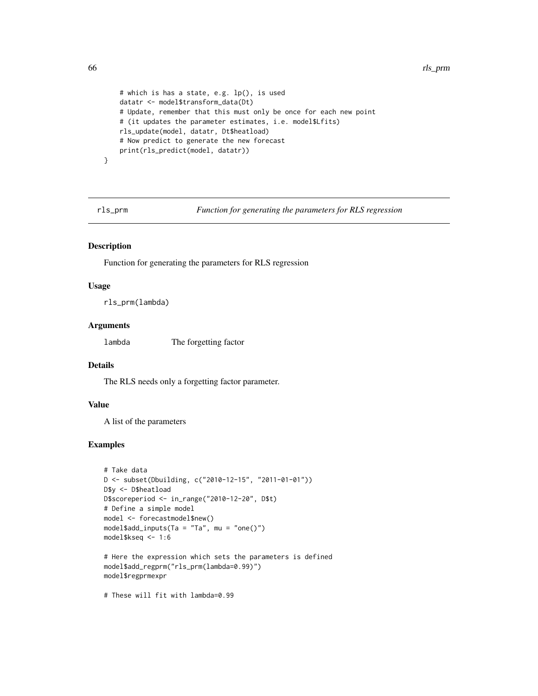```
# which is has a state, e.g. lp(), is used
datatr <- model$transform_data(Dt)
# Update, remember that this must only be once for each new point
# (it updates the parameter estimates, i.e. model$Lfits)
rls_update(model, datatr, Dt$heatload)
# Now predict to generate the new forecast
print(rls_predict(model, datatr))
```
}

rls\_prm *Function for generating the parameters for RLS regression*

# Description

Function for generating the parameters for RLS regression

# Usage

rls\_prm(lambda)

#### Arguments

lambda The forgetting factor

#### Details

The RLS needs only a forgetting factor parameter.

# Value

A list of the parameters

#### Examples

```
# Take data
D <- subset(Dbuilding, c("2010-12-15", "2011-01-01"))
D$y <- D$heatload
D$scoreperiod <- in_range("2010-12-20", D$t)
# Define a simple model
model <- forecastmodel$new()
model$add_inputs(Ta = "Ta", mu = "one()")model$kseq <- 1:6
# Here the expression which sets the parameters is defined
model$add_regprm("rls_prm(lambda=0.99)")
model$regprmexpr
```
# These will fit with lambda=0.99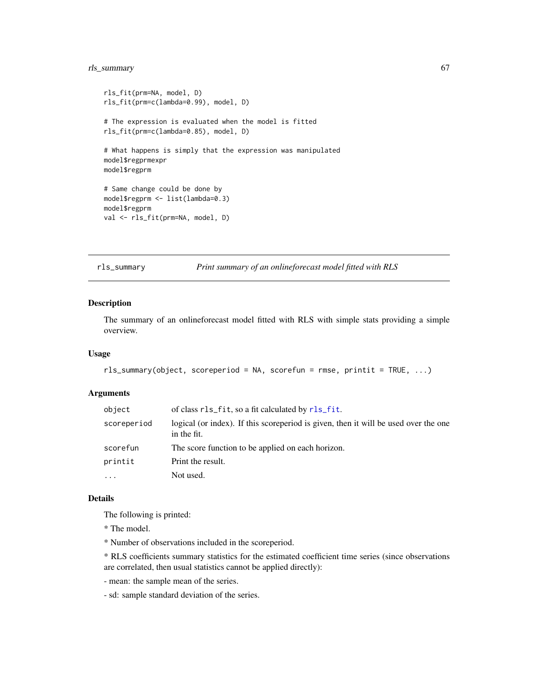# rls\_summary 67

```
rls_fit(prm=NA, model, D)
rls_fit(prm=c(lambda=0.99), model, D)
# The expression is evaluated when the model is fitted
rls_fit(prm=c(lambda=0.85), model, D)
# What happens is simply that the expression was manipulated
model$regprmexpr
model$regprm
# Same change could be done by
model$regprm <- list(lambda=0.3)
model$regprm
val <- rls_fit(prm=NA, model, D)
```
rls\_summary *Print summary of an onlineforecast model fitted with RLS*

# Description

The summary of an onlineforecast model fitted with RLS with simple stats providing a simple overview.

#### Usage

```
rls_summary(object, scoreperiod = NA, scorefun = rmse, printit = TRUE, ...)
```
## Arguments

| object      | of class rls_fit, so a fit calculated by rls_fit.                                                  |
|-------------|----------------------------------------------------------------------------------------------------|
| scoreperiod | logical (or index). If this scoreperiod is given, then it will be used over the one<br>in the fit. |
| scorefun    | The score function to be applied on each horizon.                                                  |
| printit     | Print the result.                                                                                  |
| $\cdots$    | Not used.                                                                                          |

# Details

The following is printed:

\* The model.

\* Number of observations included in the scoreperiod.

\* RLS coefficients summary statistics for the estimated coefficient time series (since observations are correlated, then usual statistics cannot be applied directly):

- mean: the sample mean of the series.
- sd: sample standard deviation of the series.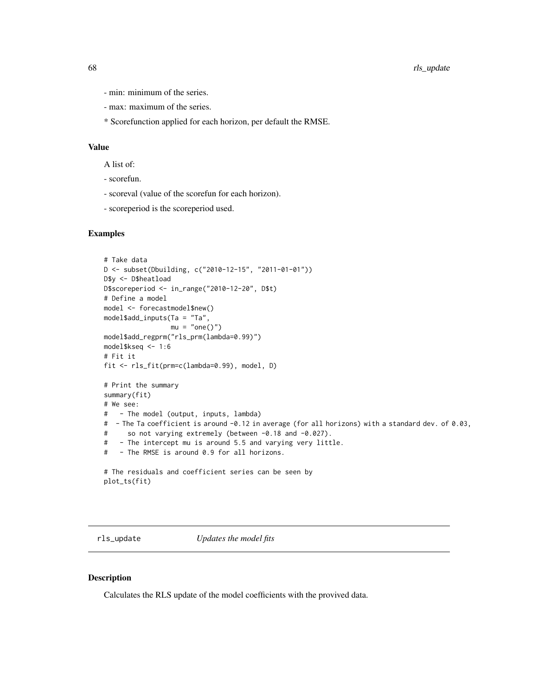- min: minimum of the series.
- max: maximum of the series.
- \* Scorefunction applied for each horizon, per default the RMSE.

#### Value

A list of:

- scorefun.
- scoreval (value of the scorefun for each horizon).
- scoreperiod is the scoreperiod used.

#### Examples

```
# Take data
D <- subset(Dbuilding, c("2010-12-15", "2011-01-01"))
D$y <- D$heatload
D$scoreperiod <- in_range("2010-12-20", D$t)
# Define a model
model <- forecastmodel$new()
model$add_inputs(Ta = "Ta",
                mu = "one()")model$add_regprm("rls_prm(lambda=0.99)")
model$kseq <- 1:6
# Fit it
fit <- rls_fit(prm=c(lambda=0.99), model, D)
# Print the summary
summary(fit)
# We see:
# - The model (output, inputs, lambda)
# - The Ta coefficient is around -0.12 in average (for all horizons) with a standard dev. of 0.03,
# so not varying extremely (between -0.18 and -0.027).
# - The intercept mu is around 5.5 and varying very little.
# - The RMSE is around 0.9 for all horizons.
# The residuals and coefficient series can be seen by
plot_ts(fit)
```
rls\_update *Updates the model fits*

#### Description

Calculates the RLS update of the model coefficients with the provived data.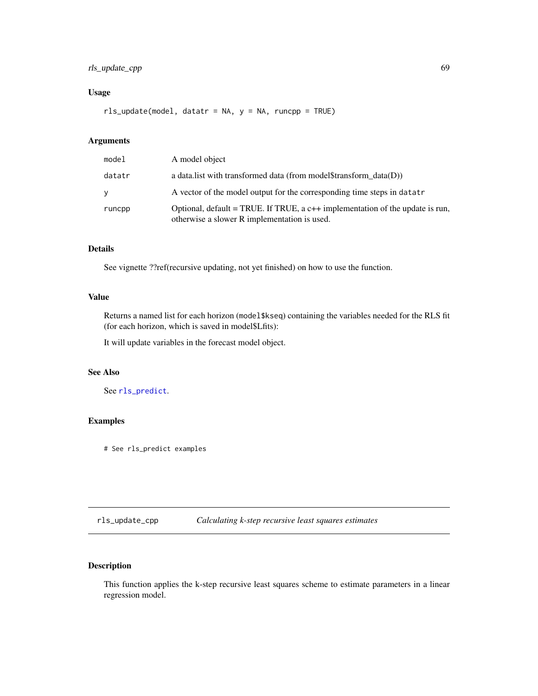# rls\_update\_cpp 69

# Usage

rls\_update(model, datatr = NA, y = NA, runcpp = TRUE)

# Arguments

| model  | A model object                                                                                                                  |
|--------|---------------------------------------------------------------------------------------------------------------------------------|
| datatr | a data. I ist with transformed data (from model $\frac{1}{\pi}$ and $\frac{1}{\pi}$ data $(D)$ )                                |
| y      | A vector of the model output for the corresponding time steps in datatr                                                         |
| runcpp | Optional, default = TRUE. If TRUE, a $c++$ implementation of the update is run,<br>otherwise a slower R implementation is used. |

## Details

See vignette ??ref(recursive updating, not yet finished) on how to use the function.

# Value

Returns a named list for each horizon (model\$kseq) containing the variables needed for the RLS fit (for each horizon, which is saved in model\$Lfits):

It will update variables in the forecast model object.

# See Also

See [rls\\_predict](#page-63-0).

# Examples

# See rls\_predict examples

rls\_update\_cpp *Calculating k-step recursive least squares estimates*

# Description

This function applies the k-step recursive least squares scheme to estimate parameters in a linear regression model.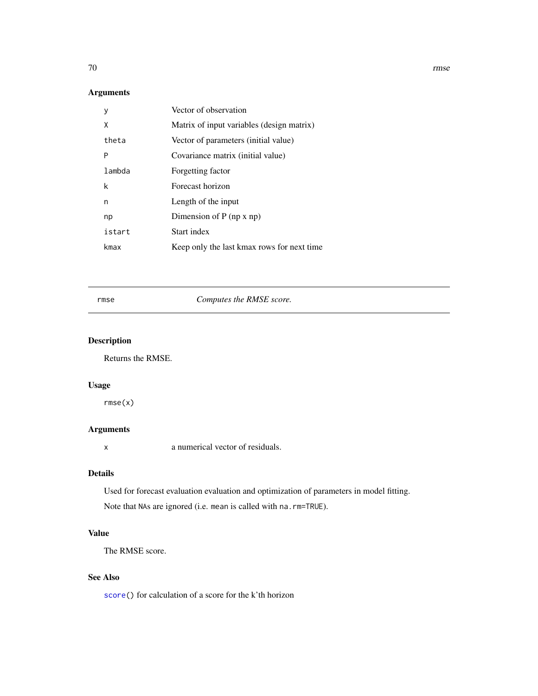# Arguments

| у      | Vector of observation                      |
|--------|--------------------------------------------|
| Χ      | Matrix of input variables (design matrix)  |
| theta  | Vector of parameters (initial value)       |
| P      | Covariance matrix (initial value)          |
| lambda | Forgetting factor                          |
| k      | Forecast horizon                           |
| n      | Length of the input                        |
| np     | Dimension of $P$ (np x np)                 |
| istart | Start index                                |
| kmax   | Keep only the last kmax rows for next time |

<span id="page-69-0"></span>

# rmse *Computes the RMSE score.*

# Description

Returns the RMSE.

# Usage

rmse(x)

# Arguments

x a numerical vector of residuals.

# Details

Used for forecast evaluation evaluation and optimization of parameters in model fitting. Note that NAs are ignored (i.e. mean is called with na.rm=TRUE).

# Value

The RMSE score.

# See Also

[score\(](#page-70-0)) for calculation of a score for the k'th horizon

70 rmse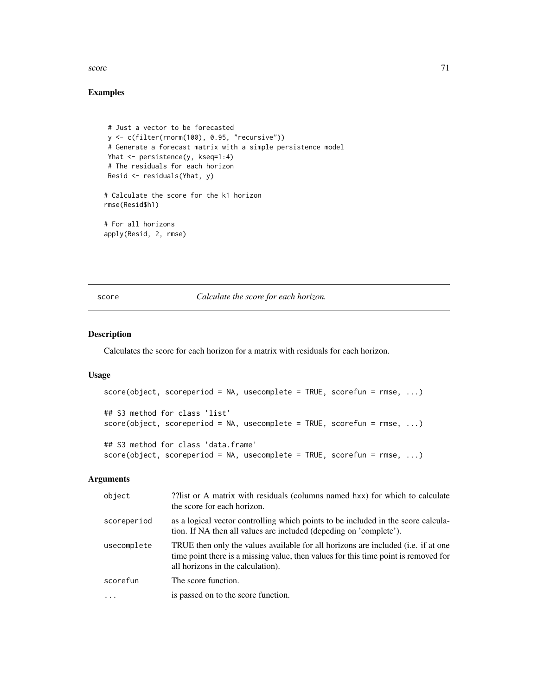#### score  $\frac{71}{2}$

# Examples

```
# Just a vector to be forecasted
y <- c(filter(rnorm(100), 0.95, "recursive"))
# Generate a forecast matrix with a simple persistence model
Yhat <- persistence(y, kseq=1:4)
# The residuals for each horizon
Resid <- residuals(Yhat, y)
# Calculate the score for the k1 horizon
rmse(Resid$h1)
# For all horizons
apply(Resid, 2, rmse)
```
<span id="page-70-0"></span>score *Calculate the score for each horizon.*

# Description

Calculates the score for each horizon for a matrix with residuals for each horizon.

#### Usage

```
score(object, scoreperiod = NA, usecomplete = TRUE, scorefun = rmse, ...)
## S3 method for class 'list'
score(object, scoreperiod = NA, usecomplete = TRUE, scorefun = rmse, ...)
## S3 method for class 'data.frame'
score(object, scoreperiod = NA, usecomplete = TRUE, scorefun = rmse, ...)
```
# Arguments

| object      | ??list or A matrix with residuals (columns named hxx) for which to calculate<br>the score for each horizon.                                                                                                           |
|-------------|-----------------------------------------------------------------------------------------------------------------------------------------------------------------------------------------------------------------------|
| scoreperiod | as a logical vector controlling which points to be included in the score calcula-<br>tion. If NA then all values are included (depeding on 'complete').                                                               |
| usecomplete | TRUE then only the values available for all horizons are included ( <i>i.e.</i> if at one<br>time point there is a missing value, then values for this time point is removed for<br>all horizons in the calculation). |
| scorefun    | The score function.                                                                                                                                                                                                   |
| $\cdot$     | is passed on to the score function.                                                                                                                                                                                   |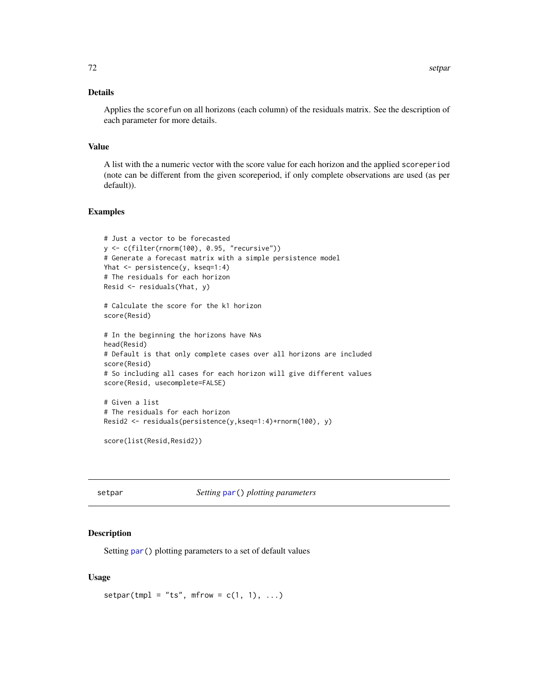# Details

Applies the scorefun on all horizons (each column) of the residuals matrix. See the description of each parameter for more details.

#### Value

A list with the a numeric vector with the score value for each horizon and the applied scoreperiod (note can be different from the given scoreperiod, if only complete observations are used (as per default)).

# Examples

```
# Just a vector to be forecasted
y <- c(filter(rnorm(100), 0.95, "recursive"))
# Generate a forecast matrix with a simple persistence model
Yhat <- persistence(y, kseq=1:4)
# The residuals for each horizon
Resid <- residuals(Yhat, y)
```
# Calculate the score for the k1 horizon score(Resid)

```
# In the beginning the horizons have NAs
head(Resid)
# Default is that only complete cases over all horizons are included
score(Resid)
# So including all cases for each horizon will give different values
score(Resid, usecomplete=FALSE)
# Given a list
# The residuals for each horizon
```

```
Resid2 <- residuals(persistence(y,kseq=1:4)+rnorm(100), y)
```

```
score(list(Resid,Resid2))
```
setpar *Setting* [par\(](#page-0-0)) *plotting parameters*

#### Description

Setting [par\(](#page-0-0)) plotting parameters to a set of default values

#### Usage

 $setpar(tmpl = "ts", mfrom = c(1, 1), ...)$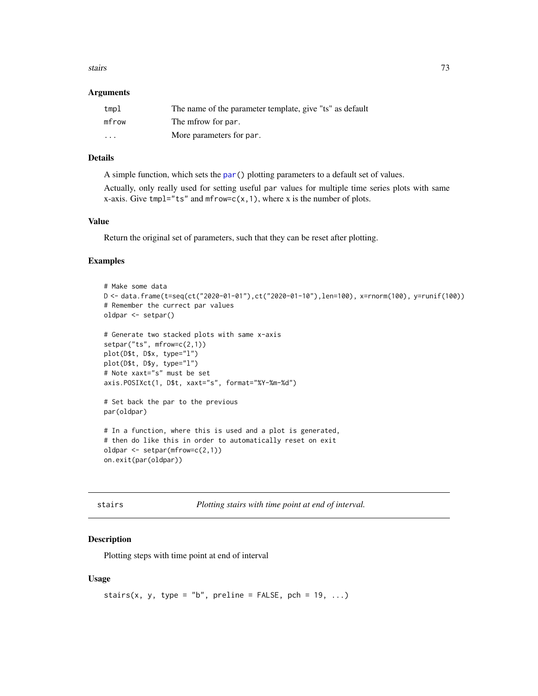#### <span id="page-72-0"></span>stairs 73

#### Arguments

| tmpl    | The name of the parameter template, give "ts" as default |
|---------|----------------------------------------------------------|
| mfrow   | The mfrow for par.                                       |
| $\cdot$ | More parameters for par.                                 |

# Details

A simple function, which sets the [par\(](#page-0-0)) plotting parameters to a default set of values.

Actually, only really used for setting useful par values for multiple time series plots with same x-axis. Give tmpl="ts" and mfrow= $c(x,1)$ , where x is the number of plots.

# Value

Return the original set of parameters, such that they can be reset after plotting.

#### Examples

```
# Make some data
D <- data.frame(t=seq(ct("2020-01-01"),ct("2020-01-10"),len=100), x=rnorm(100), y=runif(100))
# Remember the currect par values
oldpar <- setpar()
# Generate two stacked plots with same x-axis
setpar("ts", mfrow=c(2,1))
plot(D$t, D$x, type="l")
plot(D$t, D$y, type="l")
# Note xaxt="s" must be set
axis.POSIXct(1, D$t, xaxt="s", format="%Y-%m-%d")
# Set back the par to the previous
par(oldpar)
# In a function, where this is used and a plot is generated,
# then do like this in order to automatically reset on exit
oldpar <- setpar(mfrow=c(2,1))
on.exit(par(oldpar))
```
stairs *Plotting stairs with time point at end of interval.*

# Description

Plotting steps with time point at end of interval

#### Usage

```
stairs(x, y, type = "b", preline = FALSE, pch = 19, ...)
```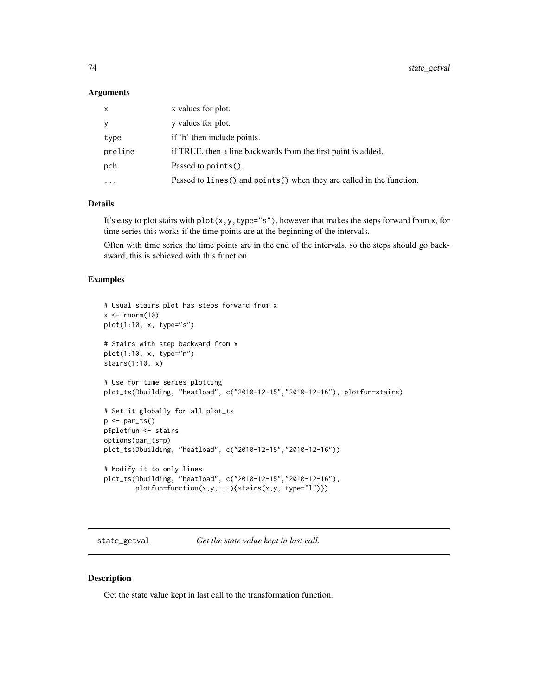#### <span id="page-73-0"></span>Arguments

| X        | x values for plot.                                                     |  |
|----------|------------------------------------------------------------------------|--|
| У        | y values for plot.                                                     |  |
| type     | if 'b' then include points.                                            |  |
| preline  | if TRUE, then a line backwards from the first point is added.          |  |
| pch      | Passed to $points()$ .                                                 |  |
| $\cdots$ | Passed to lines () and points () when they are called in the function. |  |

#### Details

It's easy to plot stairs with  $plot(x, y, type="s")$ , however that makes the steps forward from x, for time series this works if the time points are at the beginning of the intervals.

Often with time series the time points are in the end of the intervals, so the steps should go backaward, this is achieved with this function.

## Examples

```
# Usual stairs plot has steps forward from x
x \le - rnorm(10)
plot(1:10, x, type="s")
# Stairs with step backward from x
plot(1:10, x, type="n")
stairs(1:10, x)
# Use for time series plotting
plot_ts(Dbuilding, "heatload", c("2010-12-15","2010-12-16"), plotfun=stairs)
# Set it globally for all plot_ts
p \leftarrow par\_ts()p$plotfun <- stairs
options(par_ts=p)
plot_ts(Dbuilding, "heatload", c("2010-12-15","2010-12-16"))
# Modify it to only lines
plot_ts(Dbuilding, "heatload", c("2010-12-15","2010-12-16"),
        plotfun=function(x,y,...){stairs(x,y, type="l")})
```
state\_getval *Get the state value kept in last call.*

## Description

Get the state value kept in last call to the transformation function.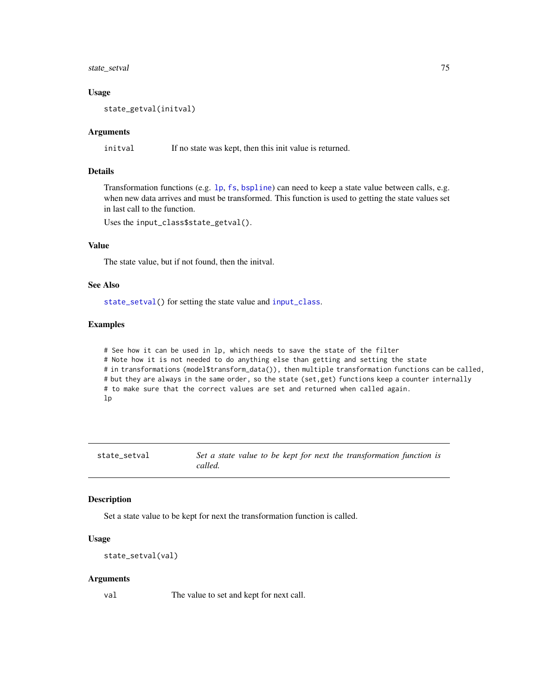# <span id="page-74-1"></span>state\_setval 75

#### Usage

state\_getval(initval)

# Arguments

initval If no state was kept, then this init value is returned.

# Details

Transformation functions (e.g. [lp](#page-38-0), [fs](#page-22-0), [bspline](#page-8-0)) can need to keep a state value between calls, e.g. when new data arrives and must be transformed. This function is used to getting the state values set in last call to the function.

Uses the input\_class\$state\_getval().

# Value

The state value, but if not found, then the initval.

# See Also

[state\\_setval\(](#page-74-0)) for setting the state value and [input\\_class](#page-25-0).

# Examples

# See how it can be used in lp, which needs to save the state of the filter # Note how it is not needed to do anything else than getting and setting the state # in transformations (model\$transform\_data()), then multiple transformation functions can be called, # but they are always in the same order, so the state (set,get) functions keep a counter internally # to make sure that the correct values are set and returned when called again. lp

<span id="page-74-0"></span>state\_setval *Set a state value to be kept for next the transformation function is called.*

#### Description

Set a state value to be kept for next the transformation function is called.

# Usage

```
state_setval(val)
```
#### Arguments

val The value to set and kept for next call.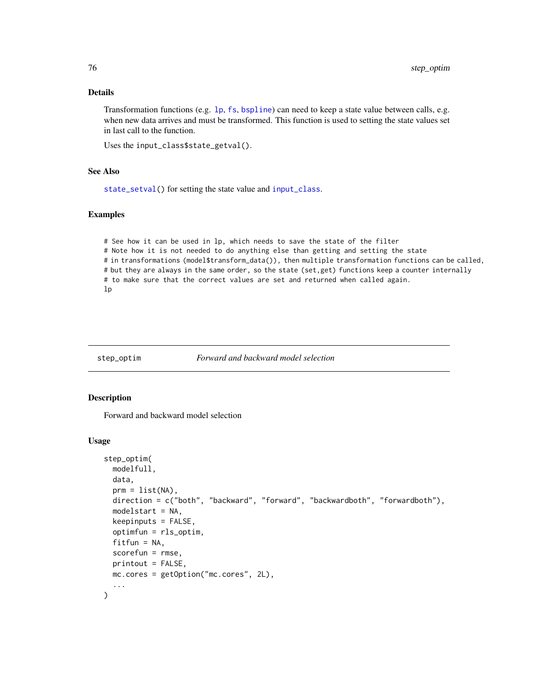# <span id="page-75-0"></span>Details

Transformation functions (e.g. [lp](#page-38-0), [fs](#page-22-0), [bspline](#page-8-0)) can need to keep a state value between calls, e.g. when new data arrives and must be transformed. This function is used to setting the state values set in last call to the function.

Uses the input\_class\$state\_getval().

# See Also

[state\\_setval\(](#page-74-0)) for setting the state value and [input\\_class](#page-25-0).

#### Examples

# See how it can be used in lp, which needs to save the state of the filter # Note how it is not needed to do anything else than getting and setting the state # in transformations (model\$transform\_data()), then multiple transformation functions can be called, # but they are always in the same order, so the state (set,get) functions keep a counter internally # to make sure that the correct values are set and returned when called again. lp

# step\_optim *Forward and backward model selection*

#### Description

Forward and backward model selection

#### Usage

```
step_optim(
 modelfull,
  data,
  prm = list(NA),direction = c("both", "backward", "forward", "backwardboth", "forwardboth"),
  modelstart = NA,
  keepinputs = FALSE,optimfun = rls_optim,
  fitfun = NA,
  scorefun = rmse,
 printout = FALSE,
 mc.cores = getOption("mc.cores", 2L),
  ...
)
```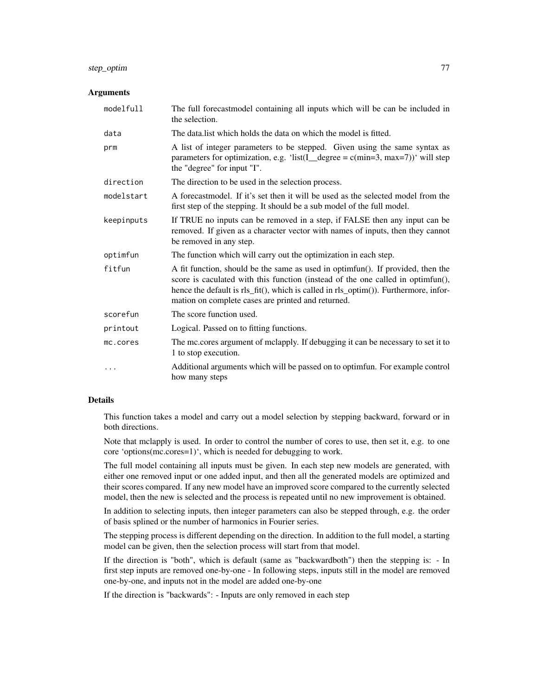# step\_optim 77

#### Arguments

| modelfull  | The full forecastmodel containing all inputs which will be can be included in<br>the selection.                                                                                                                                                                                                                  |
|------------|------------------------------------------------------------------------------------------------------------------------------------------------------------------------------------------------------------------------------------------------------------------------------------------------------------------|
| data       | The data list which holds the data on which the model is fitted.                                                                                                                                                                                                                                                 |
| prm        | A list of integer parameters to be stepped. Given using the same syntax as<br>parameters for optimization, e.g. 'list( $I$ degree = c(min=3, max=7))' will step<br>the "degree" for input "I".                                                                                                                   |
| direction  | The direction to be used in the selection process.                                                                                                                                                                                                                                                               |
| modelstart | A forecastmodel. If it's set then it will be used as the selected model from the<br>first step of the stepping. It should be a sub model of the full model.                                                                                                                                                      |
| keepinputs | If TRUE no inputs can be removed in a step, if FALSE then any input can be<br>removed. If given as a character vector with names of inputs, then they cannot<br>be removed in any step.                                                                                                                          |
| optimfun   | The function which will carry out the optimization in each step.                                                                                                                                                                                                                                                 |
| fitfun     | A fit function, should be the same as used in optimfun(). If provided, then the<br>score is caculated with this function (instead of the one called in optimfun(),<br>hence the default is rls_fit(), which is called in rls_optim()). Furthermore, infor-<br>mation on complete cases are printed and returned. |
| scorefun   | The score function used.                                                                                                                                                                                                                                                                                         |
| printout   | Logical. Passed on to fitting functions.                                                                                                                                                                                                                                                                         |
| mc.cores   | The mc.cores argument of mclapply. If debugging it can be necessary to set it to<br>1 to stop execution.                                                                                                                                                                                                         |
| $\cdots$   | Additional arguments which will be passed on to optimfun. For example control<br>how many steps                                                                                                                                                                                                                  |

# Details

This function takes a model and carry out a model selection by stepping backward, forward or in both directions.

Note that mclapply is used. In order to control the number of cores to use, then set it, e.g. to one core 'options(mc.cores=1)', which is needed for debugging to work.

The full model containing all inputs must be given. In each step new models are generated, with either one removed input or one added input, and then all the generated models are optimized and their scores compared. If any new model have an improved score compared to the currently selected model, then the new is selected and the process is repeated until no new improvement is obtained.

In addition to selecting inputs, then integer parameters can also be stepped through, e.g. the order of basis splined or the number of harmonics in Fourier series.

The stepping process is different depending on the direction. In addition to the full model, a starting model can be given, then the selection process will start from that model.

If the direction is "both", which is default (same as "backwardboth") then the stepping is: - In first step inputs are removed one-by-one - In following steps, inputs still in the model are removed one-by-one, and inputs not in the model are added one-by-one

If the direction is "backwards": - Inputs are only removed in each step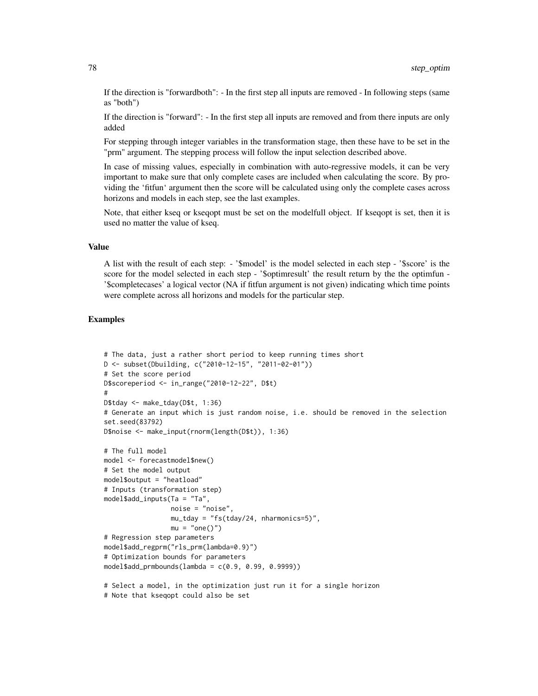If the direction is "forwardboth": - In the first step all inputs are removed - In following steps (same as "both")

If the direction is "forward": - In the first step all inputs are removed and from there inputs are only added

For stepping through integer variables in the transformation stage, then these have to be set in the "prm" argument. The stepping process will follow the input selection described above.

In case of missing values, especially in combination with auto-regressive models, it can be very important to make sure that only complete cases are included when calculating the score. By providing the 'fitfun' argument then the score will be calculated using only the complete cases across horizons and models in each step, see the last examples.

Note, that either kseq or kseqopt must be set on the modelfull object. If kseqopt is set, then it is used no matter the value of kseq.

# Value

A list with the result of each step: - '\$model' is the model selected in each step - '\$score' is the score for the model selected in each step - '\$optimresult' the result return by the the optimfun - '\$completecases' a logical vector (NA if fitfun argument is not given) indicating which time points were complete across all horizons and models for the particular step.

# Examples

```
# The data, just a rather short period to keep running times short
D <- subset(Dbuilding, c("2010-12-15", "2011-02-01"))
# Set the score period
D$scoreperiod <- in_range("2010-12-22", D$t)
#
D$tday <- make_tday(D$t, 1:36)
# Generate an input which is just random noise, i.e. should be removed in the selection
set.seed(83792)
D$noise <- make_input(rnorm(length(D$t)), 1:36)
# The full model
model <- forecastmodel$new()
# Set the model output
model$output = "heatload"
# Inputs (transformation step)
model$add_inputs(Ta = "Ta",
                 noise = "noise",
                 mu_tday = "fs(tday/24, nharmonics=5)",
                 mu = "one()")# Regression step parameters
model$add_regprm("rls_prm(lambda=0.9)")
# Optimization bounds for parameters
model$add_prmbounds(lambda = c(0.9, 0.99, 0.9999))
# Select a model, in the optimization just run it for a single horizon
```
<sup>#</sup> Note that kseqopt could also be set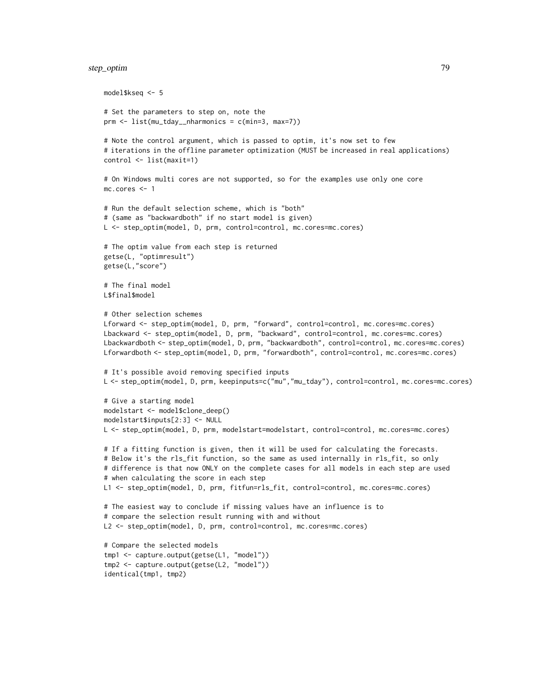# step\_optim 79

```
model$kseq <- 5
# Set the parameters to step on, note the
prm <- list(mu_tday__nharmonics = c(min=3, max=7))
# Note the control argument, which is passed to optim, it's now set to few
# iterations in the offline parameter optimization (MUST be increased in real applications)
control <- list(maxit=1)
# On Windows multi cores are not supported, so for the examples use only one core
mc.cores <- 1
# Run the default selection scheme, which is "both"
# (same as "backwardboth" if no start model is given)
L <- step_optim(model, D, prm, control=control, mc.cores=mc.cores)
# The optim value from each step is returned
getse(L, "optimresult")
getse(L,"score")
# The final model
L$final$model
# Other selection schemes
Lforward <- step_optim(model, D, prm, "forward", control=control, mc.cores=mc.cores)
Lbackward <- step_optim(model, D, prm, "backward", control=control, mc.cores=mc.cores)
Lbackwardboth <- step_optim(model, D, prm, "backwardboth", control=control, mc.cores=mc.cores)
Lforwardboth <- step_optim(model, D, prm, "forwardboth", control=control, mc.cores=mc.cores)
# It's possible avoid removing specified inputs
L <- step_optim(model, D, prm, keepinputs=c("mu","mu_tday"), control=control, mc.cores=mc.cores)
# Give a starting model
modelstart <- model$clone_deep()
modelstart$inputs[2:3] <- NULL
L <- step_optim(model, D, prm, modelstart=modelstart, control=control, mc.cores=mc.cores)
# If a fitting function is given, then it will be used for calculating the forecasts.
# Below it's the rls_fit function, so the same as used internally in rls_fit, so only
# difference is that now ONLY on the complete cases for all models in each step are used
# when calculating the score in each step
L1 <- step_optim(model, D, prm, fitfun=rls_fit, control=control, mc.cores=mc.cores)
# The easiest way to conclude if missing values have an influence is to
# compare the selection result running with and without
L2 <- step_optim(model, D, prm, control=control, mc.cores=mc.cores)
# Compare the selected models
tmp1 <- capture.output(getse(L1, "model"))
tmp2 <- capture.output(getse(L2, "model"))
identical(tmp1, tmp2)
```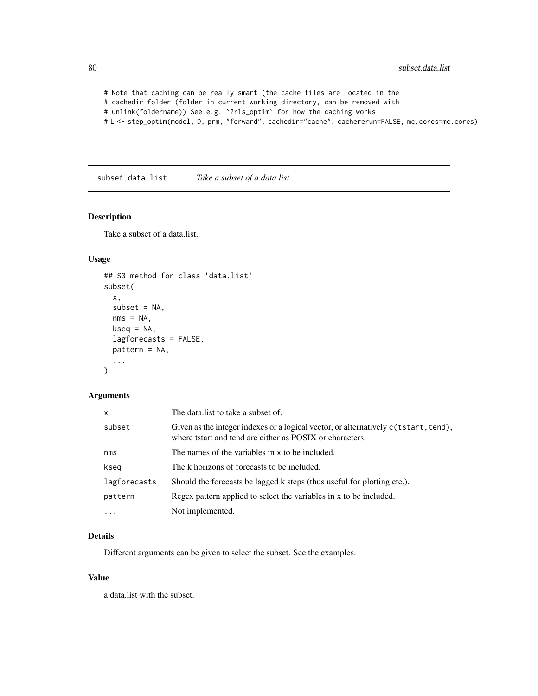```
# Note that caching can be really smart (the cache files are located in the
# cachedir folder (folder in current working directory, can be removed with
# unlink(foldername)) See e.g. `?rls_optim` for how the caching works
# L <- step_optim(model, D, prm, "forward", cachedir="cache", cachererun=FALSE, mc.cores=mc.cores)
```
subset.data.list *Take a subset of a data.list.*

# Description

Take a subset of a data.list.

# Usage

```
## S3 method for class 'data.list'
subset(
  x,
  subset = NA,
 nms = NA,
 kseq = NA,
  lagforecasts = FALSE,
 pattern = NA,
  ...
)
```
# Arguments

| $\mathsf{x}$ | The data. list to take a subset of.                                                                                                             |  |
|--------------|-------------------------------------------------------------------------------------------------------------------------------------------------|--|
| subset       | Given as the integer indexes or a logical vector, or alternatively c(tstart, tend),<br>where tstart and tend are either as POSIX or characters. |  |
| nms          | The names of the variables in x to be included.                                                                                                 |  |
| kseg         | The k horizons of forecasts to be included.                                                                                                     |  |
| lagforecasts | Should the forecasts be lagged k steps (thus useful for plotting etc.).                                                                         |  |
| pattern      | Regex pattern applied to select the variables in x to be included.                                                                              |  |
|              | Not implemented.                                                                                                                                |  |

# Details

Different arguments can be given to select the subset. See the examples.

#### Value

a data.list with the subset.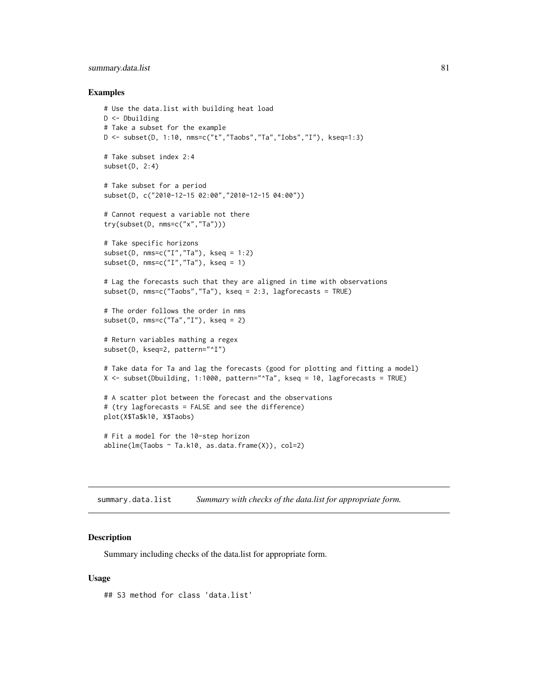# <span id="page-80-0"></span>summary.data.list 81

#### Examples

```
# Use the data.list with building heat load
D <- Dbuilding
# Take a subset for the example
D \le - subset(D, 1:10, nms=c("t","Taobs","Ta","Iobs","I"), kseq=1:3)
# Take subset index 2:4
subset(D, 2:4)
# Take subset for a period
subset(D, c("2010-12-15 02:00","2010-12-15 04:00"))
# Cannot request a variable not there
try(subset(D, nms=c("x","Ta")))
# Take specific horizons
subset(D, nms=c("I", "Ta"), kseq = 1:2)
subset(D, nms=c("I", "Ta"), kseq = 1)
# Lag the forecasts such that they are aligned in time with observations
subset(D, nms=c("Taobs","Ta"), kseq = 2:3, lagforecasts = TRUE)
# The order follows the order in nms
subset(D, nms=c("Ta","I"), kseq = 2)
# Return variables mathing a regex
subset(D, kseq=2, pattern="^I")
# Take data for Ta and lag the forecasts (good for plotting and fitting a model)
X <- subset(Dbuilding, 1:1000, pattern="^Ta", kseq = 10, lagforecasts = TRUE)
# A scatter plot between the forecast and the observations
# (try lagforecasts = FALSE and see the difference)
plot(X$Ta$k10, X$Taobs)
# Fit a model for the 10-step horizon
abline(lm(Taobs ~ Ta.k10, as.data frame(X)), col=2)
```
summary.data.list *Summary with checks of the data.list for appropriate form.*

# Description

Summary including checks of the data.list for appropriate form.

## Usage

## S3 method for class 'data.list'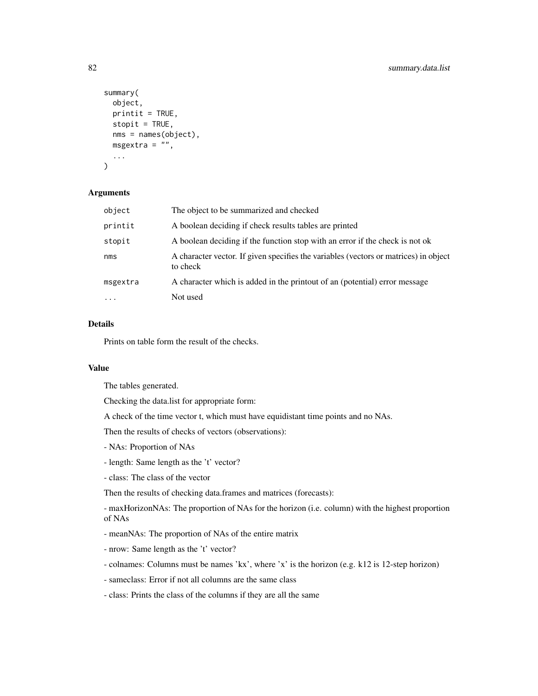```
summary(
 object,
 print_i = TRUE,
 stopit = TRUE,nms = names(object),
 msgextra = ",
  ...
)
```
# Arguments

| object    | The object to be summarized and checked                                                          |
|-----------|--------------------------------------------------------------------------------------------------|
| printit   | A boolean deciding if check results tables are printed                                           |
| stopit    | A boolean deciding if the function stop with an error if the check is not ok                     |
| nms       | A character vector. If given specifies the variables (vectors or matrices) in object<br>to check |
| msgextra  | A character which is added in the printout of an (potential) error message                       |
| $\ddotsc$ | Not used                                                                                         |

# Details

Prints on table form the result of the checks.

# Value

The tables generated.

Checking the data.list for appropriate form:

A check of the time vector t, which must have equidistant time points and no NAs.

Then the results of checks of vectors (observations):

- NAs: Proportion of NAs
- length: Same length as the 't' vector?
- class: The class of the vector

Then the results of checking data.frames and matrices (forecasts):

- maxHorizonNAs: The proportion of NAs for the horizon (i.e. column) with the highest proportion of NAs

- meanNAs: The proportion of NAs of the entire matrix
- nrow: Same length as the 't' vector?
- colnames: Columns must be names 'kx', where 'x' is the horizon (e.g. k12 is 12-step horizon)
- sameclass: Error if not all columns are the same class
- class: Prints the class of the columns if they are all the same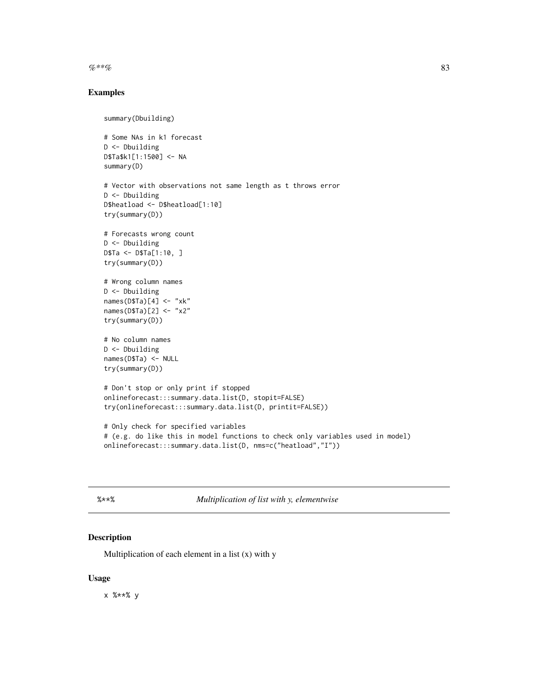<span id="page-82-0"></span> $\%^{**}\%$  83

# Examples

```
summary(Dbuilding)
# Some NAs in k1 forecast
D <- Dbuilding
D$Ta$k1[1:1500] <- NA
summary(D)
# Vector with observations not same length as t throws error
D <- Dbuilding
D$heatload <- D$heatload[1:10]
try(summary(D))
# Forecasts wrong count
D <- Dbuilding
D$Ta <- D$Ta[1:10, ]
try(summary(D))
# Wrong column names
D <- Dbuilding
names(D$Ta)[4] <- "xk"
names(D$Ta)[2] <- "x2"
try(summary(D))
# No column names
D <- Dbuilding
names(D$Ta) <- NULL
try(summary(D))
# Don't stop or only print if stopped
onlineforecast:::summary.data.list(D, stopit=FALSE)
try(onlineforecast:::summary.data.list(D, printit=FALSE))
# Only check for specified variables
# (e.g. do like this in model functions to check only variables used in model)
onlineforecast:::summary.data.list(D, nms=c("heatload","I"))
```
%\*\*% *Multiplication of list with y, elementwise*

# Description

Multiplication of each element in a list  $(x)$  with y

## Usage

x %\*\*% y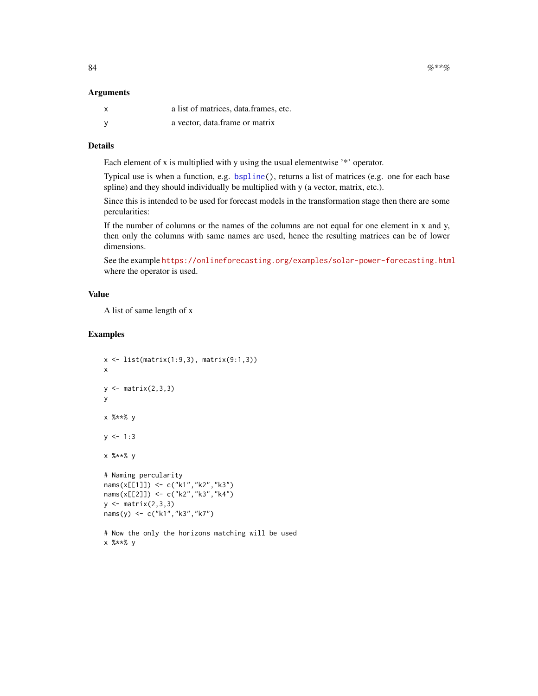#### <span id="page-83-0"></span>Arguments

| X | a list of matrices, data frames, etc. |
|---|---------------------------------------|
|   | a vector, data frame or matrix        |

# Details

Each element of x is multiplied with y using the usual elementwise '\*' operator.

Typical use is when a function, e.g. [bspline\(](#page-8-0)), returns a list of matrices (e.g. one for each base spline) and they should individually be multiplied with y (a vector, matrix, etc.).

Since this is intended to be used for forecast models in the transformation stage then there are some percularities:

If the number of columns or the names of the columns are not equal for one element in x and y, then only the columns with same names are used, hence the resulting matrices can be of lower dimensions.

See the example <https://onlineforecasting.org/examples/solar-power-forecasting.html> where the operator is used.

# Value

A list of same length of x

# Examples

```
x \leftarrow list(matrix(1:9,3), matrix(9:1,3))
x
y \leftarrow matrix(2,3,3)
y
x %**% y
y \le -1:3x %**% y
# Naming percularity
nams(x[[1]]) <- c("k1","k2","k3")
nams(x[[2]]) <- c("k2","k3","k4")
y \leftarrow matrix(2,3,3)nams(y) <- c("k1","k3","k7")
# Now the only the horizons matching will be used
x %**% y
```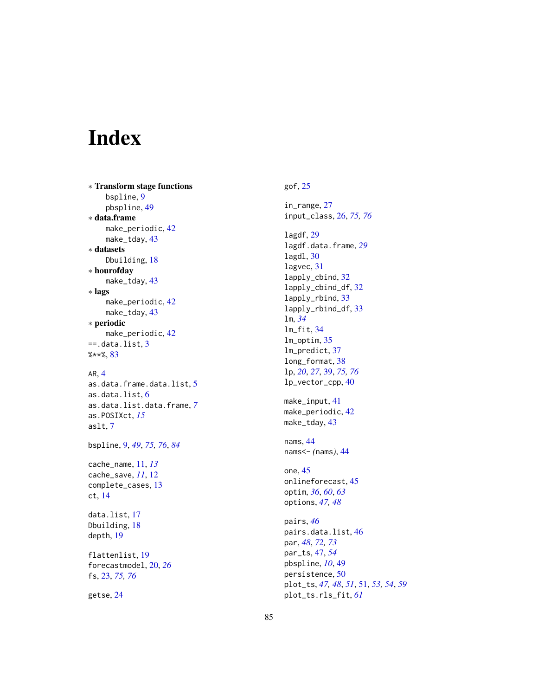# Index

∗ Transform stage functions bspline , [9](#page-8-1) pbspline , [49](#page-48-0) ∗ data.frame make\_periodic, [42](#page-41-0) make\_tday , [43](#page-42-0) ∗ datasets Dbuilding , [18](#page-17-0) ∗ hourofday make\_tday , [43](#page-42-0) ∗ lags make\_periodic , [42](#page-41-0) make\_tday , [43](#page-42-0) ∗ periodic make\_periodic, [42](#page-41-0)  $==$ .data.list,  $3$ %\*\*% , [83](#page-82-0)

# AR , [4](#page-3-0)

as.data.frame.data.list , [5](#page-4-0) as.data.list , [6](#page-5-0) as.data.list.data.frame , *[7](#page-6-0)* as.POSIXct , *[15](#page-14-0)* aslt , [7](#page-6-0)

bspline , [9](#page-8-1) , *[49](#page-48-0)* , *[75](#page-74-1) , [76](#page-75-0)* , *[84](#page-83-0)*

cache\_name , [11](#page-10-0) , *[13](#page-12-0)* cache\_save , *[11](#page-10-0)* , [12](#page-11-0) complete\_cases , [13](#page-12-0) ct , [14](#page-13-0)

data.list , [17](#page-16-0) Dbuilding, [18](#page-17-0) depth , [19](#page-18-0)

flattenlist , [19](#page-18-0) forecastmodel , [20](#page-19-0) , *[26](#page-25-1)* fs , [23](#page-22-1) , *[75](#page-74-1) , [76](#page-75-0)*

getse , [24](#page-23-0)

# gof , [25](#page-24-0) in\_range , [27](#page-26-0)

input\_class , [26](#page-25-1) , *[75](#page-74-1) , [76](#page-75-0)* lagdf , [29](#page-28-0) lagdf.data.frame , *[29](#page-28-0)* lagdl , [30](#page-29-0) lagvec, [31](#page-30-0) lapply\_cbind , [32](#page-31-0) lapply\_cbind\_df , [32](#page-31-0) lapply\_rbind , [33](#page-32-0) lapply\_rbind\_df , [33](#page-32-0) lm , *[34](#page-33-0)* lm\_fit , [34](#page-33-0) lm\_optim , [35](#page-34-0) lm\_predict , [37](#page-36-0) long\_format , [38](#page-37-0) lp , *[20](#page-19-0)* , *[27](#page-26-0)* , [39](#page-38-1) , *[75](#page-74-1) , [76](#page-75-0)* lp\_vector\_cpp , [40](#page-39-0) make\_input , [41](#page-40-0) make\_periodic , [42](#page-41-0) make\_tday , [43](#page-42-0) nams , [44](#page-43-0) nams<- *(*nams *)* , [44](#page-43-0) one , [45](#page-44-0) onlineforecast , [45](#page-44-0) optim , *[36](#page-35-0)* , *[60](#page-59-0)* , *[63](#page-62-0)* options , *[47,](#page-46-0) [48](#page-47-0)* pairs , *[46](#page-45-0)* pairs.data.list , [46](#page-45-0) par , *[48](#page-47-0)* , *[72](#page-71-0) , [73](#page-72-0)* par\_ts , [47](#page-46-0) , *[54](#page-53-0)* pbspline , *[10](#page-9-0)* , [49](#page-48-0) persistence , [50](#page-49-0)

plot\_ts , *[47,](#page-46-0) [48](#page-47-0)* , *[51](#page-50-0)* , [51](#page-50-0) , *[53](#page-52-0) , [54](#page-53-0)* , *[59](#page-58-0)*

plot\_ts.rls\_fit , *[61](#page-60-0)*